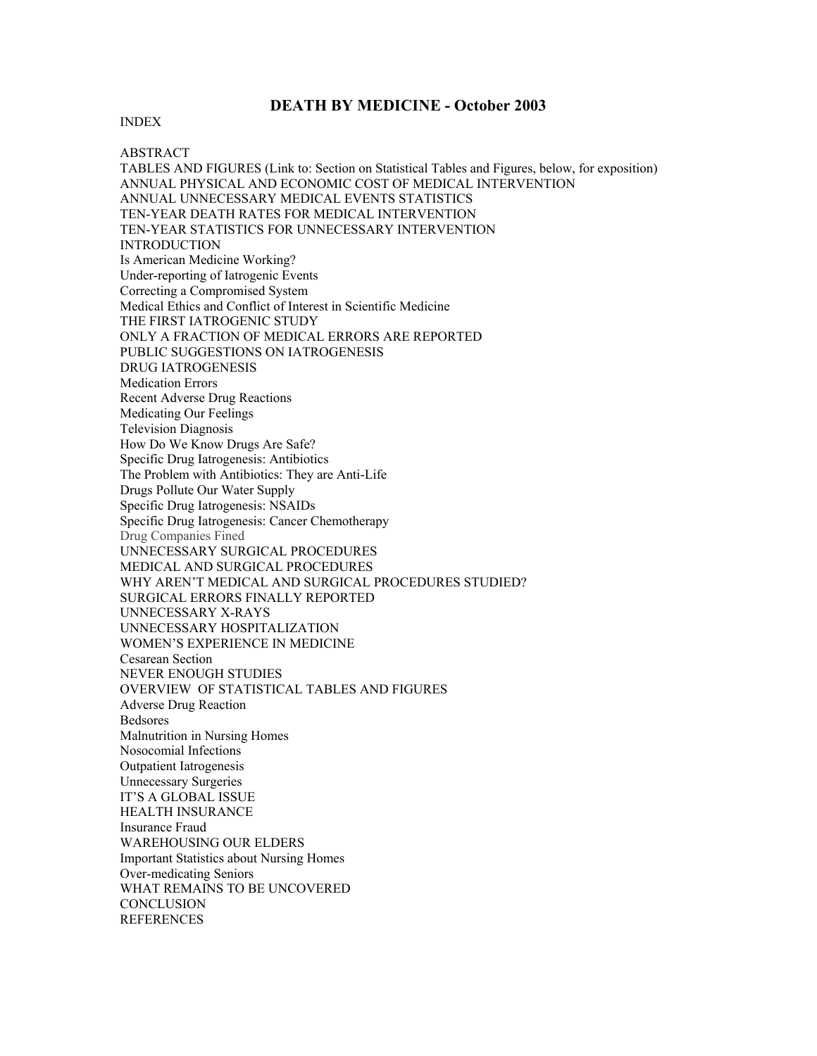#### **DEATH BY MEDICINE - October 2003**

#### INDEX

ABSTRACT TABLES AND FIGURES (Link to: Section on Statistical Tables and Figures, below, for exposition) ANNUAL PHYSICAL AND ECONOMIC COST OF MEDICAL INTERVENTION ANNUAL UNNECESSARY MEDICAL EVENTS STATISTICS TEN-YEAR DEATH RATES FOR MEDICAL INTERVENTION TEN-YEAR STATISTICS FOR UNNECESSARY INTERVENTION **INTRODUCTION** Is American Medicine Working? Under-reporting of Iatrogenic Events Correcting a Compromised System Medical Ethics and Conflict of Interest in Scientific Medicine THE FIRST IATROGENIC STUDY ONLY A FRACTION OF MEDICAL ERRORS ARE REPORTED PUBLIC SUGGESTIONS ON IATROGENESIS DRUG IATROGENESIS Medication Errors Recent Adverse Drug Reactions Medicating Our Feelings Television Diagnosis How Do We Know Drugs Are Safe? Specific Drug Iatrogenesis: Antibiotics The Problem with Antibiotics: They are Anti-Life Drugs Pollute Our Water Supply Specific Drug Iatrogenesis: NSAIDs Specific Drug Iatrogenesis: Cancer Chemotherapy Drug Companies Fined UNNECESSARY SURGICAL PROCEDURES MEDICAL AND SURGICAL PROCEDURES WHY AREN'T MEDICAL AND SURGICAL PROCEDURES STUDIED? SURGICAL ERRORS FINALLY REPORTED UNNECESSARY X-RAYS UNNECESSARY HOSPITALIZATION WOMEN'S EXPERIENCE IN MEDICINE Cesarean Section NEVER ENOUGH STUDIES OVERVIEW OF STATISTICAL TABLES AND FIGURES Adverse Drug Reaction Bedsores Malnutrition in Nursing Homes Nosocomial Infections Outpatient Iatrogenesis Unnecessary Surgeries IT'S A GLOBAL ISSUE HEALTH INSURANCE Insurance Fraud WAREHOUSING OUR ELDERS Important Statistics about Nursing Homes Over-medicating Seniors WHAT REMAINS TO BE UNCOVERED **CONCLUSION REFERENCES**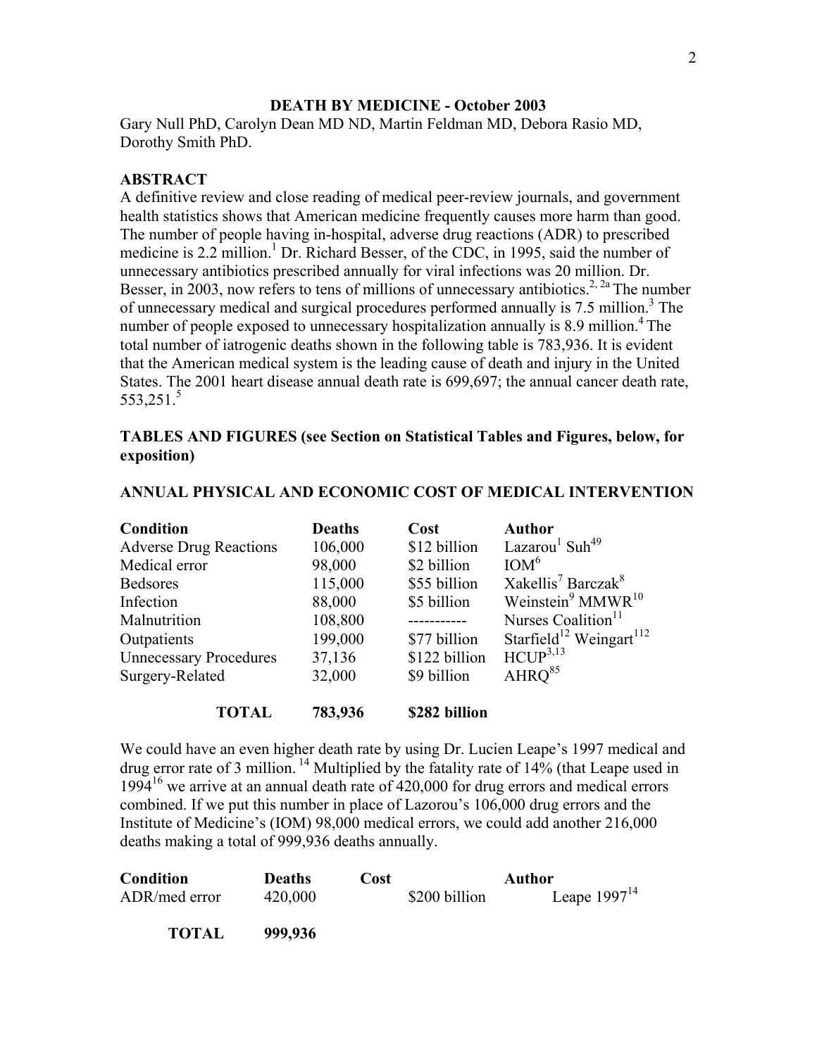### **DEATH BY MEDICINE - October 2003**

Gary Null PhD, Carolyn Dean MD ND, Martin Feldman MD, Debora Rasio MD, Dorothy Smith PhD.

## **ABSTRACT**

A definitive review and close reading of medical peer-review journals, and government health statistics shows that American medicine frequently causes more harm than good. The number of people having in-hospital, adverse drug reactions (ADR) to prescribed medicine is 2.2 million.<sup>1</sup> Dr. Richard Besser, of the CDC, in 1995, said the number of unnecessary antibiotics prescribed annually for viral infections was 20 million. Dr. Besser, in 2003, now refers to tens of millions of unnecessary antibiotics.<sup>2, 2a</sup> The number of unnecessary medical and surgical procedures performed annually is 7.5 million.<sup>3</sup> The number of people exposed to unnecessary hospitalization annually is 8.9 million.<sup>4</sup> The total number of iatrogenic deaths shown in the following table is 783,936. It is evident that the American medical system is the leading cause of death and injury in the United States. The 2001 heart disease annual death rate is 699,697; the annual cancer death rate,  $553,251<sup>5</sup>$ 

### **TABLES AND FIGURES (see Section on Statistical Tables and Figures, below, for exposition)**

| Condition                     | <b>Deaths</b> | Cost          | <b>Author</b>                                   |
|-------------------------------|---------------|---------------|-------------------------------------------------|
| <b>Adverse Drug Reactions</b> | 106,000       | \$12 billion  | Lazarou <sup>1</sup> Suh <sup>49</sup>          |
| Medical error                 | 98,000        | \$2 billion   | IOM <sup>6</sup>                                |
| <b>Bedsores</b>               | 115,000       | \$55 billion  | Xakellis <sup>7</sup> Barczak <sup>8</sup>      |
| Infection                     | 88,000        | \$5 billion   | Weinstein <sup>9</sup> MMWR <sup>10</sup>       |
| Malnutrition                  | 108,800       |               | Nurses Coalition <sup>11</sup>                  |
| Outpatients                   | 199,000       | \$77 billion  | Starfield <sup>12</sup> Weingart <sup>112</sup> |
| <b>Unnecessary Procedures</b> | 37,136        | \$122 billion | HCUP <sup>3,13</sup>                            |
| Surgery-Related               | 32,000        | \$9 billion   | AHRO <sup>85</sup>                              |
| TOTAL                         | 783,936       | \$282 billion |                                                 |

#### **ANNUAL PHYSICAL AND ECONOMIC COST OF MEDICAL INTERVENTION**

We could have an even higher death rate by using Dr. Lucien Leape's 1997 medical and drug error rate of 3 million.<sup>14</sup> Multiplied by the fatality rate of  $14\%$  (that Leape used in  $1994^{16}$  we arrive at an annual death rate of 420,000 for drug errors and medical errors combined. If we put this number in place of Lazorou's 106,000 drug errors and the Institute of Medicine's (IOM) 98,000 medical errors, we could add another 216,000 deaths making a total of 999,936 deaths annually.

| <b>Condition</b> | <b>Deaths</b> | Cost |               | Author            |
|------------------|---------------|------|---------------|-------------------|
| ADR/med error    | 420,000       |      | \$200 billion | Leape $1997^{14}$ |
| <b>TOTAL</b>     | 999,936       |      |               |                   |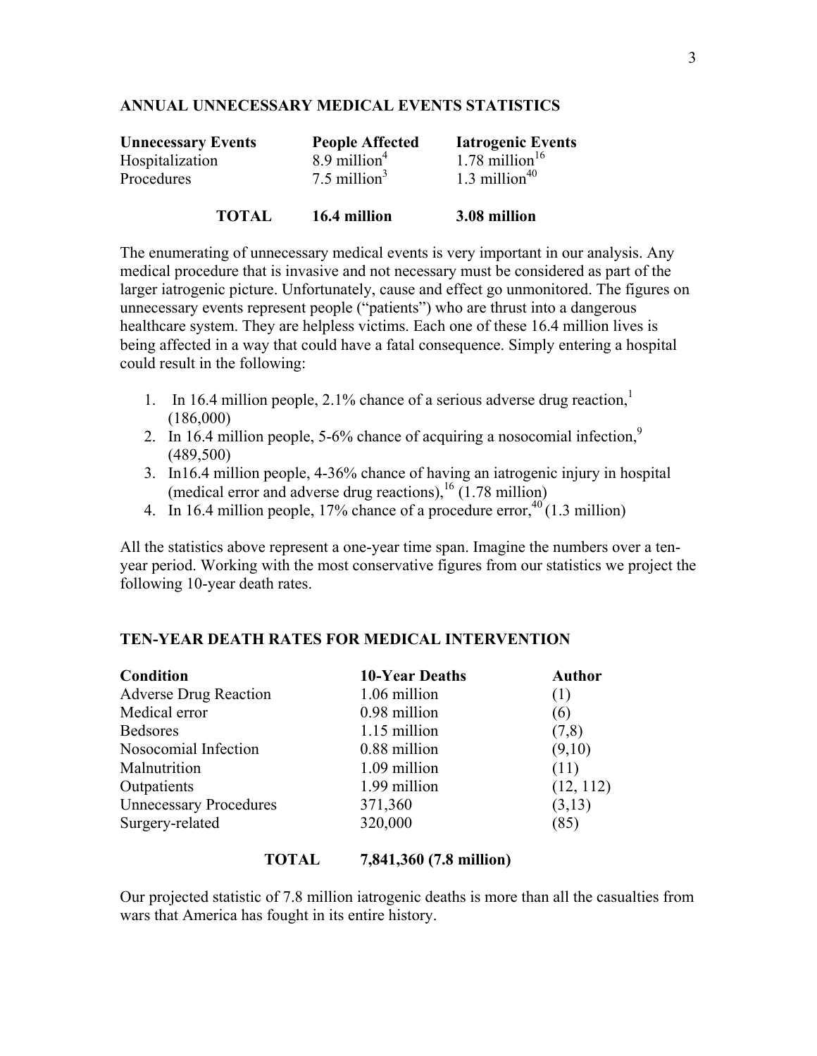### **ANNUAL UNNECESSARY MEDICAL EVENTS STATISTICS**

| <b>Unnecessary Events</b> |              | <b>People Affected</b>     | <b>Iatrogenic Events</b>  |
|---------------------------|--------------|----------------------------|---------------------------|
| Hospitalization           |              | $8.9$ million <sup>4</sup> | 1.78 million $16$         |
| Procedures                |              | 7.5 million $3$            | 1.3 million <sup>40</sup> |
|                           | <b>TOTAL</b> | 16.4 million               | 3.08 million              |

The enumerating of unnecessary medical events is very important in our analysis. Any medical procedure that is invasive and not necessary must be considered as part of the larger iatrogenic picture. Unfortunately, cause and effect go unmonitored. The figures on unnecessary events represent people ("patients") who are thrust into a dangerous healthcare system. They are helpless victims. Each one of these 16.4 million lives is being affected in a way that could have a fatal consequence. Simply entering a hospital could result in the following:

- 1. In 16.4 million people, 2.1% chance of a serious adverse drug reaction, $<sup>1</sup>$ </sup> (186,000)
- 2. In 16.4 million people,  $5-6%$  chance of acquiring a nosocomial infection.<sup>9</sup> (489,500)
- 3. In16.4 million people, 4-36% chance of having an iatrogenic injury in hospital (medical error and adverse drug reactions),  $^{16}$  (1.78 million)
- 4. In 16.4 million people, 17% chance of a procedure error,  $40^{\circ}$  (1.3 million)

All the statistics above represent a one-year time span. Imagine the numbers over a tenyear period. Working with the most conservative figures from our statistics we project the following 10-year death rates.

## **Condition 10-Year Deaths Author**  Adverse Drug Reaction 1.06 million (1) Medical error 0.98 million (6)  $Bedsores$  1.15 million  $(7,8)$ Nosocomial Infection 0.88 million (9,10) Malnutrition 1.09 million (11) Outpatients 1.99 million (12, 112) Unnecessary Procedures 371,360 (3,13) Surgery-related 320,000 (85)

## **TEN-YEAR DEATH RATES FOR MEDICAL INTERVENTION**

**TOTAL 7,841,360 (7.8 million)** 

Our projected statistic of 7.8 million iatrogenic deaths is more than all the casualties from wars that America has fought in its entire history.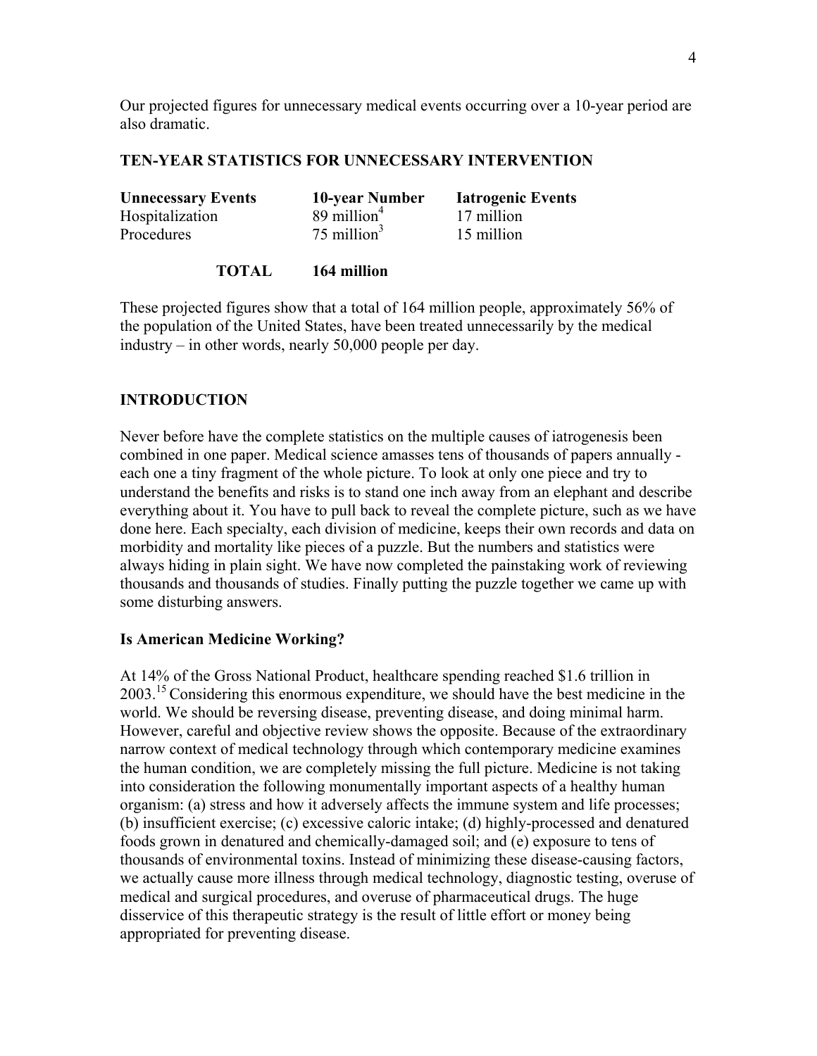Our projected figures for unnecessary medical events occurring over a 10-year period are also dramatic.

### **TEN-YEAR STATISTICS FOR UNNECESSARY INTERVENTION**

| <b>Unnecessary Events</b> | 10-year Number | <b>Iatrogenic Events</b> |
|---------------------------|----------------|--------------------------|
| Hospitalization           | 89 million $4$ | 17 million               |
| Procedures                | 75 million $3$ | 15 million               |

### **TOTAL 164 million**

These projected figures show that a total of 164 million people, approximately 56% of the population of the United States, have been treated unnecessarily by the medical industry – in other words, nearly 50,000 people per day.

## **INTRODUCTION**

Never before have the complete statistics on the multiple causes of iatrogenesis been combined in one paper. Medical science amasses tens of thousands of papers annually each one a tiny fragment of the whole picture. To look at only one piece and try to understand the benefits and risks is to stand one inch away from an elephant and describe everything about it. You have to pull back to reveal the complete picture, such as we have done here. Each specialty, each division of medicine, keeps their own records and data on morbidity and mortality like pieces of a puzzle. But the numbers and statistics were always hiding in plain sight. We have now completed the painstaking work of reviewing thousands and thousands of studies. Finally putting the puzzle together we came up with some disturbing answers.

## **Is American Medicine Working?**

At 14% of the Gross National Product, healthcare spending reached \$1.6 trillion in 2003.15 Considering this enormous expenditure, we should have the best medicine in the world. We should be reversing disease, preventing disease, and doing minimal harm. However, careful and objective review shows the opposite. Because of the extraordinary narrow context of medical technology through which contemporary medicine examines the human condition, we are completely missing the full picture. Medicine is not taking into consideration the following monumentally important aspects of a healthy human organism: (a) stress and how it adversely affects the immune system and life processes; (b) insufficient exercise; (c) excessive caloric intake; (d) highly-processed and denatured foods grown in denatured and chemically-damaged soil; and (e) exposure to tens of thousands of environmental toxins. Instead of minimizing these disease-causing factors, we actually cause more illness through medical technology, diagnostic testing, overuse of medical and surgical procedures, and overuse of pharmaceutical drugs. The huge disservice of this therapeutic strategy is the result of little effort or money being appropriated for preventing disease.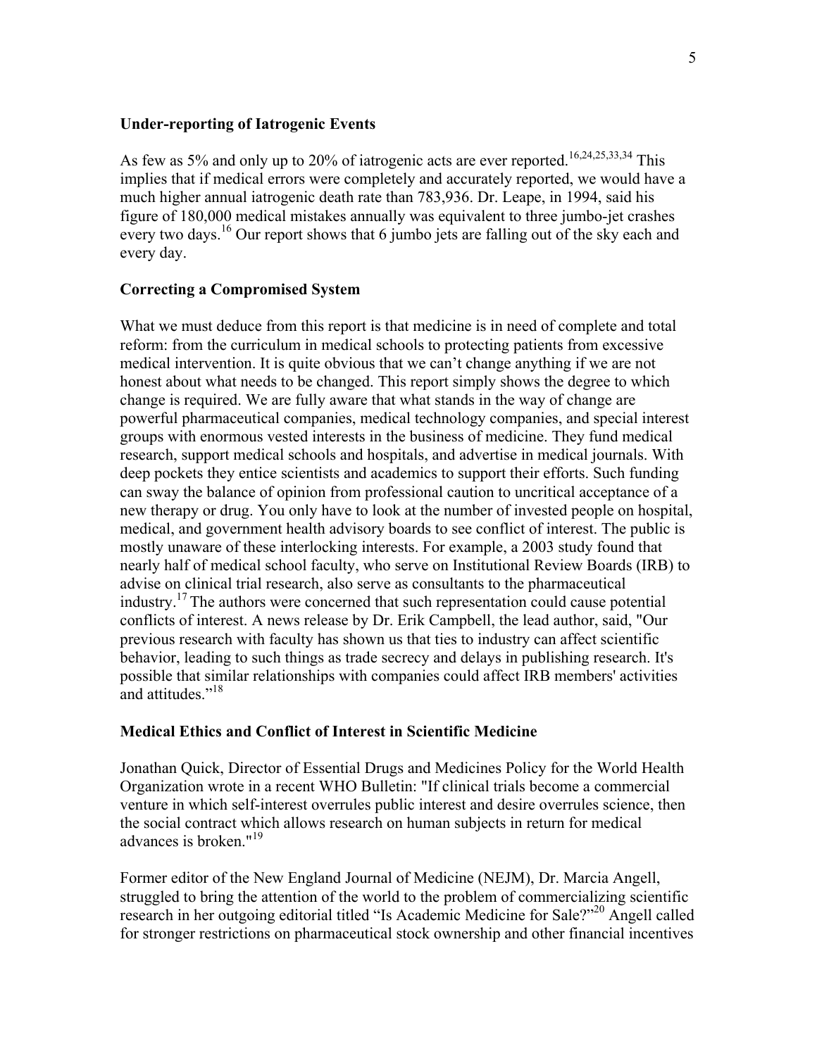#### **Under-reporting of Iatrogenic Events**

As few as 5% and only up to 20% of iatrogenic acts are ever reported.<sup>16,24,25,33,34</sup> This implies that if medical errors were completely and accurately reported, we would have a much higher annual iatrogenic death rate than 783,936. Dr. Leape, in 1994, said his figure of 180,000 medical mistakes annually was equivalent to three jumbo-jet crashes every two days.<sup>16</sup> Our report shows that 6 jumbo jets are falling out of the sky each and every day.

#### **Correcting a Compromised System**

What we must deduce from this report is that medicine is in need of complete and total reform: from the curriculum in medical schools to protecting patients from excessive medical intervention. It is quite obvious that we can't change anything if we are not honest about what needs to be changed. This report simply shows the degree to which change is required. We are fully aware that what stands in the way of change are powerful pharmaceutical companies, medical technology companies, and special interest groups with enormous vested interests in the business of medicine. They fund medical research, support medical schools and hospitals, and advertise in medical journals. With deep pockets they entice scientists and academics to support their efforts. Such funding can sway the balance of opinion from professional caution to uncritical acceptance of a new therapy or drug. You only have to look at the number of invested people on hospital, medical, and government health advisory boards to see conflict of interest. The public is mostly unaware of these interlocking interests. For example, a 2003 study found that nearly half of medical school faculty, who serve on Institutional Review Boards (IRB) to advise on clinical trial research, also serve as consultants to the pharmaceutical industry.<sup>17</sup> The authors were concerned that such representation could cause potential conflicts of interest. A news release by Dr. Erik Campbell, the lead author, said, "Our previous research with faculty has shown us that ties to industry can affect scientific behavior, leading to such things as trade secrecy and delays in publishing research. It's possible that similar relationships with companies could affect IRB members' activities and attitudes  $^{7,18}$ 

#### **Medical Ethics and Conflict of Interest in Scientific Medicine**

Jonathan Quick, Director of Essential Drugs and Medicines Policy for the World Health Organization wrote in a recent WHO Bulletin: "If clinical trials become a commercial venture in which self-interest overrules public interest and desire overrules science, then the social contract which allows research on human subjects in return for medical advances is broken."<sup>19</sup>

Former editor of the New England Journal of Medicine (NEJM), Dr. Marcia Angell, struggled to bring the attention of the world to the problem of commercializing scientific research in her outgoing editorial titled "Is Academic Medicine for Sale?"20 Angell called for stronger restrictions on pharmaceutical stock ownership and other financial incentives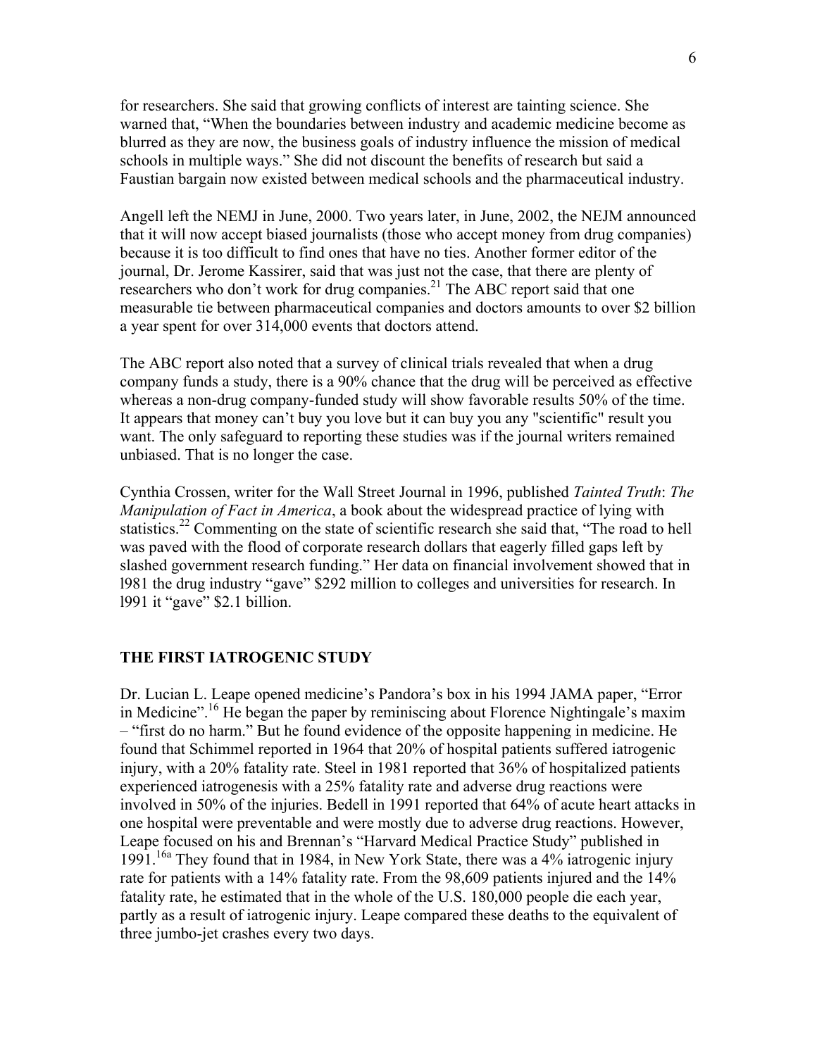for researchers. She said that growing conflicts of interest are tainting science. She warned that, "When the boundaries between industry and academic medicine become as blurred as they are now, the business goals of industry influence the mission of medical schools in multiple ways." She did not discount the benefits of research but said a Faustian bargain now existed between medical schools and the pharmaceutical industry.

Angell left the NEMJ in June, 2000. Two years later, in June, 2002, the NEJM announced that it will now accept biased journalists (those who accept money from drug companies) because it is too difficult to find ones that have no ties. Another former editor of the journal, Dr. Jerome Kassirer, said that was just not the case, that there are plenty of researchers who don't work for drug companies.<sup>21</sup> The ABC report said that one measurable tie between pharmaceutical companies and doctors amounts to over \$2 billion a year spent for over 314,000 events that doctors attend.

The ABC report also noted that a survey of clinical trials revealed that when a drug company funds a study, there is a 90% chance that the drug will be perceived as effective whereas a non-drug company-funded study will show favorable results 50% of the time. It appears that money can't buy you love but it can buy you any "scientific" result you want. The only safeguard to reporting these studies was if the journal writers remained unbiased. That is no longer the case.

Cynthia Crossen, writer for the Wall Street Journal in 1996, published *Tainted Truth*: *The Manipulation of Fact in America*, a book about the widespread practice of lying with statistics.<sup>22</sup> Commenting on the state of scientific research she said that, "The road to hell was paved with the flood of corporate research dollars that eagerly filled gaps left by slashed government research funding." Her data on financial involvement showed that in l981 the drug industry "gave" \$292 million to colleges and universities for research. In l991 it "gave" \$2.1 billion.

### **THE FIRST IATROGENIC STUDY**

Dr. Lucian L. Leape opened medicine's Pandora's box in his 1994 JAMA paper, "Error in Medicine".16 He began the paper by reminiscing about Florence Nightingale's maxim – "first do no harm." But he found evidence of the opposite happening in medicine. He found that Schimmel reported in 1964 that 20% of hospital patients suffered iatrogenic injury, with a 20% fatality rate. Steel in 1981 reported that 36% of hospitalized patients experienced iatrogenesis with a 25% fatality rate and adverse drug reactions were involved in 50% of the injuries. Bedell in 1991 reported that 64% of acute heart attacks in one hospital were preventable and were mostly due to adverse drug reactions. However, Leape focused on his and Brennan's "Harvard Medical Practice Study" published in 1991.<sup>16a</sup> They found that in 1984, in New York State, there was a 4% iatrogenic injury rate for patients with a 14% fatality rate. From the 98,609 patients injured and the 14% fatality rate, he estimated that in the whole of the U.S. 180,000 people die each year, partly as a result of iatrogenic injury. Leape compared these deaths to the equivalent of three jumbo-jet crashes every two days.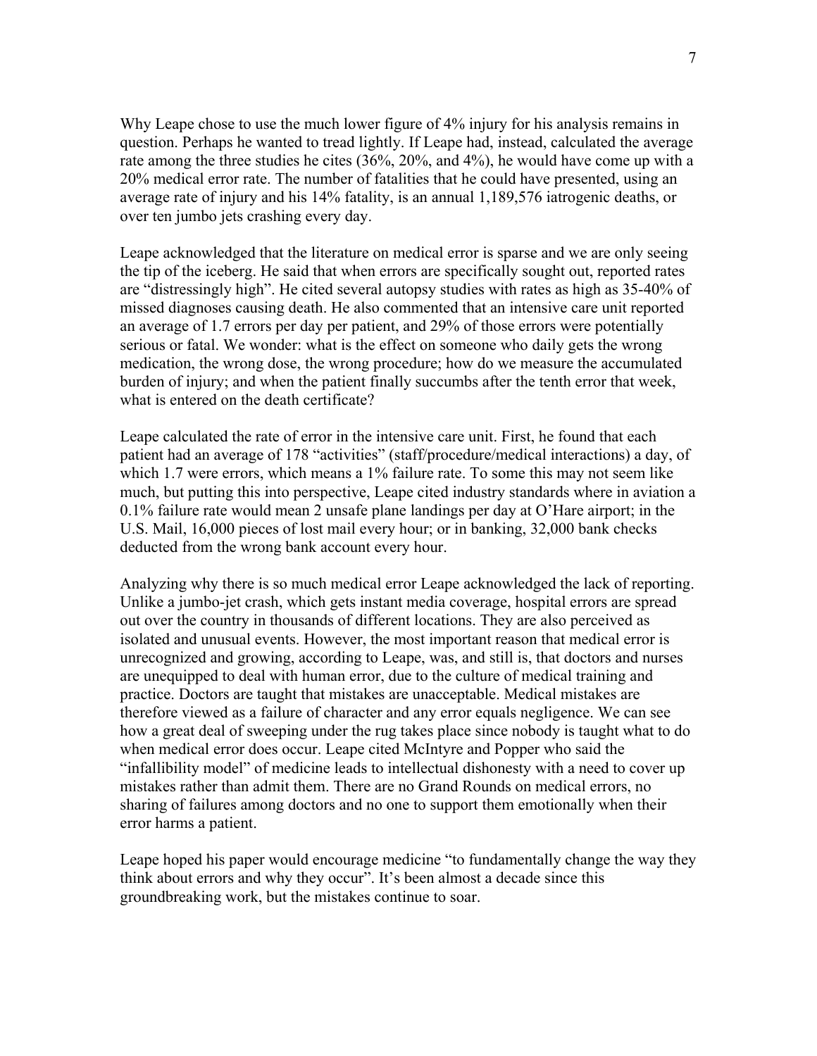Why Leape chose to use the much lower figure of 4% injury for his analysis remains in question. Perhaps he wanted to tread lightly. If Leape had, instead, calculated the average rate among the three studies he cites (36%, 20%, and 4%), he would have come up with a 20% medical error rate. The number of fatalities that he could have presented, using an average rate of injury and his 14% fatality, is an annual 1,189,576 iatrogenic deaths, or over ten jumbo jets crashing every day.

Leape acknowledged that the literature on medical error is sparse and we are only seeing the tip of the iceberg. He said that when errors are specifically sought out, reported rates are "distressingly high". He cited several autopsy studies with rates as high as 35-40% of missed diagnoses causing death. He also commented that an intensive care unit reported an average of 1.7 errors per day per patient, and 29% of those errors were potentially serious or fatal. We wonder: what is the effect on someone who daily gets the wrong medication, the wrong dose, the wrong procedure; how do we measure the accumulated burden of injury; and when the patient finally succumbs after the tenth error that week, what is entered on the death certificate?

Leape calculated the rate of error in the intensive care unit. First, he found that each patient had an average of 178 "activities" (staff/procedure/medical interactions) a day, of which 1.7 were errors, which means a 1% failure rate. To some this may not seem like much, but putting this into perspective, Leape cited industry standards where in aviation a 0.1% failure rate would mean 2 unsafe plane landings per day at O'Hare airport; in the U.S. Mail, 16,000 pieces of lost mail every hour; or in banking, 32,000 bank checks deducted from the wrong bank account every hour.

Analyzing why there is so much medical error Leape acknowledged the lack of reporting. Unlike a jumbo-jet crash, which gets instant media coverage, hospital errors are spread out over the country in thousands of different locations. They are also perceived as isolated and unusual events. However, the most important reason that medical error is unrecognized and growing, according to Leape, was, and still is, that doctors and nurses are unequipped to deal with human error, due to the culture of medical training and practice. Doctors are taught that mistakes are unacceptable. Medical mistakes are therefore viewed as a failure of character and any error equals negligence. We can see how a great deal of sweeping under the rug takes place since nobody is taught what to do when medical error does occur. Leape cited McIntyre and Popper who said the "infallibility model" of medicine leads to intellectual dishonesty with a need to cover up mistakes rather than admit them. There are no Grand Rounds on medical errors, no sharing of failures among doctors and no one to support them emotionally when their error harms a patient.

Leape hoped his paper would encourage medicine "to fundamentally change the way they think about errors and why they occur". It's been almost a decade since this groundbreaking work, but the mistakes continue to soar.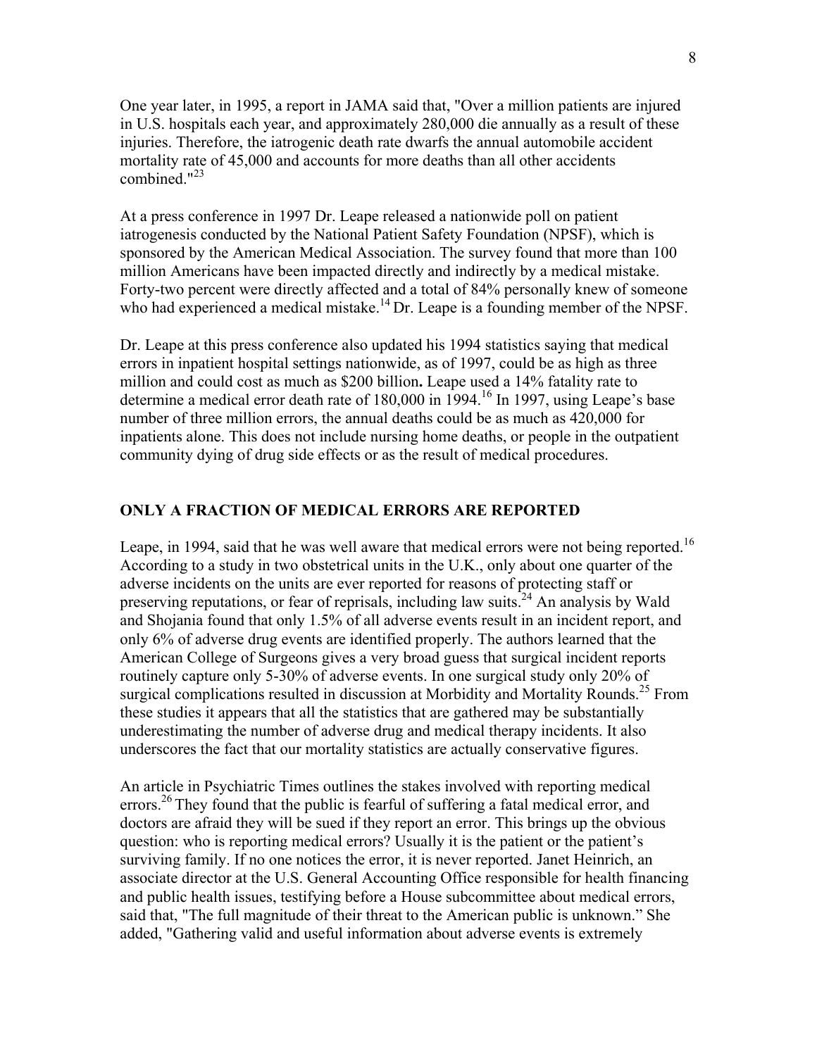One year later, in 1995, a report in JAMA said that, "Over a million patients are injured in U.S. hospitals each year, and approximately 280,000 die annually as a result of these injuries. Therefore, the iatrogenic death rate dwarfs the annual automobile accident mortality rate of 45,000 and accounts for more deaths than all other accidents combined. $123$ 

At a press conference in 1997 Dr. Leape released a nationwide poll on patient iatrogenesis conducted by the National Patient Safety Foundation (NPSF), which is sponsored by the American Medical Association. The survey found that more than 100 million Americans have been impacted directly and indirectly by a medical mistake. Forty-two percent were directly affected and a total of 84% personally knew of someone who had experienced a medical mistake.<sup>14</sup> Dr. Leape is a founding member of the NPSF.

Dr. Leape at this press conference also updated his 1994 statistics saying that medical errors in inpatient hospital settings nationwide, as of 1997, could be as high as three million and could cost as much as \$200 billion**.** Leape used a 14% fatality rate to determine a medical error death rate of  $180,000$  in  $1994$ .<sup>16</sup> In 1997, using Leape's base number of three million errors, the annual deaths could be as much as 420,000 for inpatients alone. This does not include nursing home deaths, or people in the outpatient community dying of drug side effects or as the result of medical procedures.

#### **ONLY A FRACTION OF MEDICAL ERRORS ARE REPORTED**

Leape, in 1994, said that he was well aware that medical errors were not being reported.<sup>16</sup> According to a study in two obstetrical units in the U.K., only about one quarter of the adverse incidents on the units are ever reported for reasons of protecting staff or preserving reputations, or fear of reprisals, including law suits.<sup>24</sup> An analysis by Wald and Shojania found that only 1.5% of all adverse events result in an incident report, and only 6% of adverse drug events are identified properly. The authors learned that the American College of Surgeons gives a very broad guess that surgical incident reports routinely capture only 5-30% of adverse events. In one surgical study only 20% of surgical complications resulted in discussion at Morbidity and Mortality Rounds.<sup>25</sup> From these studies it appears that all the statistics that are gathered may be substantially underestimating the number of adverse drug and medical therapy incidents. It also underscores the fact that our mortality statistics are actually conservative figures.

An article in Psychiatric Times outlines the stakes involved with reporting medical errors.<sup>26</sup> They found that the public is fearful of suffering a fatal medical error, and doctors are afraid they will be sued if they report an error. This brings up the obvious question: who is reporting medical errors? Usually it is the patient or the patient's surviving family. If no one notices the error, it is never reported. Janet Heinrich, an associate director at the U.S. General Accounting Office responsible for health financing and public health issues, testifying before a House subcommittee about medical errors, said that, "The full magnitude of their threat to the American public is unknown." She added, "Gathering valid and useful information about adverse events is extremely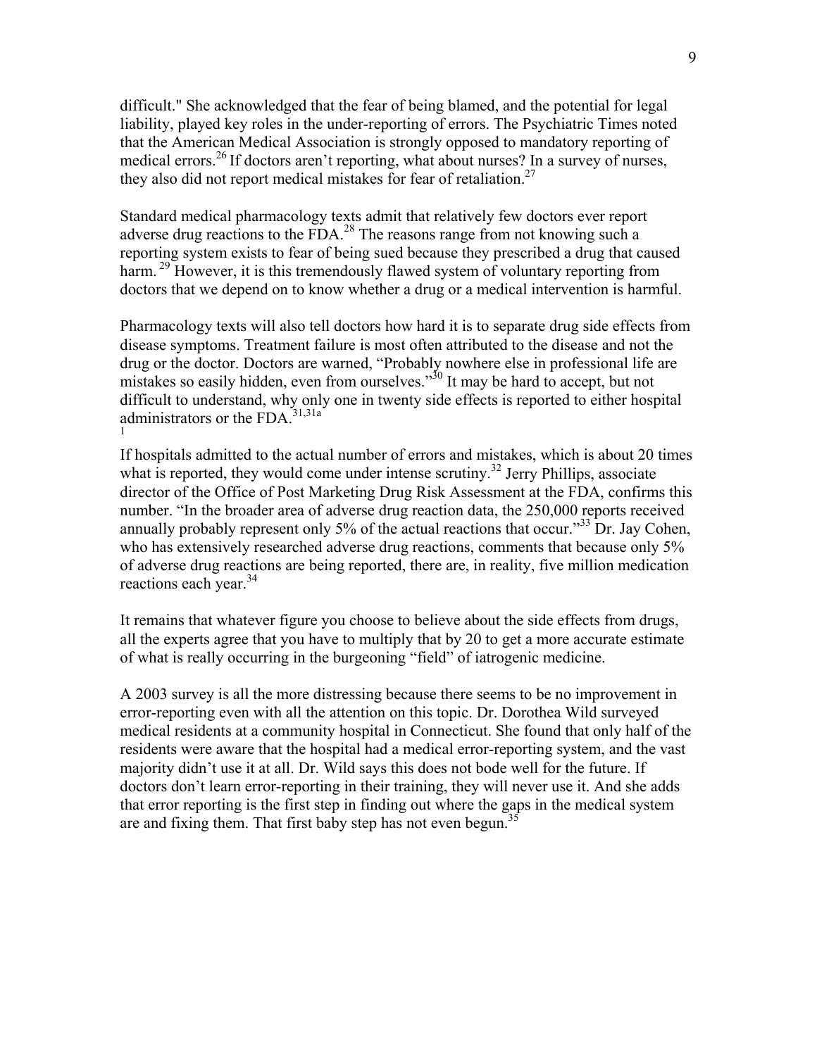difficult." She acknowledged that the fear of being blamed, and the potential for legal liability, played key roles in the under-reporting of errors. The Psychiatric Times noted that the American Medical Association is strongly opposed to mandatory reporting of medical errors.<sup>26</sup> If doctors aren't reporting, what about nurses? In a survey of nurses, they also did not report medical mistakes for fear of retaliation.<sup>27</sup>

Standard medical pharmacology texts admit that relatively few doctors ever report adverse drug reactions to the FDA.<sup>28</sup> The reasons range from not knowing such a reporting system exists to fear of being sued because they prescribed a drug that caused harm.<sup>29</sup> However, it is this tremendously flawed system of voluntary reporting from doctors that we depend on to know whether a drug or a medical intervention is harmful.

Pharmacology texts will also tell doctors how hard it is to separate drug side effects from disease symptoms. Treatment failure is most often attributed to the disease and not the drug or the doctor. Doctors are warned, "Probably nowhere else in professional life are mistakes so easily hidden, even from ourselves."<sup>30</sup> It may be hard to accept, but not difficult to understand, why only one in twenty side effects is reported to either hospital administrators or the FDA.<sup>31,31a</sup> 1

If hospitals admitted to the actual number of errors and mistakes, which is about 20 times what is reported, they would come under intense scrutiny.<sup>32</sup> Jerry Phillips, associate director of the Office of Post Marketing Drug Risk Assessment at the FDA, confirms this number. "In the broader area of adverse drug reaction data, the 250,000 reports received annually probably represent only 5% of the actual reactions that occur."<sup>33</sup> Dr. Jay Cohen, who has extensively researched adverse drug reactions, comments that because only 5% of adverse drug reactions are being reported, there are, in reality, five million medication reactions each year. $34$ 

It remains that whatever figure you choose to believe about the side effects from drugs, all the experts agree that you have to multiply that by 20 to get a more accurate estimate of what is really occurring in the burgeoning "field" of iatrogenic medicine.

A 2003 survey is all the more distressing because there seems to be no improvement in error-reporting even with all the attention on this topic. Dr. Dorothea Wild surveyed medical residents at a community hospital in Connecticut. She found that only half of the residents were aware that the hospital had a medical error-reporting system, and the vast majority didn't use it at all. Dr. Wild says this does not bode well for the future. If doctors don't learn error-reporting in their training, they will never use it. And she adds that error reporting is the first step in finding out where the gaps in the medical system are and fixing them. That first baby step has not even begun.<sup>35</sup>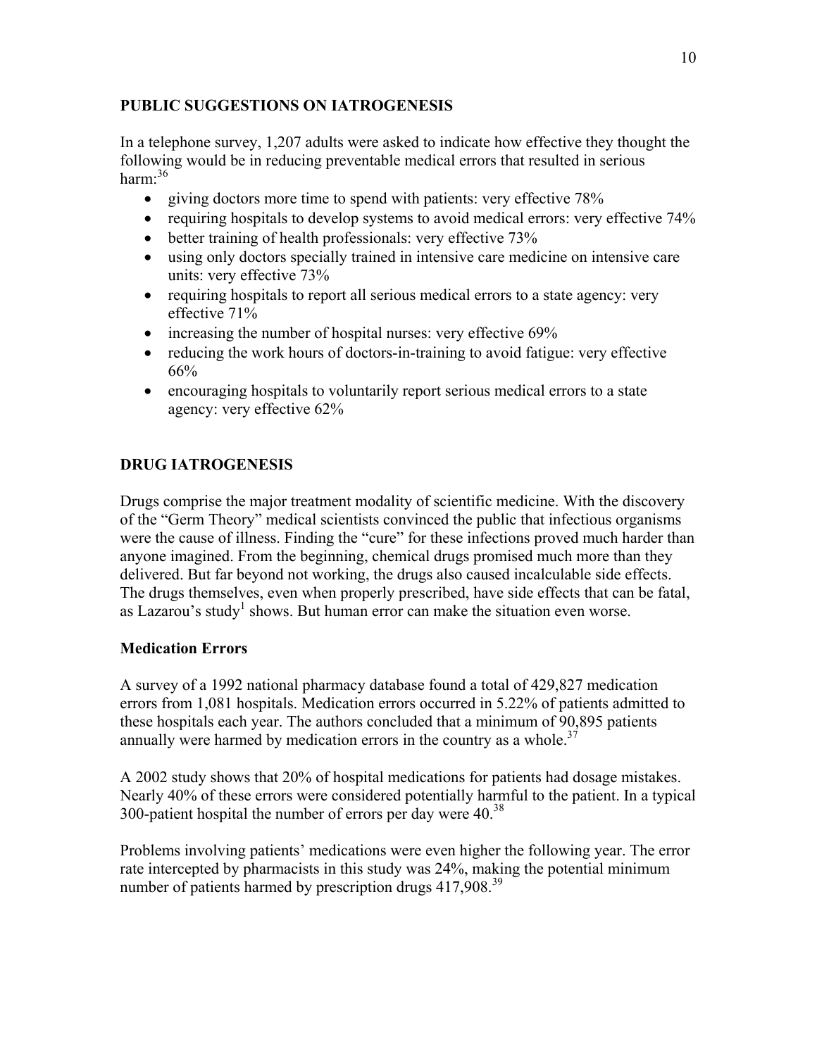## **PUBLIC SUGGESTIONS ON IATROGENESIS**

In a telephone survey, 1,207 adults were asked to indicate how effective they thought the following would be in reducing preventable medical errors that resulted in serious harm $\cdot^{36}$ 

- giving doctors more time to spend with patients: very effective 78%
- requiring hospitals to develop systems to avoid medical errors: very effective 74%
- better training of health professionals: very effective 73%
- using only doctors specially trained in intensive care medicine on intensive care units: very effective 73%
- requiring hospitals to report all serious medical errors to a state agency: very effective 71%
- increasing the number of hospital nurses: very effective 69%
- reducing the work hours of doctors-in-training to avoid fatigue: very effective 66%
- encouraging hospitals to voluntarily report serious medical errors to a state agency: very effective 62%

## **DRUG IATROGENESIS**

Drugs comprise the major treatment modality of scientific medicine. With the discovery of the "Germ Theory" medical scientists convinced the public that infectious organisms were the cause of illness. Finding the "cure" for these infections proved much harder than anyone imagined. From the beginning, chemical drugs promised much more than they delivered. But far beyond not working, the drugs also caused incalculable side effects. The drugs themselves, even when properly prescribed, have side effects that can be fatal, as Lazarou's study<sup>1</sup> shows. But human error can make the situation even worse.

## **Medication Errors**

A survey of a 1992 national pharmacy database found a total of 429,827 medication errors from 1,081 hospitals. Medication errors occurred in 5.22% of patients admitted to these hospitals each year. The authors concluded that a minimum of 90,895 patients annually were harmed by medication errors in the country as a whole.<sup>37</sup>

A 2002 study shows that 20% of hospital medications for patients had dosage mistakes. Nearly 40% of these errors were considered potentially harmful to the patient. In a typical 300-patient hospital the number of errors per day were  $40^{38}$ 

Problems involving patients' medications were even higher the following year. The error rate intercepted by pharmacists in this study was 24%, making the potential minimum number of patients harmed by prescription drugs 417,908.<sup>39</sup>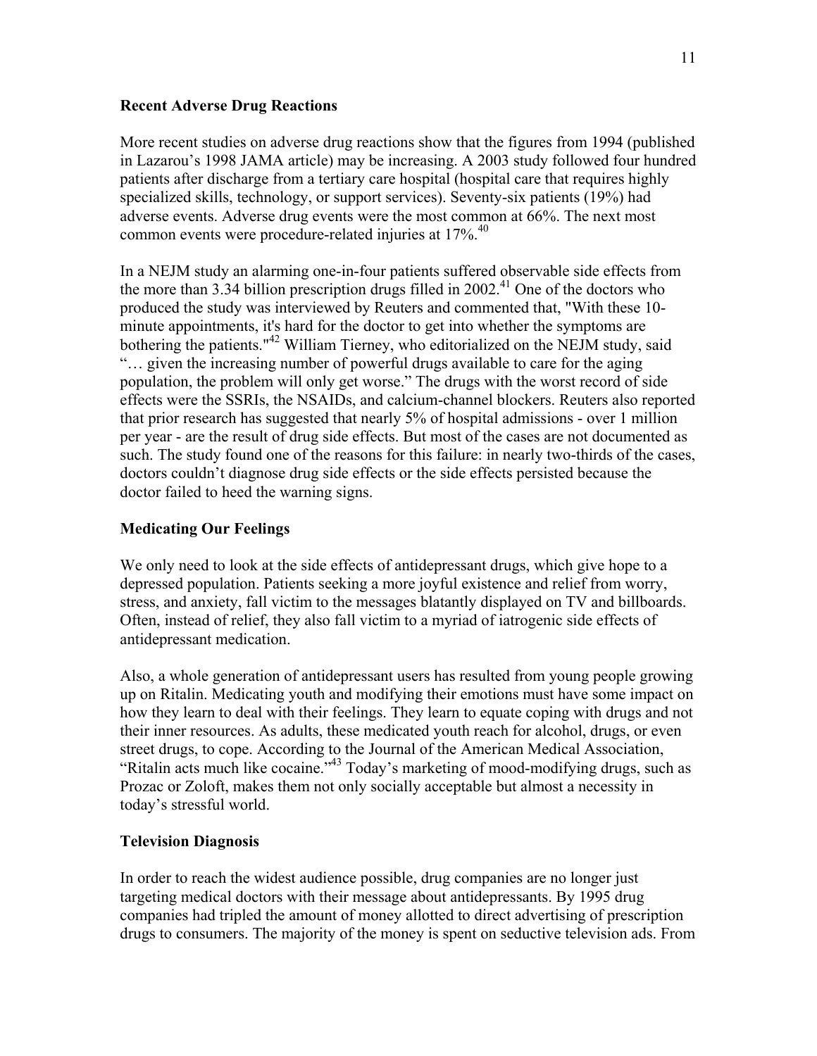### **Recent Adverse Drug Reactions**

More recent studies on adverse drug reactions show that the figures from 1994 (published in Lazarou's 1998 JAMA article) may be increasing. A 2003 study followed four hundred patients after discharge from a tertiary care hospital (hospital care that requires highly specialized skills, technology, or support services). Seventy-six patients (19%) had adverse events. Adverse drug events were the most common at 66%. The next most common events were procedure-related injuries at 17%.<sup>40</sup>

In a NEJM study an alarming one-in-four patients suffered observable side effects from the more than  $3.34$  billion prescription drugs filled in 2002.<sup>41</sup> One of the doctors who produced the study was interviewed by Reuters and commented that, "With these 10 minute appointments, it's hard for the doctor to get into whether the symptoms are bothering the patients."<sup>42</sup> William Tierney, who editorialized on the NEJM study, said "… given the increasing number of powerful drugs available to care for the aging population, the problem will only get worse." The drugs with the worst record of side effects were the SSRIs, the NSAIDs, and calcium-channel blockers. Reuters also reported that prior research has suggested that nearly 5% of hospital admissions - over 1 million per year - are the result of drug side effects. But most of the cases are not documented as such. The study found one of the reasons for this failure: in nearly two-thirds of the cases, doctors couldn't diagnose drug side effects or the side effects persisted because the doctor failed to heed the warning signs.

## **Medicating Our Feelings**

We only need to look at the side effects of antidepressant drugs, which give hope to a depressed population. Patients seeking a more joyful existence and relief from worry, stress, and anxiety, fall victim to the messages blatantly displayed on TV and billboards. Often, instead of relief, they also fall victim to a myriad of iatrogenic side effects of antidepressant medication.

Also, a whole generation of antidepressant users has resulted from young people growing up on Ritalin. Medicating youth and modifying their emotions must have some impact on how they learn to deal with their feelings. They learn to equate coping with drugs and not their inner resources. As adults, these medicated youth reach for alcohol, drugs, or even street drugs, to cope. According to the Journal of the American Medical Association, "Ritalin acts much like cocaine."43 Today's marketing of mood-modifying drugs, such as Prozac or Zoloft, makes them not only socially acceptable but almost a necessity in today's stressful world.

## **Television Diagnosis**

In order to reach the widest audience possible, drug companies are no longer just targeting medical doctors with their message about antidepressants. By 1995 drug companies had tripled the amount of money allotted to direct advertising of prescription drugs to consumers. The majority of the money is spent on seductive television ads. From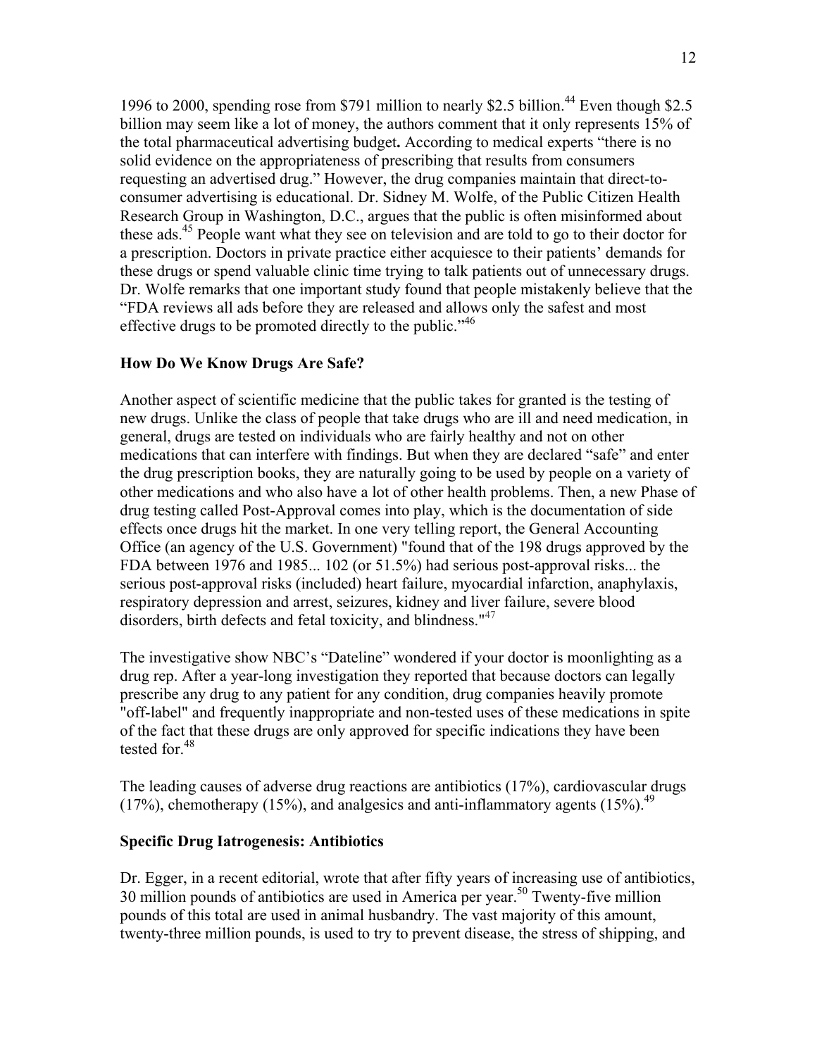1996 to 2000, spending rose from \$791 million to nearly \$2.5 billion.<sup>44</sup> Even though \$2.5 billion may seem like a lot of money, the authors comment that it only represents 15% of the total pharmaceutical advertising budget**.** According to medical experts "there is no solid evidence on the appropriateness of prescribing that results from consumers requesting an advertised drug." However, the drug companies maintain that direct-toconsumer advertising is educational. Dr. Sidney M. Wolfe, of the Public Citizen Health Research Group in Washington, D.C., argues that the public is often misinformed about these ads.<sup>45</sup> People want what they see on television and are told to go to their doctor for a prescription. Doctors in private practice either acquiesce to their patients' demands for these drugs or spend valuable clinic time trying to talk patients out of unnecessary drugs. Dr. Wolfe remarks that one important study found that people mistakenly believe that the "FDA reviews all ads before they are released and allows only the safest and most effective drugs to be promoted directly to the public.<sup> $,46$ </sup>

## **How Do We Know Drugs Are Safe?**

Another aspect of scientific medicine that the public takes for granted is the testing of new drugs. Unlike the class of people that take drugs who are ill and need medication, in general, drugs are tested on individuals who are fairly healthy and not on other medications that can interfere with findings. But when they are declared "safe" and enter the drug prescription books, they are naturally going to be used by people on a variety of other medications and who also have a lot of other health problems. Then, a new Phase of drug testing called Post-Approval comes into play, which is the documentation of side effects once drugs hit the market. In one very telling report, the General Accounting Office (an agency of the U.S. Government) "found that of the 198 drugs approved by the FDA between 1976 and 1985... 102 (or 51.5%) had serious post-approval risks... the serious post-approval risks (included) heart failure, myocardial infarction, anaphylaxis, respiratory depression and arrest, seizures, kidney and liver failure, severe blood disorders, birth defects and fetal toxicity, and blindness. $"^{47}$ 

The investigative show NBC's "Dateline" wondered if your doctor is moonlighting as a drug rep. After a year-long investigation they reported that because doctors can legally prescribe any drug to any patient for any condition, drug companies heavily promote "off-label" and frequently inappropriate and non-tested uses of these medications in spite of the fact that these drugs are only approved for specific indications they have been tested for.<sup>48</sup>

The leading causes of adverse drug reactions are antibiotics (17%), cardiovascular drugs (17%), chemotherapy (15%), and analgesics and anti-inflammatory agents (15%).<sup>49</sup>

### **Specific Drug Iatrogenesis: Antibiotics**

Dr. Egger, in a recent editorial, wrote that after fifty years of increasing use of antibiotics, 30 million pounds of antibiotics are used in America per year.<sup>50</sup> Twenty-five million pounds of this total are used in animal husbandry. The vast majority of this amount, twenty-three million pounds, is used to try to prevent disease, the stress of shipping, and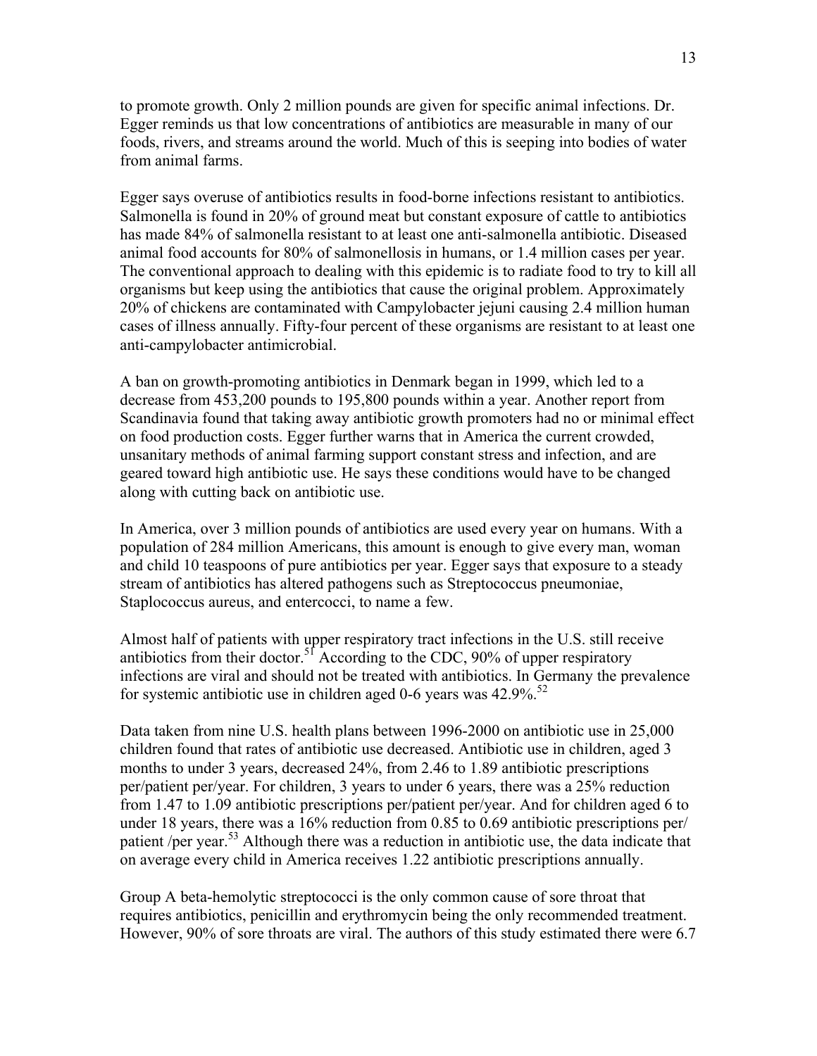to promote growth. Only 2 million pounds are given for specific animal infections. Dr. Egger reminds us that low concentrations of antibiotics are measurable in many of our foods, rivers, and streams around the world. Much of this is seeping into bodies of water from animal farms.

Egger says overuse of antibiotics results in food-borne infections resistant to antibiotics. Salmonella is found in 20% of ground meat but constant exposure of cattle to antibiotics has made 84% of salmonella resistant to at least one anti-salmonella antibiotic. Diseased animal food accounts for 80% of salmonellosis in humans, or 1.4 million cases per year. The conventional approach to dealing with this epidemic is to radiate food to try to kill all organisms but keep using the antibiotics that cause the original problem. Approximately 20% of chickens are contaminated with Campylobacter jejuni causing 2.4 million human cases of illness annually. Fifty-four percent of these organisms are resistant to at least one anti-campylobacter antimicrobial.

A ban on growth-promoting antibiotics in Denmark began in 1999, which led to a decrease from 453,200 pounds to 195,800 pounds within a year. Another report from Scandinavia found that taking away antibiotic growth promoters had no or minimal effect on food production costs. Egger further warns that in America the current crowded, unsanitary methods of animal farming support constant stress and infection, and are geared toward high antibiotic use. He says these conditions would have to be changed along with cutting back on antibiotic use.

In America, over 3 million pounds of antibiotics are used every year on humans. With a population of 284 million Americans, this amount is enough to give every man, woman and child 10 teaspoons of pure antibiotics per year. Egger says that exposure to a steady stream of antibiotics has altered pathogens such as Streptococcus pneumoniae, Staplococcus aureus, and entercocci, to name a few.

Almost half of patients with upper respiratory tract infections in the U.S. still receive antibiotics from their doctor.<sup>51</sup> According to the CDC, 90% of upper respiratory infections are viral and should not be treated with antibiotics. In Germany the prevalence for systemic antibiotic use in children aged 0-6 years was  $42.9\%$ .<sup>52</sup>

Data taken from nine U.S. health plans between 1996-2000 on antibiotic use in 25,000 children found that rates of antibiotic use decreased. Antibiotic use in children, aged 3 months to under 3 years, decreased 24%, from 2.46 to 1.89 antibiotic prescriptions per/patient per/year. For children, 3 years to under 6 years, there was a 25% reduction from 1.47 to 1.09 antibiotic prescriptions per/patient per/year. And for children aged 6 to under 18 years, there was a 16% reduction from 0.85 to 0.69 antibiotic prescriptions per/ patient /per year.<sup>53</sup> Although there was a reduction in antibiotic use, the data indicate that on average every child in America receives 1.22 antibiotic prescriptions annually.

Group A beta-hemolytic streptococci is the only common cause of sore throat that requires antibiotics, penicillin and erythromycin being the only recommended treatment. However, 90% of sore throats are viral. The authors of this study estimated there were 6.7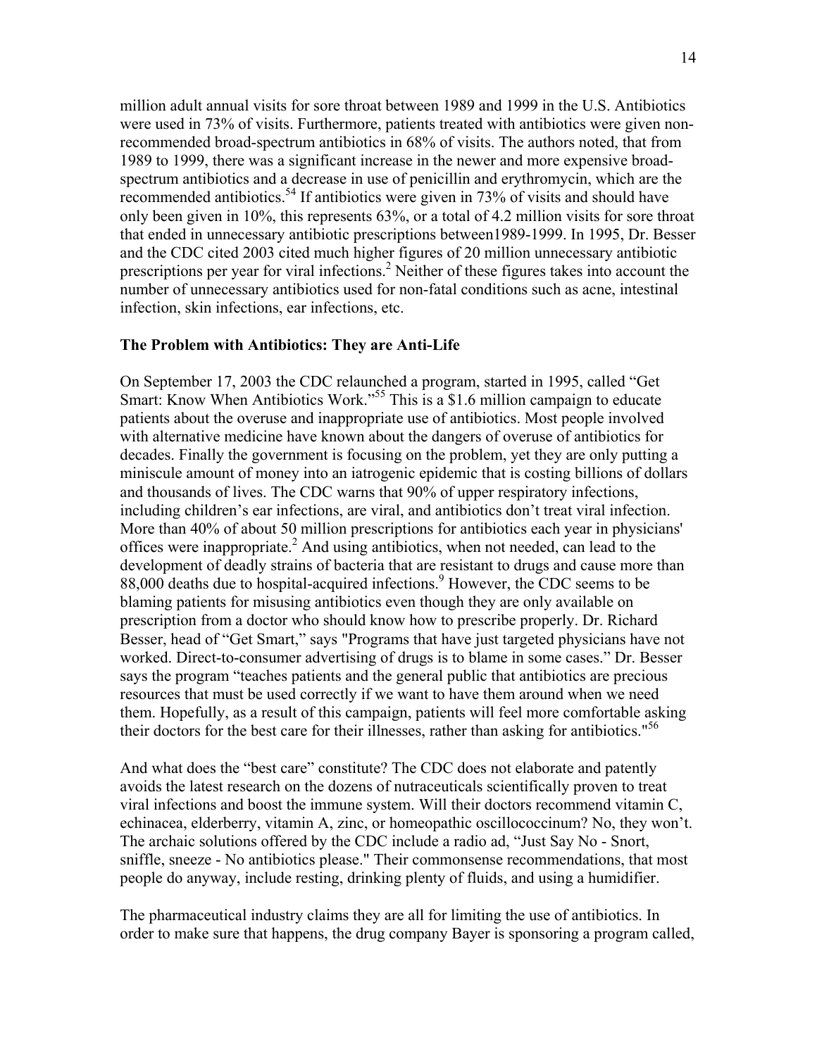million adult annual visits for sore throat between 1989 and 1999 in the U.S. Antibiotics were used in 73% of visits. Furthermore, patients treated with antibiotics were given nonrecommended broad-spectrum antibiotics in 68% of visits. The authors noted, that from 1989 to 1999, there was a significant increase in the newer and more expensive broadspectrum antibiotics and a decrease in use of penicillin and erythromycin, which are the recommended antibiotics.54 If antibiotics were given in 73% of visits and should have only been given in 10%, this represents 63%, or a total of 4.2 million visits for sore throat that ended in unnecessary antibiotic prescriptions between1989-1999. In 1995, Dr. Besser and the CDC cited 2003 cited much higher figures of 20 million unnecessary antibiotic prescriptions per year for viral infections.<sup>2</sup> Neither of these figures takes into account the number of unnecessary antibiotics used for non-fatal conditions such as acne, intestinal infection, skin infections, ear infections, etc.

### **The Problem with Antibiotics: They are Anti-Life**

On September 17, 2003 the CDC relaunched a program, started in 1995, called "Get Smart: Know When Antibiotics Work."55 This is a \$1.6 million campaign to educate patients about the overuse and inappropriate use of antibiotics. Most people involved with alternative medicine have known about the dangers of overuse of antibiotics for decades. Finally the government is focusing on the problem, yet they are only putting a miniscule amount of money into an iatrogenic epidemic that is costing billions of dollars and thousands of lives. The CDC warns that 90% of upper respiratory infections, including children's ear infections, are viral, and antibiotics don't treat viral infection. More than 40% of about 50 million prescriptions for antibiotics each year in physicians' offices were inappropriate.<sup>2</sup> And using antibiotics, when not needed, can lead to the development of deadly strains of bacteria that are resistant to drugs and cause more than 88,000 deaths due to hospital-acquired infections.<sup>9</sup> However, the CDC seems to be blaming patients for misusing antibiotics even though they are only available on prescription from a doctor who should know how to prescribe properly. Dr. Richard Besser, head of "Get Smart," says "Programs that have just targeted physicians have not worked. Direct-to-consumer advertising of drugs is to blame in some cases." Dr. Besser says the program "teaches patients and the general public that antibiotics are precious resources that must be used correctly if we want to have them around when we need them. Hopefully, as a result of this campaign, patients will feel more comfortable asking their doctors for the best care for their illnesses, rather than asking for antibiotics."<sup>56</sup>

And what does the "best care" constitute? The CDC does not elaborate and patently avoids the latest research on the dozens of nutraceuticals scientifically proven to treat viral infections and boost the immune system. Will their doctors recommend vitamin C, echinacea, elderberry, vitamin A, zinc, or homeopathic oscillococcinum? No, they won't. The archaic solutions offered by the CDC include a radio ad, "Just Say No - Snort, sniffle, sneeze - No antibiotics please." Their commonsense recommendations, that most people do anyway, include resting, drinking plenty of fluids, and using a humidifier.

The pharmaceutical industry claims they are all for limiting the use of antibiotics. In order to make sure that happens, the drug company Bayer is sponsoring a program called,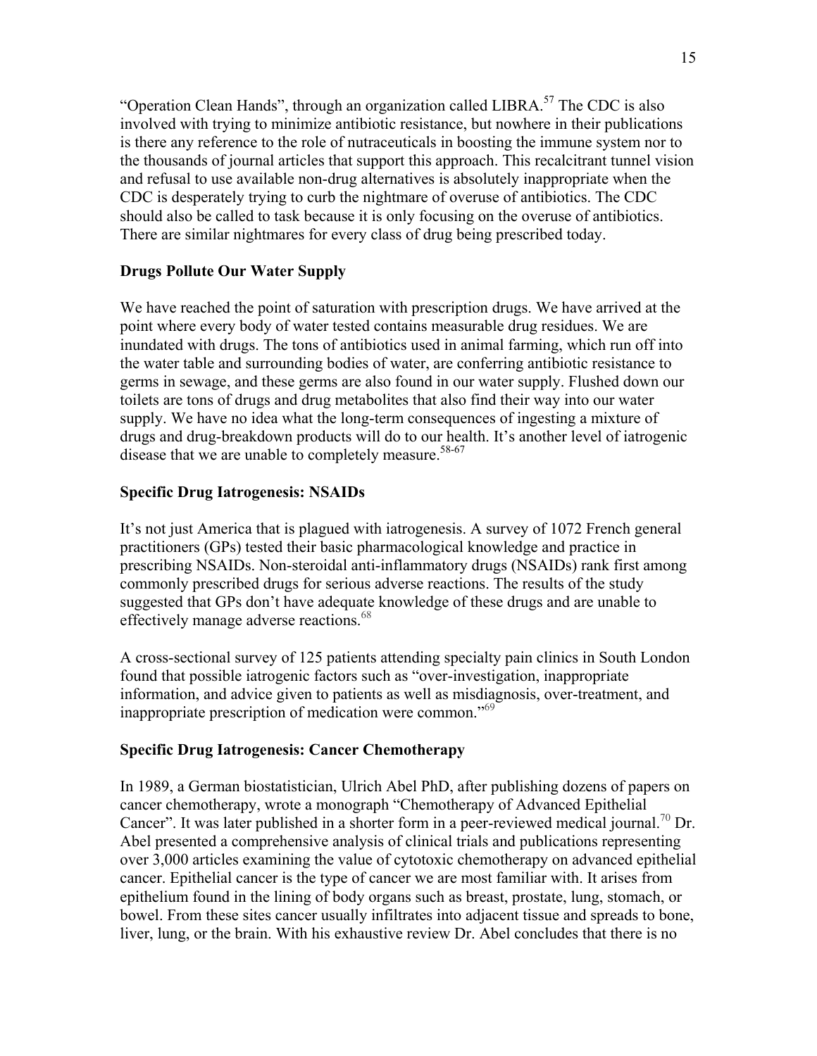"Operation Clean Hands", through an organization called LIBRA.<sup>57</sup> The CDC is also involved with trying to minimize antibiotic resistance, but nowhere in their publications is there any reference to the role of nutraceuticals in boosting the immune system nor to the thousands of journal articles that support this approach. This recalcitrant tunnel vision and refusal to use available non-drug alternatives is absolutely inappropriate when the CDC is desperately trying to curb the nightmare of overuse of antibiotics. The CDC should also be called to task because it is only focusing on the overuse of antibiotics. There are similar nightmares for every class of drug being prescribed today.

## **Drugs Pollute Our Water Supply**

We have reached the point of saturation with prescription drugs. We have arrived at the point where every body of water tested contains measurable drug residues. We are inundated with drugs. The tons of antibiotics used in animal farming, which run off into the water table and surrounding bodies of water, are conferring antibiotic resistance to germs in sewage, and these germs are also found in our water supply. Flushed down our toilets are tons of drugs and drug metabolites that also find their way into our water supply. We have no idea what the long-term consequences of ingesting a mixture of drugs and drug-breakdown products will do to our health. It's another level of iatrogenic disease that we are unable to completely measure.<sup>58-67</sup>

### **Specific Drug Iatrogenesis: NSAIDs**

It's not just America that is plagued with iatrogenesis. A survey of 1072 French general practitioners (GPs) tested their basic pharmacological knowledge and practice in prescribing NSAIDs. Non-steroidal anti-inflammatory drugs (NSAIDs) rank first among commonly prescribed drugs for serious adverse reactions. The results of the study suggested that GPs don't have adequate knowledge of these drugs and are unable to effectively manage adverse reactions.<sup>68</sup>

A cross-sectional survey of 125 patients attending specialty pain clinics in South London found that possible iatrogenic factors such as "over-investigation, inappropriate information, and advice given to patients as well as misdiagnosis, over-treatment, and inappropriate prescription of medication were common.<sup>"69</sup>

### **Specific Drug Iatrogenesis: Cancer Chemotherapy**

In 1989, a German biostatistician, Ulrich Abel PhD, after publishing dozens of papers on cancer chemotherapy, wrote a monograph "Chemotherapy of Advanced Epithelial Cancer". It was later published in a shorter form in a peer-reviewed medical journal.<sup>70</sup> Dr. Abel presented a comprehensive analysis of clinical trials and publications representing over 3,000 articles examining the value of cytotoxic chemotherapy on advanced epithelial cancer. Epithelial cancer is the type of cancer we are most familiar with. It arises from epithelium found in the lining of body organs such as breast, prostate, lung, stomach, or bowel. From these sites cancer usually infiltrates into adjacent tissue and spreads to bone, liver, lung, or the brain. With his exhaustive review Dr. Abel concludes that there is no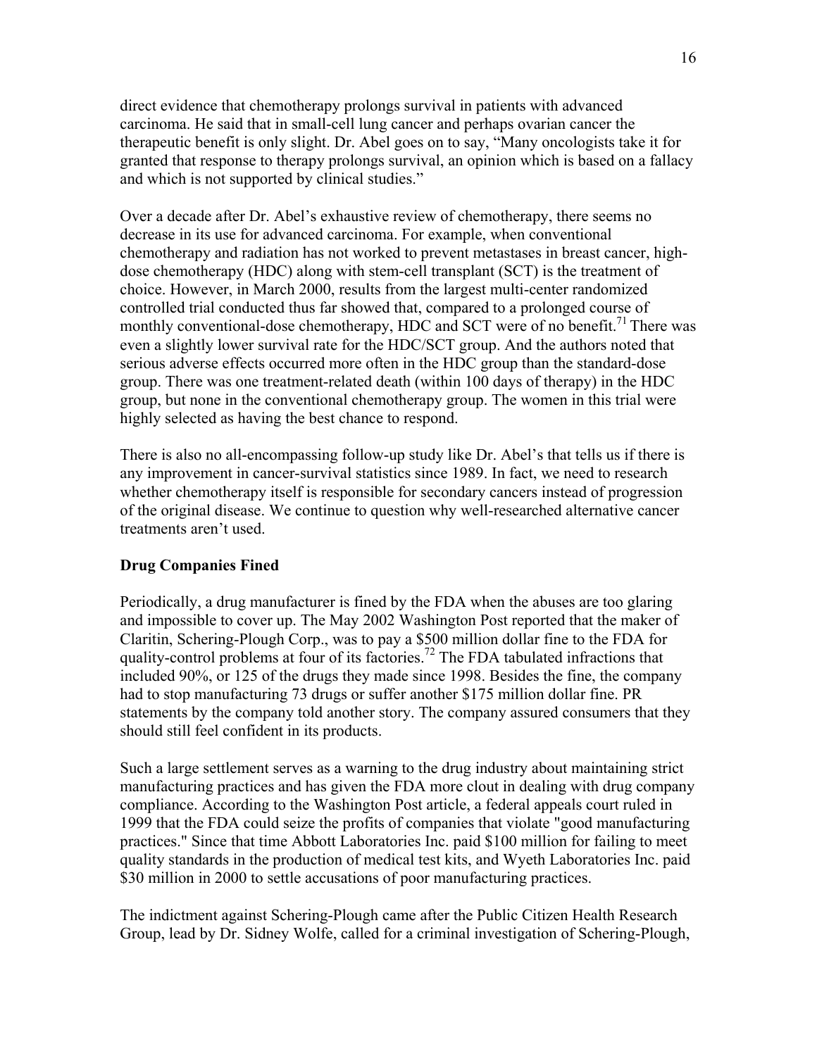direct evidence that chemotherapy prolongs survival in patients with advanced carcinoma. He said that in small-cell lung cancer and perhaps ovarian cancer the therapeutic benefit is only slight. Dr. Abel goes on to say, "Many oncologists take it for granted that response to therapy prolongs survival, an opinion which is based on a fallacy and which is not supported by clinical studies."

Over a decade after Dr. Abel's exhaustive review of chemotherapy, there seems no decrease in its use for advanced carcinoma. For example, when conventional chemotherapy and radiation has not worked to prevent metastases in breast cancer, highdose chemotherapy (HDC) along with stem-cell transplant (SCT) is the treatment of choice. However, in March 2000, results from the largest multi-center randomized controlled trial conducted thus far showed that, compared to a prolonged course of monthly conventional-dose chemotherapy, HDC and SCT were of no benefit.<sup>71</sup> There was even a slightly lower survival rate for the HDC/SCT group. And the authors noted that serious adverse effects occurred more often in the HDC group than the standard-dose group. There was one treatment-related death (within 100 days of therapy) in the HDC group, but none in the conventional chemotherapy group. The women in this trial were highly selected as having the best chance to respond.

There is also no all-encompassing follow-up study like Dr. Abel's that tells us if there is any improvement in cancer-survival statistics since 1989. In fact, we need to research whether chemotherapy itself is responsible for secondary cancers instead of progression of the original disease. We continue to question why well-researched alternative cancer treatments aren't used.

### **Drug Companies Fined**

Periodically, a drug manufacturer is fined by the FDA when the abuses are too glaring and impossible to cover up. The May 2002 Washington Post reported that the maker of Claritin, Schering-Plough Corp., was to pay a \$500 million dollar fine to the FDA for quality-control problems at four of its factories.<sup>72</sup> The FDA tabulated infractions that included 90%, or 125 of the drugs they made since 1998. Besides the fine, the company had to stop manufacturing 73 drugs or suffer another \$175 million dollar fine. PR statements by the company told another story. The company assured consumers that they should still feel confident in its products.

Such a large settlement serves as a warning to the drug industry about maintaining strict manufacturing practices and has given the FDA more clout in dealing with drug company compliance. According to the Washington Post article, a federal appeals court ruled in 1999 that the FDA could seize the profits of companies that violate "good manufacturing practices." Since that time Abbott Laboratories Inc. paid \$100 million for failing to meet quality standards in the production of medical test kits, and Wyeth Laboratories Inc. paid \$30 million in 2000 to settle accusations of poor manufacturing practices.

The indictment against Schering-Plough came after the Public Citizen Health Research Group, lead by Dr. Sidney Wolfe, called for a criminal investigation of Schering-Plough,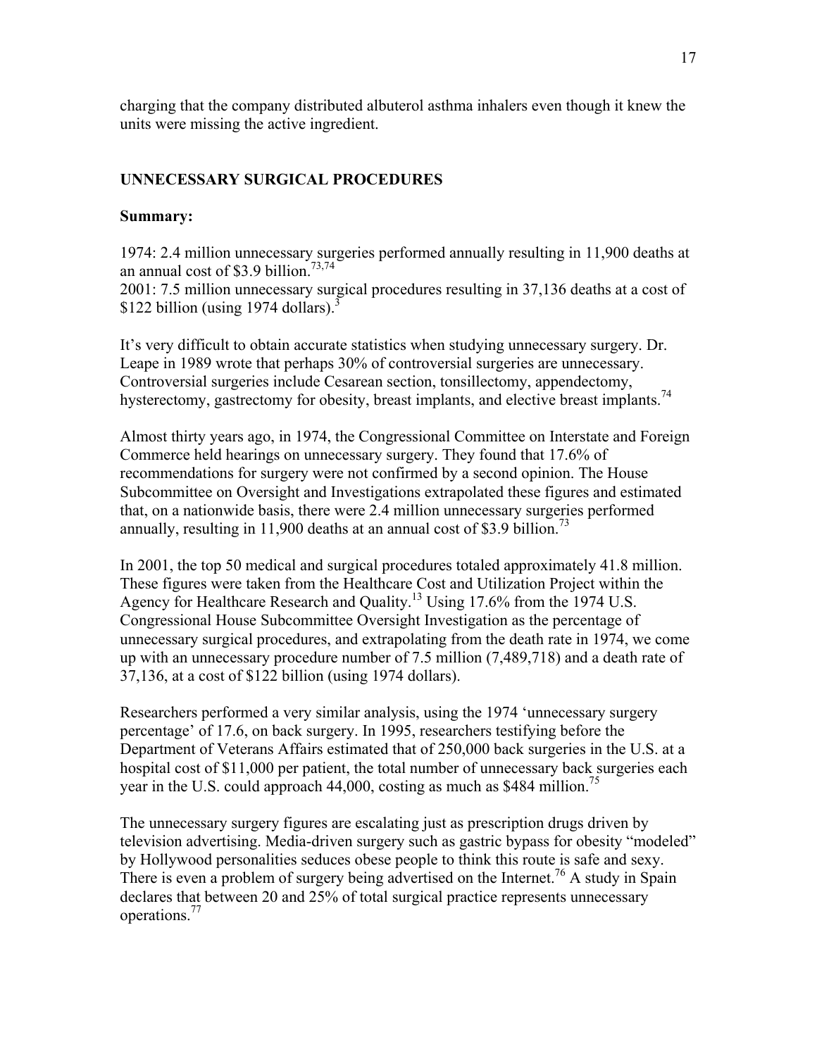charging that the company distributed albuterol asthma inhalers even though it knew the units were missing the active ingredient.

## **UNNECESSARY SURGICAL PROCEDURES**

### **Summary:**

1974: 2.4 million unnecessary surgeries performed annually resulting in 11,900 deaths at an annual cost of \$3.9 billion.<sup>73,74</sup>

2001: 7.5 million unnecessary surgical procedures resulting in 37,136 deaths at a cost of \$122 billion (using 1974 dollars).<sup>3</sup>

It's very difficult to obtain accurate statistics when studying unnecessary surgery. Dr. Leape in 1989 wrote that perhaps 30% of controversial surgeries are unnecessary. Controversial surgeries include Cesarean section, tonsillectomy, appendectomy, hysterectomy, gastrectomy for obesity, breast implants, and elective breast implants.<sup>74</sup>

Almost thirty years ago, in 1974, the Congressional Committee on Interstate and Foreign Commerce held hearings on unnecessary surgery. They found that 17.6% of recommendations for surgery were not confirmed by a second opinion. The House Subcommittee on Oversight and Investigations extrapolated these figures and estimated that, on a nationwide basis, there were 2.4 million unnecessary surgeries performed annually, resulting in 11,900 deaths at an annual cost of \$3.9 billion.<sup>73</sup>

In 2001, the top 50 medical and surgical procedures totaled approximately 41.8 million. These figures were taken from the Healthcare Cost and Utilization Project within the Agency for Healthcare Research and Quality.13 Using 17.6% from the 1974 U.S. Congressional House Subcommittee Oversight Investigation as the percentage of unnecessary surgical procedures, and extrapolating from the death rate in 1974, we come up with an unnecessary procedure number of 7.5 million (7,489,718) and a death rate of 37,136, at a cost of \$122 billion (using 1974 dollars).

Researchers performed a very similar analysis, using the 1974 'unnecessary surgery percentage' of 17.6, on back surgery. In 1995, researchers testifying before the Department of Veterans Affairs estimated that of 250,000 back surgeries in the U.S. at a hospital cost of \$11,000 per patient, the total number of unnecessary back surgeries each year in the U.S. could approach  $44,000$ , costing as much as \$484 million.<sup>75</sup>

The unnecessary surgery figures are escalating just as prescription drugs driven by television advertising. Media-driven surgery such as gastric bypass for obesity "modeled" by Hollywood personalities seduces obese people to think this route is safe and sexy. There is even a problem of surgery being advertised on the Internet.<sup>76</sup> A study in Spain declares that between 20 and 25% of total surgical practice represents unnecessary operations.77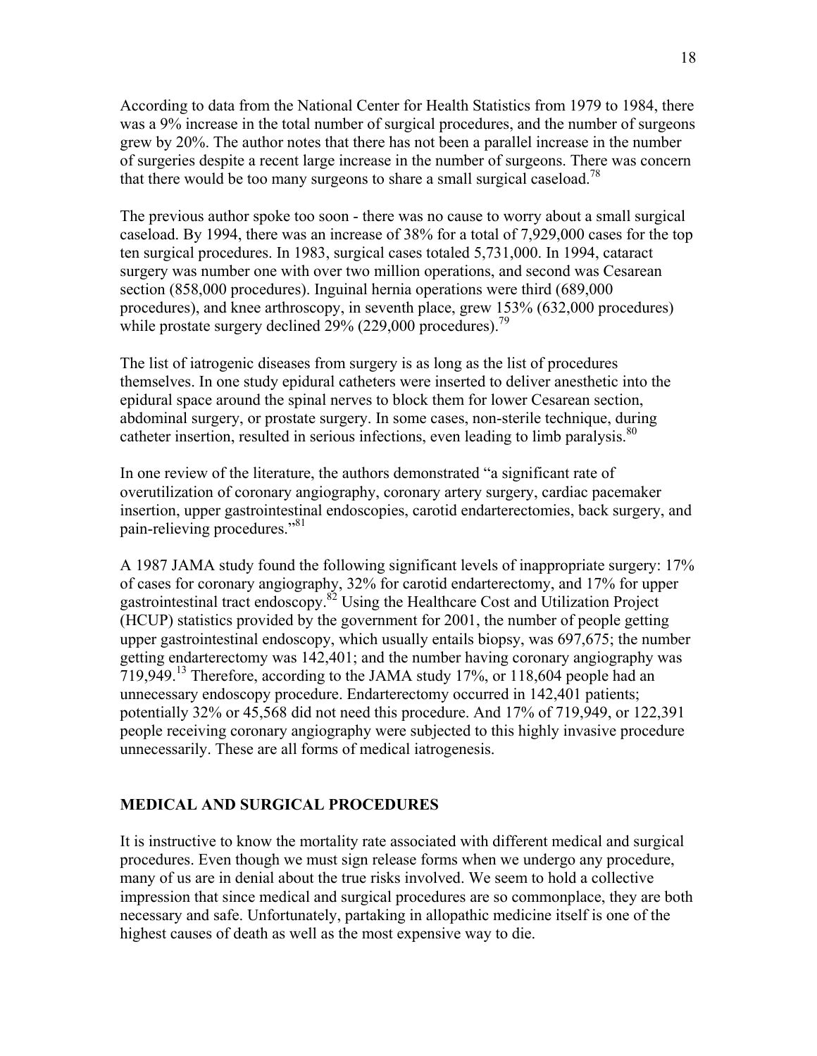According to data from the National Center for Health Statistics from 1979 to 1984, there was a 9% increase in the total number of surgical procedures, and the number of surgeons grew by 20%. The author notes that there has not been a parallel increase in the number of surgeries despite a recent large increase in the number of surgeons. There was concern that there would be too many surgeons to share a small surgical caseload.<sup>78</sup>

The previous author spoke too soon - there was no cause to worry about a small surgical caseload. By 1994, there was an increase of 38% for a total of 7,929,000 cases for the top ten surgical procedures. In 1983, surgical cases totaled 5,731,000. In 1994, cataract surgery was number one with over two million operations, and second was Cesarean section (858,000 procedures). Inguinal hernia operations were third (689,000 procedures), and knee arthroscopy, in seventh place, grew 153% (632,000 procedures) while prostate surgery declined 29% (229,000 procedures).<sup>79</sup>

The list of iatrogenic diseases from surgery is as long as the list of procedures themselves. In one study epidural catheters were inserted to deliver anesthetic into the epidural space around the spinal nerves to block them for lower Cesarean section, abdominal surgery, or prostate surgery. In some cases, non-sterile technique, during catheter insertion, resulted in serious infections, even leading to limb paralysis. $80$ 

In one review of the literature, the authors demonstrated "a significant rate of overutilization of coronary angiography, coronary artery surgery, cardiac pacemaker insertion, upper gastrointestinal endoscopies, carotid endarterectomies, back surgery, and pain-relieving procedures."81

A 1987 JAMA study found the following significant levels of inappropriate surgery: 17% of cases for coronary angiography, 32% for carotid endarterectomy, and 17% for upper gastrointestinal tract endoscopy.82 Using the Healthcare Cost and Utilization Project (HCUP) statistics provided by the government for 2001, the number of people getting upper gastrointestinal endoscopy, which usually entails biopsy, was 697,675; the number getting endarterectomy was 142,401; and the number having coronary angiography was 719,949.<sup>13</sup> Therefore, according to the JAMA study 17%, or 118,604 people had an unnecessary endoscopy procedure. Endarterectomy occurred in 142,401 patients; potentially 32% or 45,568 did not need this procedure. And 17% of 719,949, or 122,391 people receiving coronary angiography were subjected to this highly invasive procedure unnecessarily. These are all forms of medical iatrogenesis.

#### **MEDICAL AND SURGICAL PROCEDURES**

It is instructive to know the mortality rate associated with different medical and surgical procedures. Even though we must sign release forms when we undergo any procedure, many of us are in denial about the true risks involved. We seem to hold a collective impression that since medical and surgical procedures are so commonplace, they are both necessary and safe. Unfortunately, partaking in allopathic medicine itself is one of the highest causes of death as well as the most expensive way to die.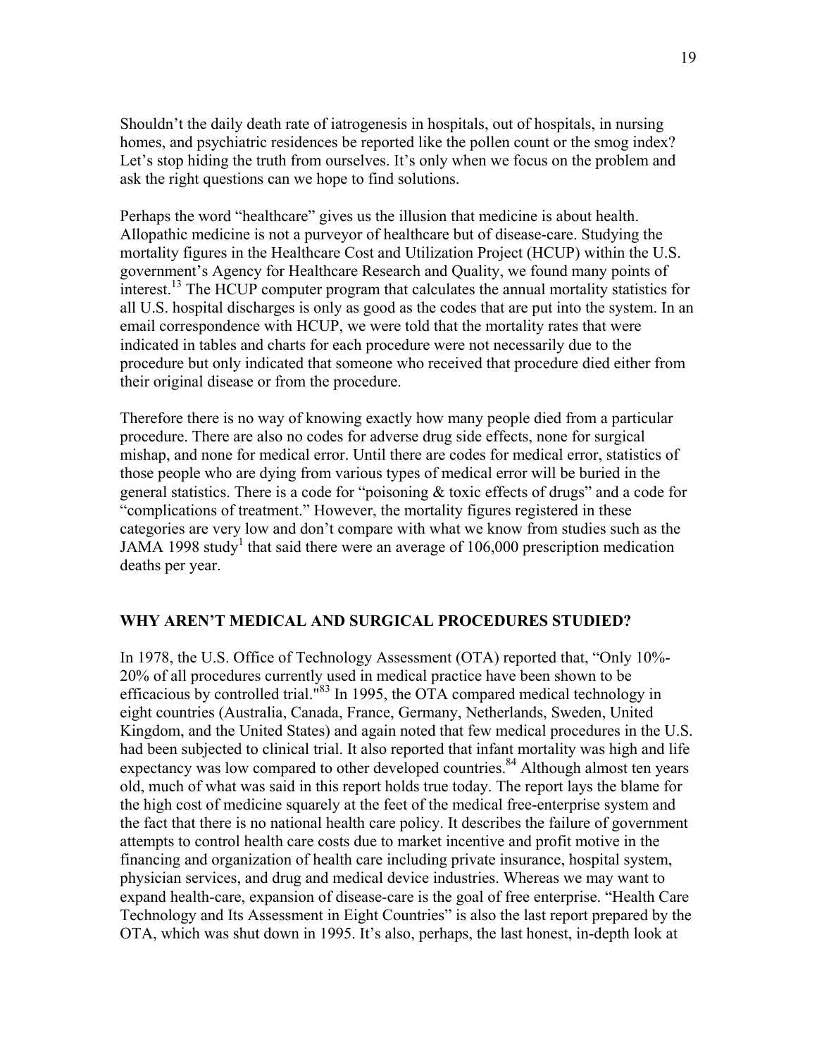Shouldn't the daily death rate of iatrogenesis in hospitals, out of hospitals, in nursing homes, and psychiatric residences be reported like the pollen count or the smog index? Let's stop hiding the truth from ourselves. It's only when we focus on the problem and ask the right questions can we hope to find solutions.

Perhaps the word "healthcare" gives us the illusion that medicine is about health. Allopathic medicine is not a purveyor of healthcare but of disease-care. Studying the mortality figures in the Healthcare Cost and Utilization Project (HCUP) within the U.S. government's Agency for Healthcare Research and Quality, we found many points of interest.<sup>13</sup> The HCUP computer program that calculates the annual mortality statistics for all U.S. hospital discharges is only as good as the codes that are put into the system. In an email correspondence with HCUP, we were told that the mortality rates that were indicated in tables and charts for each procedure were not necessarily due to the procedure but only indicated that someone who received that procedure died either from their original disease or from the procedure.

Therefore there is no way of knowing exactly how many people died from a particular procedure. There are also no codes for adverse drug side effects, none for surgical mishap, and none for medical error. Until there are codes for medical error, statistics of those people who are dying from various types of medical error will be buried in the general statistics. There is a code for "poisoning  $&$  toxic effects of drugs" and a code for "complications of treatment." However, the mortality figures registered in these categories are very low and don't compare with what we know from studies such as the JAMA 1998 study<sup>1</sup> that said there were an average of 106,000 prescription medication deaths per year.

### **WHY AREN'T MEDICAL AND SURGICAL PROCEDURES STUDIED?**

In 1978, the U.S. Office of Technology Assessment (OTA) reported that, "Only 10%- 20% of all procedures currently used in medical practice have been shown to be efficacious by controlled trial."83 In 1995, the OTA compared medical technology in eight countries (Australia, Canada, France, Germany, Netherlands, Sweden, United Kingdom, and the United States) and again noted that few medical procedures in the U.S. had been subjected to clinical trial. It also reported that infant mortality was high and life expectancy was low compared to other developed countries.<sup>84</sup> Although almost ten years old, much of what was said in this report holds true today. The report lays the blame for the high cost of medicine squarely at the feet of the medical free-enterprise system and the fact that there is no national health care policy. It describes the failure of government attempts to control health care costs due to market incentive and profit motive in the financing and organization of health care including private insurance, hospital system, physician services, and drug and medical device industries. Whereas we may want to expand health-care, expansion of disease-care is the goal of free enterprise. "Health Care Technology and Its Assessment in Eight Countries" is also the last report prepared by the OTA, which was shut down in 1995. It's also, perhaps, the last honest, in-depth look at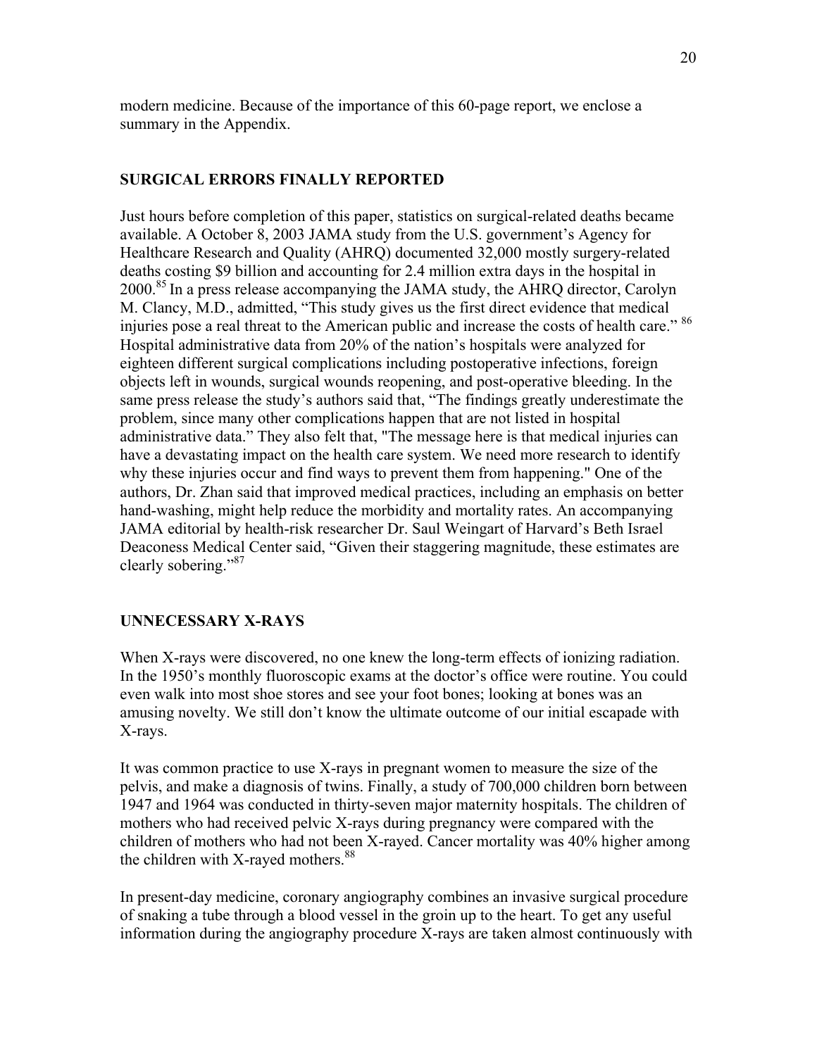modern medicine. Because of the importance of this 60-page report, we enclose a summary in the Appendix.

### **SURGICAL ERRORS FINALLY REPORTED**

Just hours before completion of this paper, statistics on surgical-related deaths became available. A October 8, 2003 JAMA study from the U.S. government's Agency for Healthcare Research and Quality (AHRQ) documented 32,000 mostly surgery-related deaths costing \$9 billion and accounting for 2.4 million extra days in the hospital in 2000.85 In a press release accompanying the JAMA study, the AHRQ director, Carolyn M. Clancy, M.D., admitted, "This study gives us the first direct evidence that medical injuries pose a real threat to the American public and increase the costs of health care." <sup>86</sup> Hospital administrative data from 20% of the nation's hospitals were analyzed for eighteen different surgical complications including postoperative infections, foreign objects left in wounds, surgical wounds reopening, and post-operative bleeding. In the same press release the study's authors said that, "The findings greatly underestimate the problem, since many other complications happen that are not listed in hospital administrative data." They also felt that, "The message here is that medical injuries can have a devastating impact on the health care system. We need more research to identify why these injuries occur and find ways to prevent them from happening." One of the authors, Dr. Zhan said that improved medical practices, including an emphasis on better hand-washing, might help reduce the morbidity and mortality rates. An accompanying JAMA editorial by health-risk researcher Dr. Saul Weingart of Harvard's Beth Israel Deaconess Medical Center said, "Given their staggering magnitude, these estimates are clearly sobering."<sup>87</sup>

#### **UNNECESSARY X-RAYS**

When X-rays were discovered, no one knew the long-term effects of ionizing radiation. In the 1950's monthly fluoroscopic exams at the doctor's office were routine. You could even walk into most shoe stores and see your foot bones; looking at bones was an amusing novelty. We still don't know the ultimate outcome of our initial escapade with X-rays.

It was common practice to use X-rays in pregnant women to measure the size of the pelvis, and make a diagnosis of twins. Finally, a study of 700,000 children born between 1947 and 1964 was conducted in thirty-seven major maternity hospitals. The children of mothers who had received pelvic X-rays during pregnancy were compared with the children of mothers who had not been X-rayed. Cancer mortality was 40% higher among the children with X-rayed mothers.<sup>88</sup>

In present-day medicine, coronary angiography combines an invasive surgical procedure of snaking a tube through a blood vessel in the groin up to the heart. To get any useful information during the angiography procedure X-rays are taken almost continuously with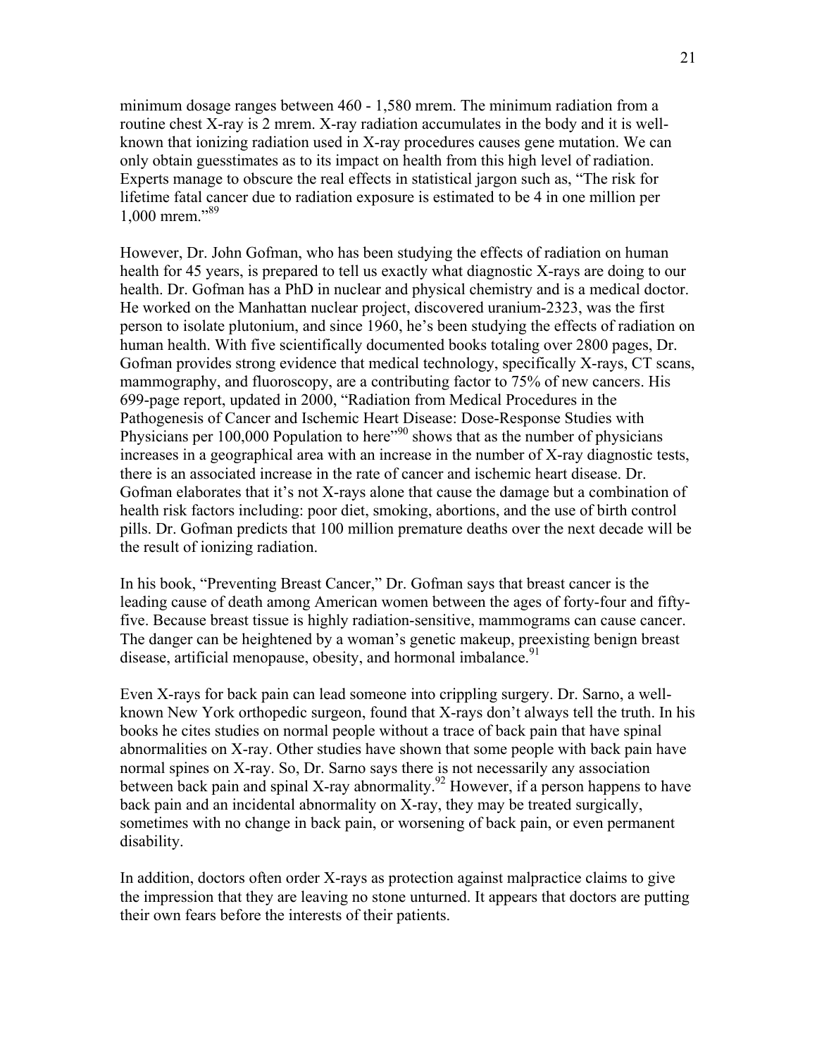minimum dosage ranges between 460 - 1,580 mrem. The minimum radiation from a routine chest X-ray is 2 mrem. X-ray radiation accumulates in the body and it is wellknown that ionizing radiation used in X-ray procedures causes gene mutation. We can only obtain guesstimates as to its impact on health from this high level of radiation. Experts manage to obscure the real effects in statistical jargon such as, "The risk for lifetime fatal cancer due to radiation exposure is estimated to be 4 in one million per 1,000 mrem."89

However, Dr. John Gofman, who has been studying the effects of radiation on human health for 45 years, is prepared to tell us exactly what diagnostic X-rays are doing to our health. Dr. Gofman has a PhD in nuclear and physical chemistry and is a medical doctor. He worked on the Manhattan nuclear project, discovered uranium-2323, was the first person to isolate plutonium, and since 1960, he's been studying the effects of radiation on human health. With five scientifically documented books totaling over 2800 pages, Dr. Gofman provides strong evidence that medical technology, specifically X-rays, CT scans, mammography, and fluoroscopy, are a contributing factor to 75% of new cancers. His 699-page report, updated in 2000, "Radiation from Medical Procedures in the Pathogenesis of Cancer and Ischemic Heart Disease: Dose-Response Studies with Physicians per 100,000 Population to here<sup>"90</sup> shows that as the number of physicians increases in a geographical area with an increase in the number of X-ray diagnostic tests, there is an associated increase in the rate of cancer and ischemic heart disease. Dr. Gofman elaborates that it's not X-rays alone that cause the damage but a combination of health risk factors including: poor diet, smoking, abortions, and the use of birth control pills. Dr. Gofman predicts that 100 million premature deaths over the next decade will be the result of ionizing radiation.

In his book, "Preventing Breast Cancer," Dr. Gofman says that breast cancer is the leading cause of death among American women between the ages of forty-four and fiftyfive. Because breast tissue is highly radiation-sensitive, mammograms can cause cancer. The danger can be heightened by a woman's genetic makeup, preexisting benign breast disease, artificial menopause, obesity, and hormonal imbalance.  $91$ 

Even X-rays for back pain can lead someone into crippling surgery. Dr. Sarno, a wellknown New York orthopedic surgeon, found that X-rays don't always tell the truth. In his books he cites studies on normal people without a trace of back pain that have spinal abnormalities on X-ray. Other studies have shown that some people with back pain have normal spines on X-ray. So, Dr. Sarno says there is not necessarily any association between back pain and spinal X-ray abnormality.<sup>92</sup> However, if a person happens to have back pain and an incidental abnormality on X-ray, they may be treated surgically, sometimes with no change in back pain, or worsening of back pain, or even permanent disability.

In addition, doctors often order X-rays as protection against malpractice claims to give the impression that they are leaving no stone unturned. It appears that doctors are putting their own fears before the interests of their patients.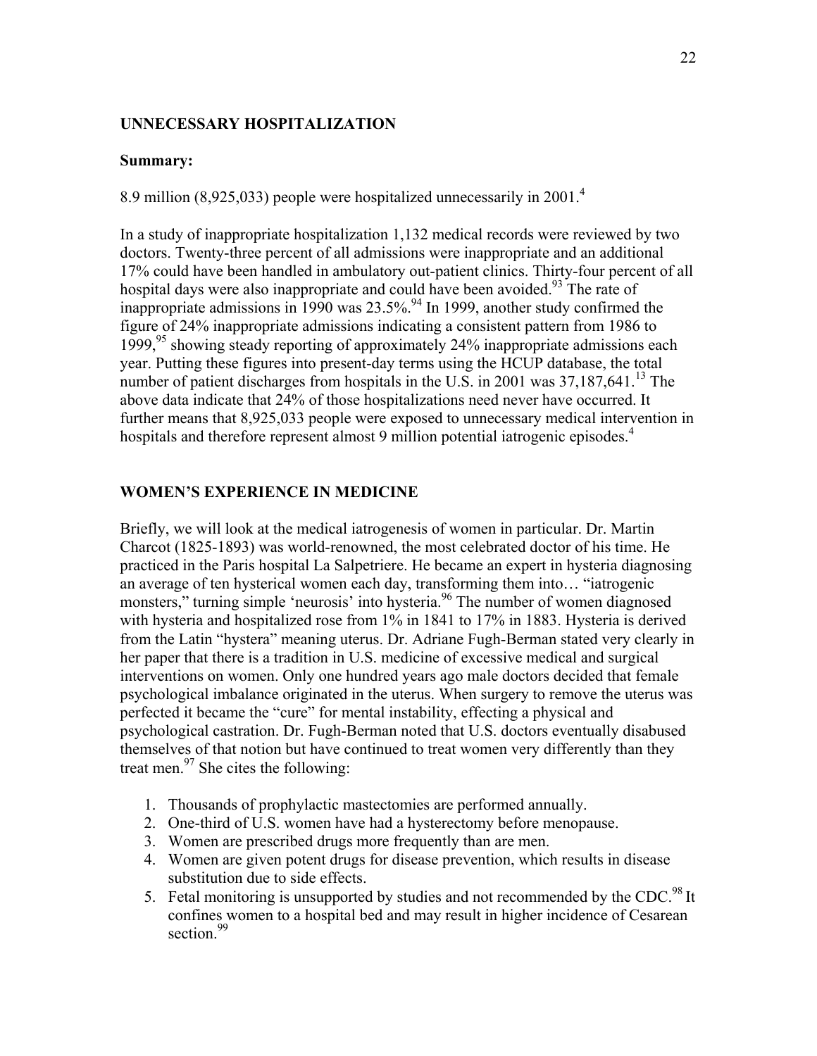## **UNNECESSARY HOSPITALIZATION**

#### **Summary:**

8.9 million (8,925,033) people were hospitalized unnecessarily in 2001.4

In a study of inappropriate hospitalization 1,132 medical records were reviewed by two doctors. Twenty-three percent of all admissions were inappropriate and an additional 17% could have been handled in ambulatory out-patient clinics. Thirty-four percent of all hospital days were also inappropriate and could have been avoided.<sup>93</sup> The rate of inappropriate admissions in 1990 was  $23.5\%$ .<sup>94</sup> In 1999, another study confirmed the figure of 24% inappropriate admissions indicating a consistent pattern from 1986 to 1999, $95$  showing steady reporting of approximately 24% inappropriate admissions each year. Putting these figures into present-day terms using the HCUP database, the total number of patient discharges from hospitals in the U.S. in 2001 was  $37,187,641$ .<sup>13</sup> The above data indicate that 24% of those hospitalizations need never have occurred. It further means that 8,925,033 people were exposed to unnecessary medical intervention in hospitals and therefore represent almost 9 million potential iatrogenic episodes.<sup>4</sup>

### **WOMEN'S EXPERIENCE IN MEDICINE**

Briefly, we will look at the medical iatrogenesis of women in particular. Dr. Martin Charcot (1825-1893) was world-renowned, the most celebrated doctor of his time. He practiced in the Paris hospital La Salpetriere. He became an expert in hysteria diagnosing an average of ten hysterical women each day, transforming them into… "iatrogenic monsters," turning simple 'neurosis' into hysteria.<sup>96</sup> The number of women diagnosed with hysteria and hospitalized rose from 1% in 1841 to 17% in 1883. Hysteria is derived from the Latin "hystera" meaning uterus. Dr. Adriane Fugh-Berman stated very clearly in her paper that there is a tradition in U.S. medicine of excessive medical and surgical interventions on women. Only one hundred years ago male doctors decided that female psychological imbalance originated in the uterus. When surgery to remove the uterus was perfected it became the "cure" for mental instability, effecting a physical and psychological castration. Dr. Fugh-Berman noted that U.S. doctors eventually disabused themselves of that notion but have continued to treat women very differently than they treat men. $97$  She cites the following:

- 1. Thousands of prophylactic mastectomies are performed annually.
- 2. One-third of U.S. women have had a hysterectomy before menopause.
- 3. Women are prescribed drugs more frequently than are men.
- 4. Women are given potent drugs for disease prevention, which results in disease substitution due to side effects.
- 5. Fetal monitoring is unsupported by studies and not recommended by the CDC.<sup>98</sup> It confines women to a hospital bed and may result in higher incidence of Cesarean section.<sup>99</sup>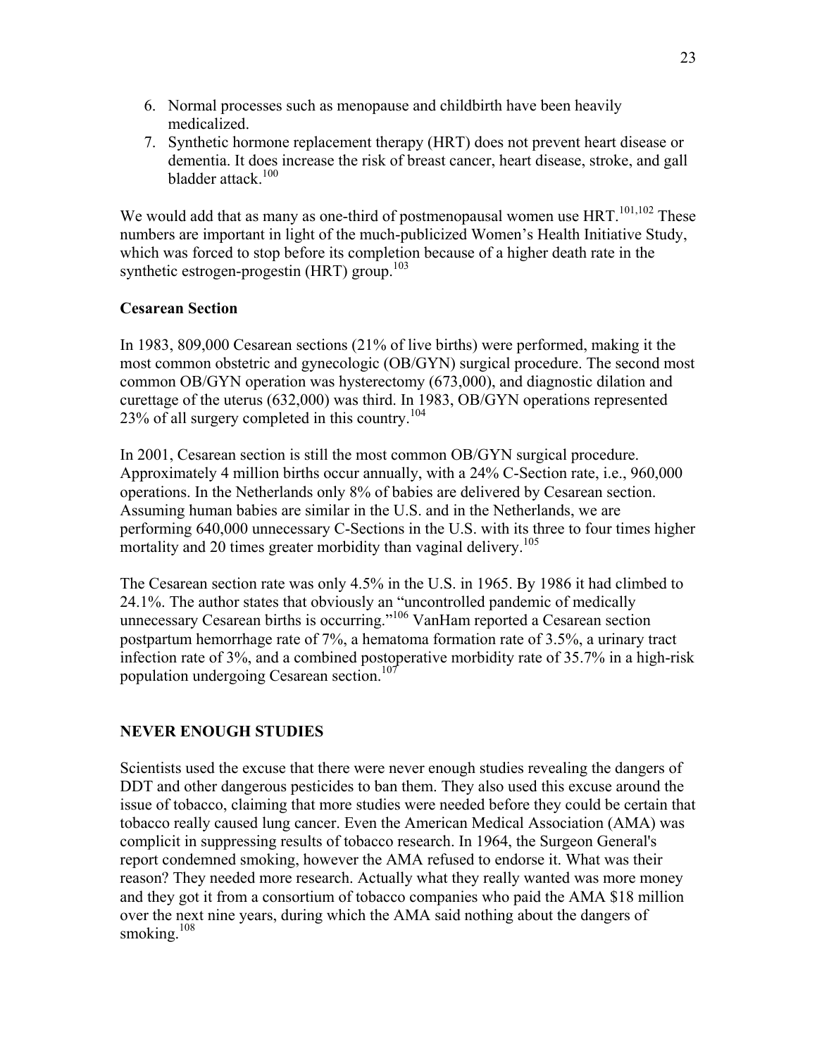- 6. Normal processes such as menopause and childbirth have been heavily medicalized.
- 7. Synthetic hormone replacement therapy (HRT) does not prevent heart disease or dementia. It does increase the risk of breast cancer, heart disease, stroke, and gall bladder attack <sup>100</sup>

We would add that as many as one-third of postmenopausal women use  $HRT$ <sup>101,102</sup> These numbers are important in light of the much-publicized Women's Health Initiative Study, which was forced to stop before its completion because of a higher death rate in the synthetic estrogen-progestin (HRT) group. $103$ 

## **Cesarean Section**

In 1983, 809,000 Cesarean sections (21% of live births) were performed, making it the most common obstetric and gynecologic (OB/GYN) surgical procedure. The second most common OB/GYN operation was hysterectomy (673,000), and diagnostic dilation and curettage of the uterus (632,000) was third. In 1983, OB/GYN operations represented 23% of all surgery completed in this country.<sup>104</sup>

In 2001, Cesarean section is still the most common OB/GYN surgical procedure. Approximately 4 million births occur annually, with a 24% C-Section rate, i.e., 960,000 operations. In the Netherlands only 8% of babies are delivered by Cesarean section. Assuming human babies are similar in the U.S. and in the Netherlands, we are performing 640,000 unnecessary C-Sections in the U.S. with its three to four times higher mortality and 20 times greater morbidity than vaginal delivery.<sup>105</sup>

The Cesarean section rate was only 4.5% in the U.S. in 1965. By 1986 it had climbed to 24.1%. The author states that obviously an "uncontrolled pandemic of medically unnecessary Cesarean births is occurring."<sup>106</sup> VanHam reported a Cesarean section postpartum hemorrhage rate of 7%, a hematoma formation rate of 3.5%, a urinary tract infection rate of 3%, and a combined postoperative morbidity rate of 35.7% in a high-risk population undergoing Cesarean section.<sup>107</sup>

## **NEVER ENOUGH STUDIES**

Scientists used the excuse that there were never enough studies revealing the dangers of DDT and other dangerous pesticides to ban them. They also used this excuse around the issue of tobacco, claiming that more studies were needed before they could be certain that tobacco really caused lung cancer. Even the American Medical Association (AMA) was complicit in suppressing results of tobacco research. In 1964, the Surgeon General's report condemned smoking, however the AMA refused to endorse it. What was their reason? They needed more research. Actually what they really wanted was more money and they got it from a consortium of tobacco companies who paid the AMA \$18 million over the next nine years, during which the AMA said nothing about the dangers of smoking. $108$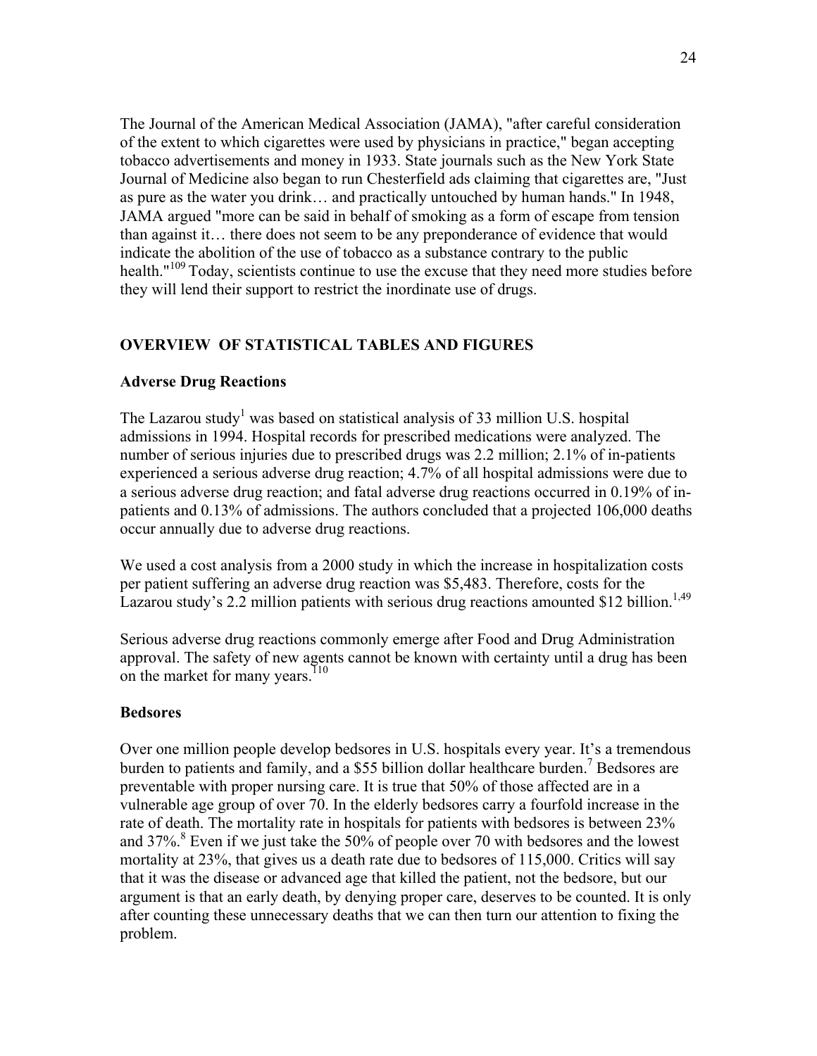The Journal of the American Medical Association (JAMA), "after careful consideration of the extent to which cigarettes were used by physicians in practice," began accepting tobacco advertisements and money in 1933. State journals such as the New York State Journal of Medicine also began to run Chesterfield ads claiming that cigarettes are, "Just as pure as the water you drink… and practically untouched by human hands." In 1948, JAMA argued "more can be said in behalf of smoking as a form of escape from tension than against it… there does not seem to be any preponderance of evidence that would indicate the abolition of the use of tobacco as a substance contrary to the public health."<sup>109</sup> Today, scientists continue to use the excuse that they need more studies before they will lend their support to restrict the inordinate use of drugs.

## **OVERVIEW OF STATISTICAL TABLES AND FIGURES**

## **Adverse Drug Reactions**

The Lazarou study<sup>1</sup> was based on statistical analysis of 33 million U.S. hospital admissions in 1994. Hospital records for prescribed medications were analyzed. The number of serious injuries due to prescribed drugs was 2.2 million; 2.1% of in-patients experienced a serious adverse drug reaction; 4.7% of all hospital admissions were due to a serious adverse drug reaction; and fatal adverse drug reactions occurred in 0.19% of inpatients and 0.13% of admissions. The authors concluded that a projected 106,000 deaths occur annually due to adverse drug reactions.

We used a cost analysis from a 2000 study in which the increase in hospitalization costs per patient suffering an adverse drug reaction was \$5,483. Therefore, costs for the Lazarou study's 2.2 million patients with serious drug reactions amounted \$12 billion.<sup>1,49</sup>

Serious adverse drug reactions commonly emerge after Food and Drug Administration approval. The safety of new agents cannot be known with certainty until a drug has been on the market for many years.<sup>110</sup>

### **Bedsores**

Over one million people develop bedsores in U.S. hospitals every year. It's a tremendous burden to patients and family, and a \$55 billion dollar healthcare burden.<sup>7</sup> Bedsores are preventable with proper nursing care. It is true that 50% of those affected are in a vulnerable age group of over 70. In the elderly bedsores carry a fourfold increase in the rate of death. The mortality rate in hospitals for patients with bedsores is between 23% and 37%.<sup>8</sup> Even if we just take the 50% of people over 70 with bedsores and the lowest mortality at 23%, that gives us a death rate due to bedsores of 115,000. Critics will say that it was the disease or advanced age that killed the patient, not the bedsore, but our argument is that an early death, by denying proper care, deserves to be counted. It is only after counting these unnecessary deaths that we can then turn our attention to fixing the problem.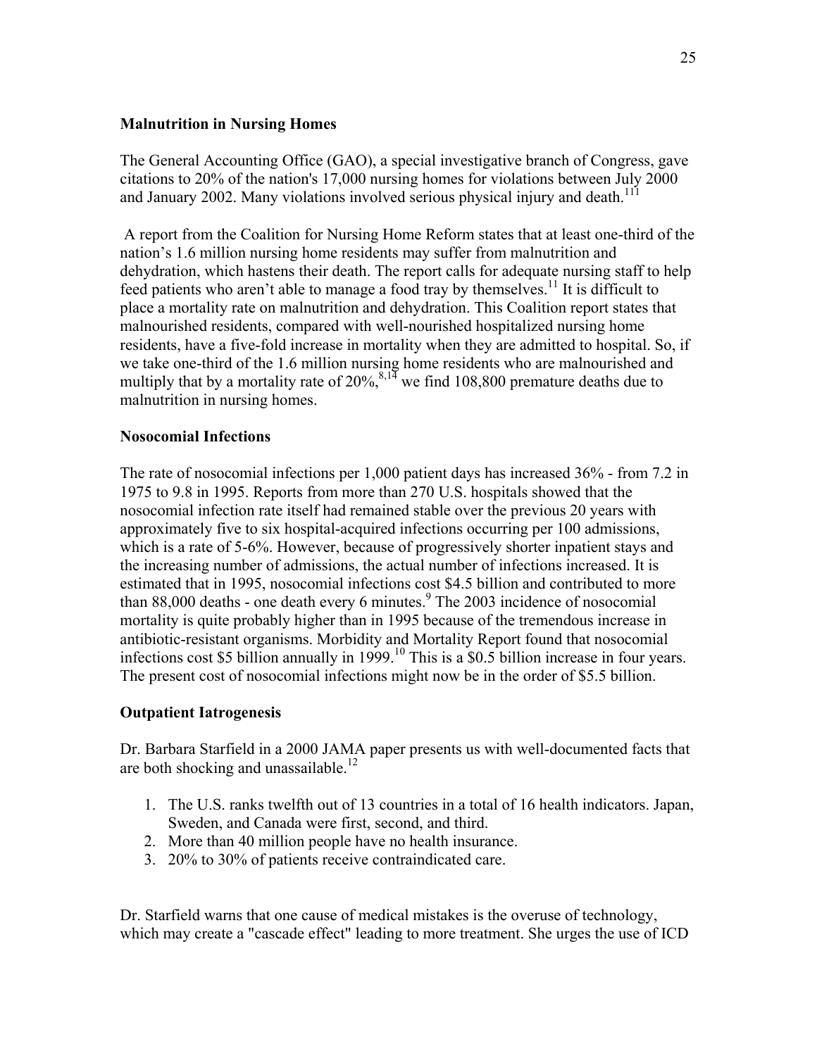### **Malnutrition in Nursing Homes**

The General Accounting Office (GAO), a special investigative branch of Congress, gave citations to 20% of the nation's 17,000 nursing homes for violations between July 2000 and January 2002. Many violations involved serious physical injury and death.<sup>111</sup>

 A report from the Coalition for Nursing Home Reform states that at least one-third of the nation's 1.6 million nursing home residents may suffer from malnutrition and dehydration, which hastens their death. The report calls for adequate nursing staff to help feed patients who aren't able to manage a food tray by themselves.11 It is difficult to place a mortality rate on malnutrition and dehydration. This Coalition report states that malnourished residents, compared with well-nourished hospitalized nursing home residents, have a five-fold increase in mortality when they are admitted to hospital. So, if we take one-third of the 1.6 million nursing home residents who are malnourished and multiply that by a mortality rate of  $20\%,^{8,14}$  we find 108,800 premature deaths due to malnutrition in nursing homes.

## **Nosocomial Infections**

The rate of nosocomial infections per 1,000 patient days has increased 36% - from 7.2 in 1975 to 9.8 in 1995. Reports from more than 270 U.S. hospitals showed that the nosocomial infection rate itself had remained stable over the previous 20 years with approximately five to six hospital-acquired infections occurring per 100 admissions, which is a rate of 5-6%. However, because of progressively shorter inpatient stays and the increasing number of admissions, the actual number of infections increased. It is estimated that in 1995, nosocomial infections cost \$4.5 billion and contributed to more than 88,000 deaths - one death every 6 minutes. $9$  The 2003 incidence of nosocomial mortality is quite probably higher than in 1995 because of the tremendous increase in antibiotic-resistant organisms. Morbidity and Mortality Report found that nosocomial infections cost \$5 billion annually in 1999.<sup>10</sup> This is a \$0.5 billion increase in four years. The present cost of nosocomial infections might now be in the order of \$5.5 billion.

### **Outpatient Iatrogenesis**

Dr. Barbara Starfield in a 2000 JAMA paper presents us with well-documented facts that are both shocking and unassailable.<sup>12</sup>

- 1. The U.S. ranks twelfth out of 13 countries in a total of 16 health indicators. Japan, Sweden, and Canada were first, second, and third.
- 2. More than 40 million people have no health insurance.
- 3. 20% to 30% of patients receive contraindicated care.

Dr. Starfield warns that one cause of medical mistakes is the overuse of technology, which may create a "cascade effect" leading to more treatment. She urges the use of ICD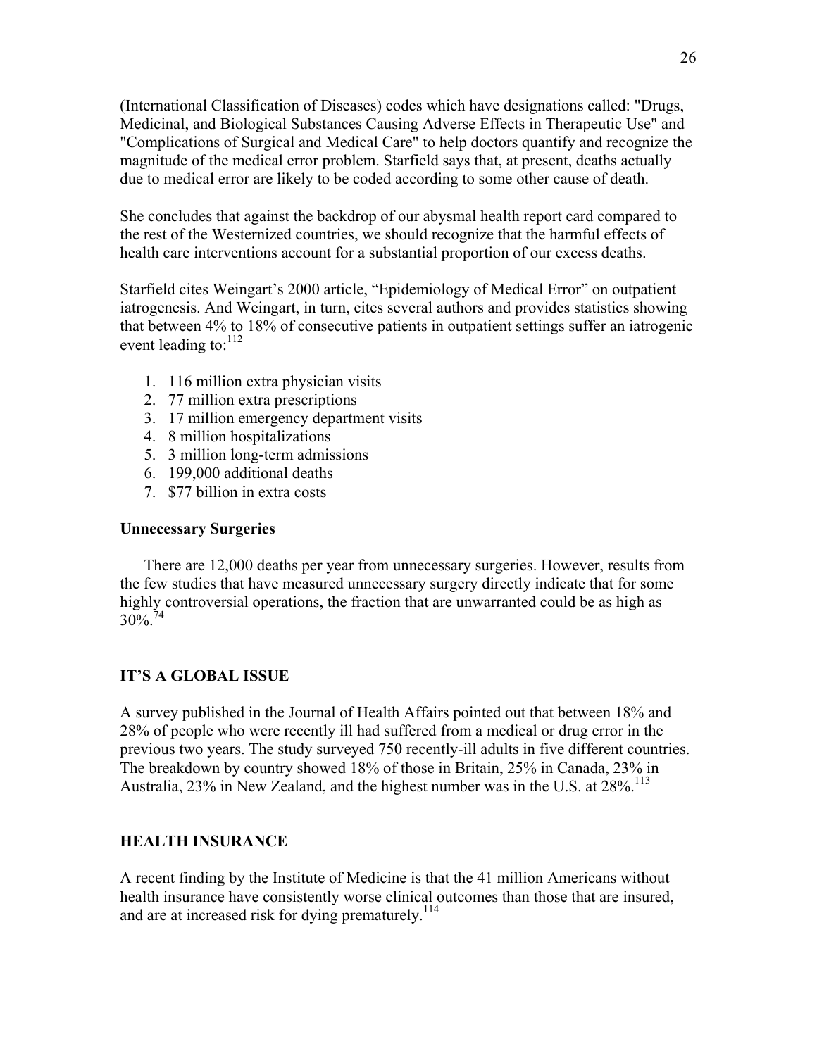(International Classification of Diseases) codes which have designations called: "Drugs, Medicinal, and Biological Substances Causing Adverse Effects in Therapeutic Use" and "Complications of Surgical and Medical Care" to help doctors quantify and recognize the magnitude of the medical error problem. Starfield says that, at present, deaths actually due to medical error are likely to be coded according to some other cause of death.

She concludes that against the backdrop of our abysmal health report card compared to the rest of the Westernized countries, we should recognize that the harmful effects of health care interventions account for a substantial proportion of our excess deaths.

Starfield cites Weingart's 2000 article, "Epidemiology of Medical Error" on outpatient iatrogenesis. And Weingart, in turn, cites several authors and provides statistics showing that between 4% to 18% of consecutive patients in outpatient settings suffer an iatrogenic event leading to: $^{112}$ 

- 1. 116 million extra physician visits
- 2. 77 million extra prescriptions
- 3. 17 million emergency department visits
- 4. 8 million hospitalizations
- 5. 3 million long-term admissions
- 6. 199,000 additional deaths
- 7. \$77 billion in extra costs

#### **Unnecessary Surgeries**

There are 12,000 deaths per year from unnecessary surgeries. However, results from the few studies that have measured unnecessary surgery directly indicate that for some highly controversial operations, the fraction that are unwarranted could be as high as  $30\%$ .<sup>74</sup>

#### **IT'S A GLOBAL ISSUE**

A survey published in the Journal of Health Affairs pointed out that between 18% and 28% of people who were recently ill had suffered from a medical or drug error in the previous two years. The study surveyed 750 recently-ill adults in five different countries. The breakdown by country showed 18% of those in Britain, 25% in Canada, 23% in Australia,  $23\%$  in New Zealand, and the highest number was in the U.S. at  $28\%$ .<sup>113</sup>

#### **HEALTH INSURANCE**

A recent finding by the Institute of Medicine is that the 41 million Americans without health insurance have consistently worse clinical outcomes than those that are insured, and are at increased risk for dying prematurely.<sup>114</sup>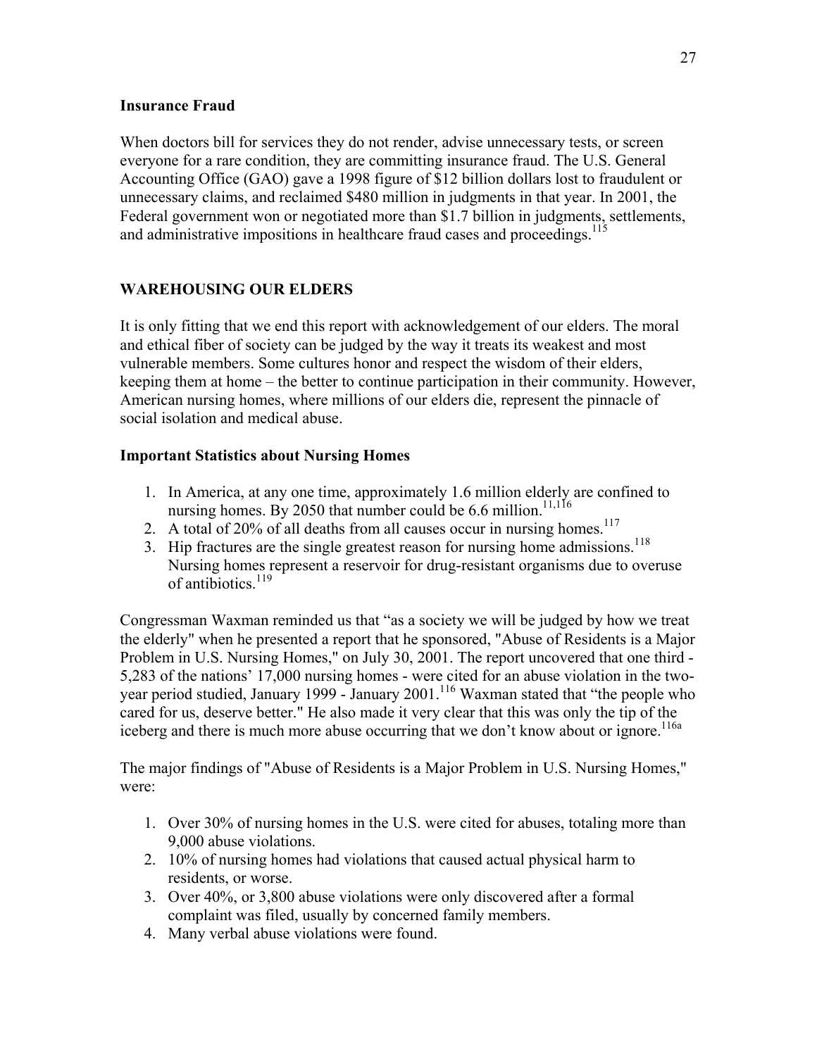### **Insurance Fraud**

When doctors bill for services they do not render, advise unnecessary tests, or screen everyone for a rare condition, they are committing insurance fraud. The U.S. General Accounting Office (GAO) gave a 1998 figure of \$12 billion dollars lost to fraudulent or unnecessary claims, and reclaimed \$480 million in judgments in that year. In 2001, the Federal government won or negotiated more than \$1.7 billion in judgments, settlements, and administrative impositions in healthcare fraud cases and proceedings.<sup>115</sup>

## **WAREHOUSING OUR ELDERS**

It is only fitting that we end this report with acknowledgement of our elders. The moral and ethical fiber of society can be judged by the way it treats its weakest and most vulnerable members. Some cultures honor and respect the wisdom of their elders, keeping them at home – the better to continue participation in their community. However, American nursing homes, where millions of our elders die, represent the pinnacle of social isolation and medical abuse.

## **Important Statistics about Nursing Homes**

- 1. In America, at any one time, approximately 1.6 million elderly are confined to nursing homes. By 2050 that number could be  $6.6$  million.<sup>11,116</sup>
- 2. A total of 20% of all deaths from all causes occur in nursing homes.<sup>117</sup>
- 3. Hip fractures are the single greatest reason for nursing home admissions.<sup>118</sup> Nursing homes represent a reservoir for drug-resistant organisms due to overuse of antibiotics<sup>119</sup>

Congressman Waxman reminded us that "as a society we will be judged by how we treat the elderly" when he presented a report that he sponsored, "Abuse of Residents is a Major Problem in U.S. Nursing Homes," on July 30, 2001. The report uncovered that one third - 5,283 of the nations' 17,000 nursing homes - were cited for an abuse violation in the twoyear period studied, January 1999 - January 2001.<sup>116</sup> Waxman stated that "the people who cared for us, deserve better." He also made it very clear that this was only the tip of the iceberg and there is much more abuse occurring that we don't know about or ignore.<sup>116a</sup>

The major findings of "Abuse of Residents is a Major Problem in U.S. Nursing Homes," were:

- 1. Over 30% of nursing homes in the U.S. were cited for abuses, totaling more than 9,000 abuse violations.
- 2. 10% of nursing homes had violations that caused actual physical harm to residents, or worse.
- 3. Over 40%, or 3,800 abuse violations were only discovered after a formal complaint was filed, usually by concerned family members.
- 4. Many verbal abuse violations were found.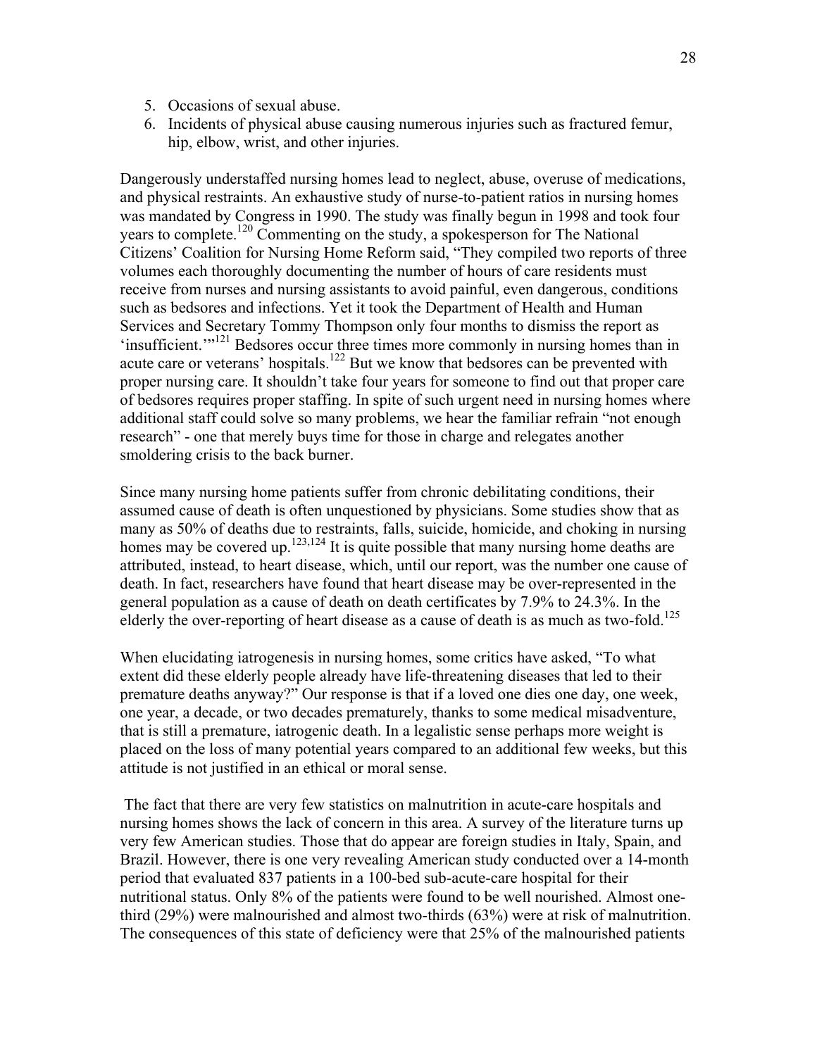- 5. Occasions of sexual abuse.
- 6. Incidents of physical abuse causing numerous injuries such as fractured femur, hip, elbow, wrist, and other injuries.

Dangerously understaffed nursing homes lead to neglect, abuse, overuse of medications, and physical restraints. An exhaustive study of nurse-to-patient ratios in nursing homes was mandated by Congress in 1990. The study was finally begun in 1998 and took four years to complete.<sup>120</sup> Commenting on the study, a spokesperson for The National Citizens' Coalition for Nursing Home Reform said, "They compiled two reports of three volumes each thoroughly documenting the number of hours of care residents must receive from nurses and nursing assistants to avoid painful, even dangerous, conditions such as bedsores and infections. Yet it took the Department of Health and Human Services and Secretary Tommy Thompson only four months to dismiss the report as 'insufficient.'"121 Bedsores occur three times more commonly in nursing homes than in acute care or veterans' hospitals.<sup>122</sup> But we know that bedsores can be prevented with proper nursing care. It shouldn't take four years for someone to find out that proper care of bedsores requires proper staffing. In spite of such urgent need in nursing homes where additional staff could solve so many problems, we hear the familiar refrain "not enough research" - one that merely buys time for those in charge and relegates another smoldering crisis to the back burner.

Since many nursing home patients suffer from chronic debilitating conditions, their assumed cause of death is often unquestioned by physicians. Some studies show that as many as 50% of deaths due to restraints, falls, suicide, homicide, and choking in nursing homes may be covered up.<sup>123,124</sup> It is quite possible that many nursing home deaths are attributed, instead, to heart disease, which, until our report, was the number one cause of death. In fact, researchers have found that heart disease may be over-represented in the general population as a cause of death on death certificates by 7.9% to 24.3%. In the elderly the over-reporting of heart disease as a cause of death is as much as two-fold.<sup>125</sup>

When elucidating iatrogenesis in nursing homes, some critics have asked, "To what extent did these elderly people already have life-threatening diseases that led to their premature deaths anyway?" Our response is that if a loved one dies one day, one week, one year, a decade, or two decades prematurely, thanks to some medical misadventure, that is still a premature, iatrogenic death. In a legalistic sense perhaps more weight is placed on the loss of many potential years compared to an additional few weeks, but this attitude is not justified in an ethical or moral sense.

 The fact that there are very few statistics on malnutrition in acute-care hospitals and nursing homes shows the lack of concern in this area. A survey of the literature turns up very few American studies. Those that do appear are foreign studies in Italy, Spain, and Brazil. However, there is one very revealing American study conducted over a 14-month period that evaluated 837 patients in a 100-bed sub-acute-care hospital for their nutritional status. Only 8% of the patients were found to be well nourished. Almost onethird (29%) were malnourished and almost two-thirds (63%) were at risk of malnutrition. The consequences of this state of deficiency were that 25% of the malnourished patients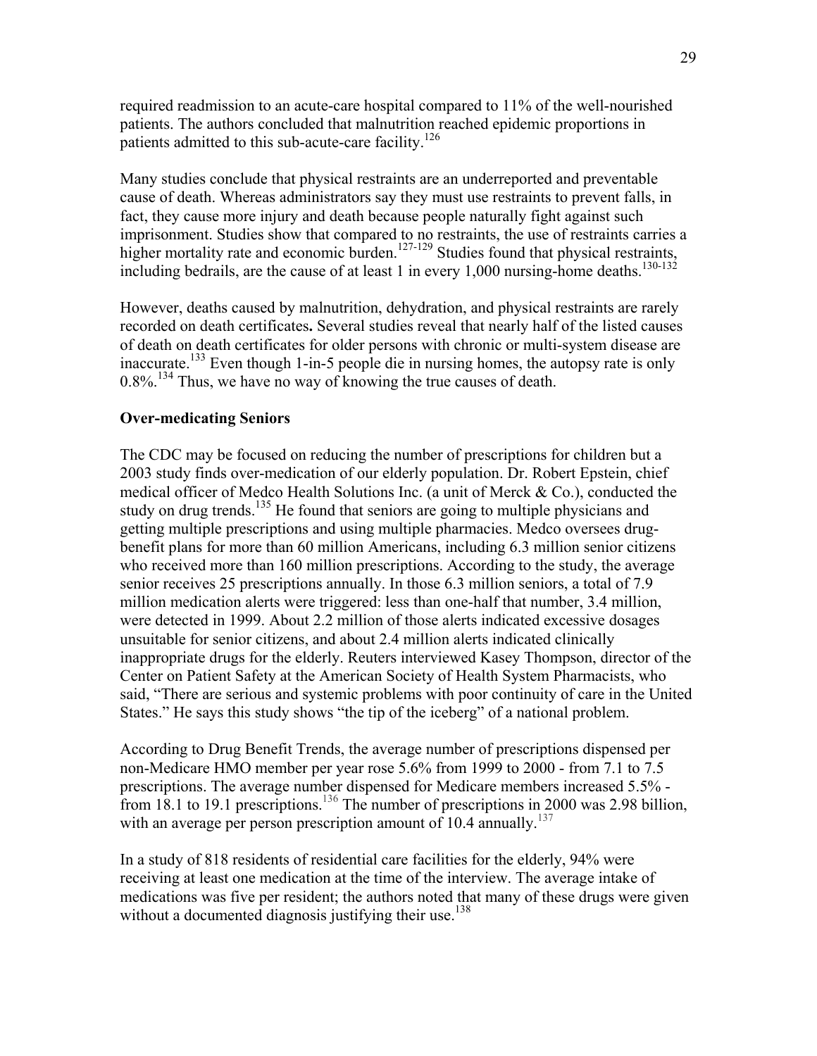required readmission to an acute-care hospital compared to 11% of the well-nourished patients. The authors concluded that malnutrition reached epidemic proportions in patients admitted to this sub-acute-care facility.<sup>126</sup>

Many studies conclude that physical restraints are an underreported and preventable cause of death. Whereas administrators say they must use restraints to prevent falls, in fact, they cause more injury and death because people naturally fight against such imprisonment. Studies show that compared to no restraints, the use of restraints carries a higher mortality rate and economic burden.<sup>127-129</sup> Studies found that physical restraints, including bedrails, are the cause of at least 1 in every 1,000 nursing-home deaths.<sup>130-132</sup>

However, deaths caused by malnutrition, dehydration, and physical restraints are rarely recorded on death certificates**.** Several studies reveal that nearly half of the listed causes of death on death certificates for older persons with chronic or multi-system disease are inaccurate.<sup>133</sup> Even though 1-in-5 people die in nursing homes, the autopsy rate is only 0.8%.134 Thus, we have no way of knowing the true causes of death.

### **Over-medicating Seniors**

The CDC may be focused on reducing the number of prescriptions for children but a 2003 study finds over-medication of our elderly population. Dr. Robert Epstein, chief medical officer of Medco Health Solutions Inc. (a unit of Merck & Co.), conducted the study on drug trends.<sup>135</sup> He found that seniors are going to multiple physicians and getting multiple prescriptions and using multiple pharmacies. Medco oversees drugbenefit plans for more than 60 million Americans, including 6.3 million senior citizens who received more than 160 million prescriptions. According to the study, the average senior receives 25 prescriptions annually. In those 6.3 million seniors, a total of 7.9 million medication alerts were triggered: less than one-half that number, 3.4 million, were detected in 1999. About 2.2 million of those alerts indicated excessive dosages unsuitable for senior citizens, and about 2.4 million alerts indicated clinically inappropriate drugs for the elderly. Reuters interviewed Kasey Thompson, director of the Center on Patient Safety at the American Society of Health System Pharmacists, who said, "There are serious and systemic problems with poor continuity of care in the United States." He says this study shows "the tip of the iceberg" of a national problem.

According to Drug Benefit Trends, the average number of prescriptions dispensed per non-Medicare HMO member per year rose 5.6% from 1999 to 2000 - from 7.1 to 7.5 prescriptions. The average number dispensed for Medicare members increased 5.5% from 18.1 to 19.1 prescriptions.<sup>136</sup> The number of prescriptions in 2000 was 2.98 billion, with an average per person prescription amount of  $10.4$  annually.<sup>137</sup>

In a study of 818 residents of residential care facilities for the elderly, 94% were receiving at least one medication at the time of the interview. The average intake of medications was five per resident; the authors noted that many of these drugs were given without a documented diagnosis justifying their use.<sup>138</sup>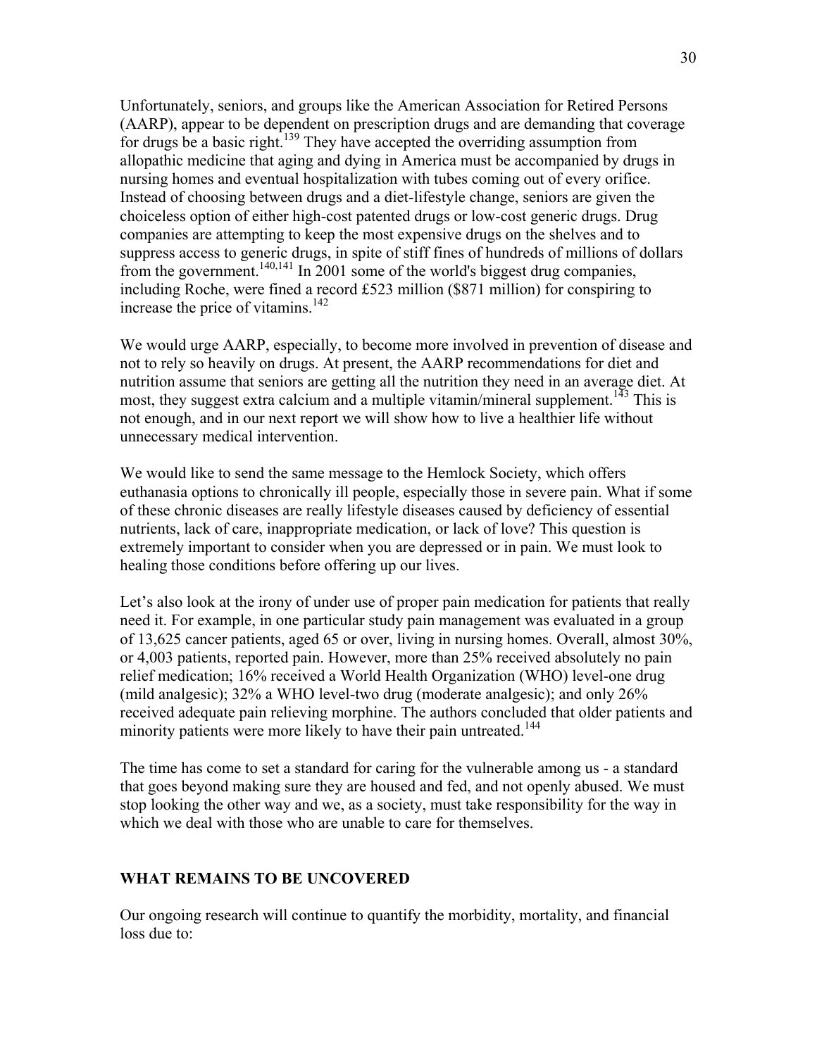Unfortunately, seniors, and groups like the American Association for Retired Persons (AARP), appear to be dependent on prescription drugs and are demanding that coverage for drugs be a basic right.139 They have accepted the overriding assumption from allopathic medicine that aging and dying in America must be accompanied by drugs in nursing homes and eventual hospitalization with tubes coming out of every orifice. Instead of choosing between drugs and a diet-lifestyle change, seniors are given the choiceless option of either high-cost patented drugs or low-cost generic drugs. Drug companies are attempting to keep the most expensive drugs on the shelves and to suppress access to generic drugs, in spite of stiff fines of hundreds of millions of dollars from the government.<sup>140,141</sup> In 2001 some of the world's biggest drug companies, including Roche, were fined a record £523 million (\$871 million) for conspiring to increase the price of vitamins. $142$ 

We would urge AARP, especially, to become more involved in prevention of disease and not to rely so heavily on drugs. At present, the AARP recommendations for diet and nutrition assume that seniors are getting all the nutrition they need in an average diet. At most, they suggest extra calcium and a multiple vitamin/mineral supplement.<sup>143</sup> This is not enough, and in our next report we will show how to live a healthier life without unnecessary medical intervention.

We would like to send the same message to the Hemlock Society, which offers euthanasia options to chronically ill people, especially those in severe pain. What if some of these chronic diseases are really lifestyle diseases caused by deficiency of essential nutrients, lack of care, inappropriate medication, or lack of love? This question is extremely important to consider when you are depressed or in pain. We must look to healing those conditions before offering up our lives.

Let's also look at the irony of under use of proper pain medication for patients that really need it. For example, in one particular study pain management was evaluated in a group of 13,625 cancer patients, aged 65 or over, living in nursing homes. Overall, almost 30%, or 4,003 patients, reported pain. However, more than 25% received absolutely no pain relief medication; 16% received a World Health Organization (WHO) level-one drug (mild analgesic); 32% a WHO level-two drug (moderate analgesic); and only 26% received adequate pain relieving morphine. The authors concluded that older patients and minority patients were more likely to have their pain untreated.<sup>144</sup>

The time has come to set a standard for caring for the vulnerable among us - a standard that goes beyond making sure they are housed and fed, and not openly abused. We must stop looking the other way and we, as a society, must take responsibility for the way in which we deal with those who are unable to care for themselves.

#### **WHAT REMAINS TO BE UNCOVERED**

Our ongoing research will continue to quantify the morbidity, mortality, and financial loss due to: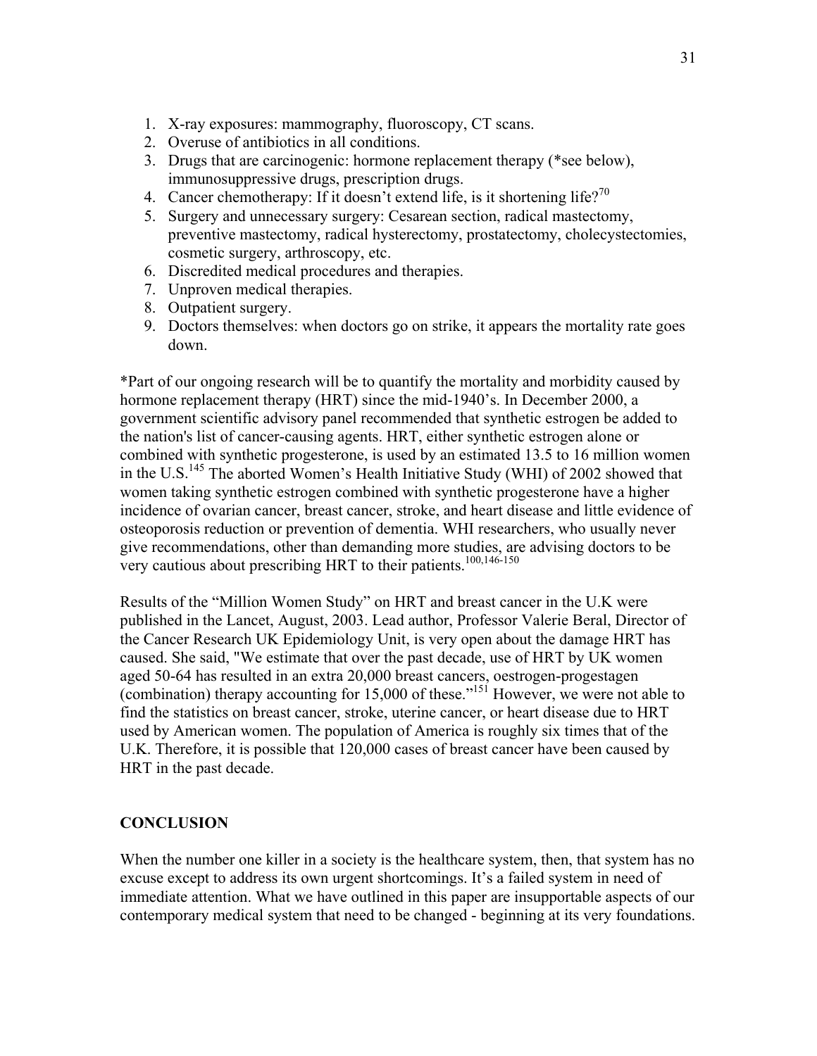- 1. X-ray exposures: mammography, fluoroscopy, CT scans.
- 2. Overuse of antibiotics in all conditions.
- 3. Drugs that are carcinogenic: hormone replacement therapy (\*see below), immunosuppressive drugs, prescription drugs.
- 4. Cancer chemotherapy: If it doesn't extend life, is it shortening life?<sup>70</sup>
- 5. Surgery and unnecessary surgery: Cesarean section, radical mastectomy, preventive mastectomy, radical hysterectomy, prostatectomy, cholecystectomies, cosmetic surgery, arthroscopy, etc.
- 6. Discredited medical procedures and therapies.
- 7. Unproven medical therapies.
- 8. Outpatient surgery.
- 9. Doctors themselves: when doctors go on strike, it appears the mortality rate goes down.

\*Part of our ongoing research will be to quantify the mortality and morbidity caused by hormone replacement therapy (HRT) since the mid-1940's. In December 2000, a government scientific advisory panel recommended that synthetic estrogen be added to the nation's list of cancer-causing agents. HRT, either synthetic estrogen alone or combined with synthetic progesterone, is used by an estimated 13.5 to 16 million women in the U.S.145 The aborted Women's Health Initiative Study (WHI) of 2002 showed that women taking synthetic estrogen combined with synthetic progesterone have a higher incidence of ovarian cancer, breast cancer, stroke, and heart disease and little evidence of osteoporosis reduction or prevention of dementia. WHI researchers, who usually never give recommendations, other than demanding more studies, are advising doctors to be very cautious about prescribing HRT to their patients.100,146-150

Results of the "Million Women Study" on HRT and breast cancer in the U.K were published in the Lancet, August, 2003. Lead author, Professor Valerie Beral, Director of the Cancer Research UK Epidemiology Unit, is very open about the damage HRT has caused. She said, "We estimate that over the past decade, use of HRT by UK women aged 50-64 has resulted in an extra 20,000 breast cancers, oestrogen-progestagen (combination) therapy accounting for  $15,000$  of these."<sup>151</sup> However, we were not able to find the statistics on breast cancer, stroke, uterine cancer, or heart disease due to HRT used by American women. The population of America is roughly six times that of the U.K. Therefore, it is possible that 120,000 cases of breast cancer have been caused by HRT in the past decade.

### **CONCLUSION**

When the number one killer in a society is the healthcare system, then, that system has no excuse except to address its own urgent shortcomings. It's a failed system in need of immediate attention. What we have outlined in this paper are insupportable aspects of our contemporary medical system that need to be changed - beginning at its very foundations.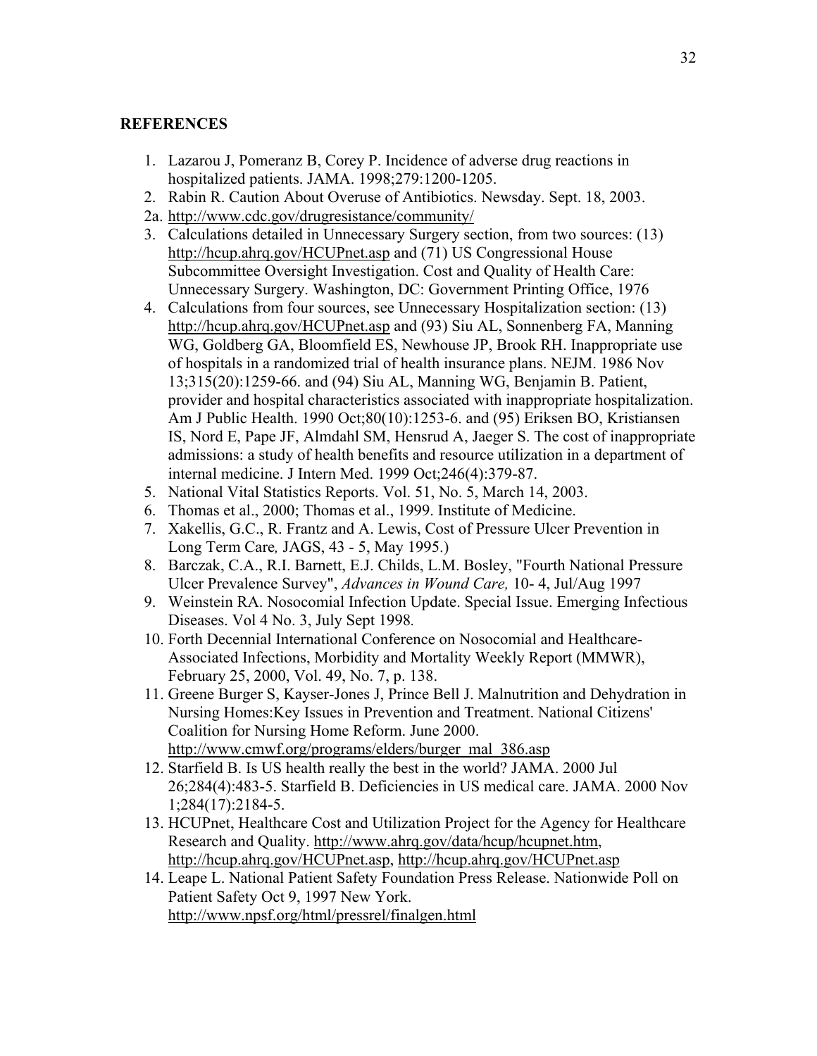### **REFERENCES**

- 1. Lazarou J, Pomeranz B, Corey P. Incidence of adverse drug reactions in hospitalized patients. JAMA. 1998;279:1200-1205.
- 2. Rabin R. Caution About Overuse of Antibiotics. Newsday. Sept. 18, 2003.
- 2a. <http://www.cdc.gov/drugresistance/community/>
- 3. Calculations detailed in Unnecessary Surgery section, from two sources: (13) <http://hcup.ahrq.gov/HCUPnet.asp> and (71) US Congressional House Subcommittee Oversight Investigation. Cost and Quality of Health Care: Unnecessary Surgery. Washington, DC: Government Printing Office, 1976
- 4. Calculations from four sources, see Unnecessary Hospitalization section: (13) <http://hcup.ahrq.gov/HCUPnet.asp> and (93) Siu AL, Sonnenberg FA, Manning WG, Goldberg GA, Bloomfield ES, Newhouse JP, Brook RH. Inappropriate use of hospitals in a randomized trial of health insurance plans. NEJM. 1986 Nov 13;315(20):1259-66. and (94) Siu AL, Manning WG, Benjamin B. Patient, provider and hospital characteristics associated with inappropriate hospitalization. Am J Public Health. 1990 Oct;80(10):1253-6. and (95) Eriksen BO, Kristiansen IS, Nord E, Pape JF, Almdahl SM, Hensrud A, Jaeger S. The cost of inappropriate admissions: a study of health benefits and resource utilization in a department of internal medicine. J Intern Med. 1999 Oct;246(4):379-87.
- 5. National Vital Statistics Reports. Vol. 51, No. 5, March 14, 2003.
- 6. Thomas et al., 2000; Thomas et al., 1999. Institute of Medicine.
- 7. Xakellis, G.C., R. Frantz and A. Lewis, Cost of Pressure Ulcer Prevention in Long Term Care*,* JAGS, 43 - 5, May 1995.)
- 8. Barczak, C.A., R.I. Barnett, E.J. Childs, L.M. Bosley, "Fourth National Pressure Ulcer Prevalence Survey", *Advances in Wound Care,* 10- 4, Jul/Aug 1997
- 9. Weinstein RA. Nosocomial Infection Update. Special Issue. Emerging Infectious Diseases. Vol 4 No. 3, July Sept 1998*.*
- 10. Forth Decennial International Conference on Nosocomial and Healthcare-Associated Infections, Morbidity and Mortality Weekly Report (MMWR), February 25, 2000, Vol. 49, No. 7, p. 138.
- 11. Greene Burger S, Kayser-Jones J, Prince Bell J. Malnutrition and Dehydration in Nursing Homes:Key Issues in Prevention and Treatment. National Citizens' Coalition for Nursing Home Reform. June 2000. [http://www.cmwf.org/programs/elders/burger\\_mal\\_386.asp](http://www.cmwf.org/programs/elders/burger_mal_386.asp)
- 12. Starfield B. Is US health really the best in the world? JAMA. 2000 Jul 26;284(4):483-5. Starfield B. Deficiencies in US medical care. JAMA. 2000 Nov 1;284(17):2184-5.
- 13. HCUPnet, Healthcare Cost and Utilization Project for the Agency for Healthcare Research and Quality.<http://www.ahrq.gov/data/hcup/hcupnet.htm>, <http://hcup.ahrq.gov/HCUPnet.asp>,<http://hcup.ahrq.gov/HCUPnet.asp>
- 14. Leape L. National Patient Safety Foundation Press Release. Nationwide Poll on Patient Safety Oct 9, 1997 New York. <http://www.npsf.org/html/pressrel/finalgen.html>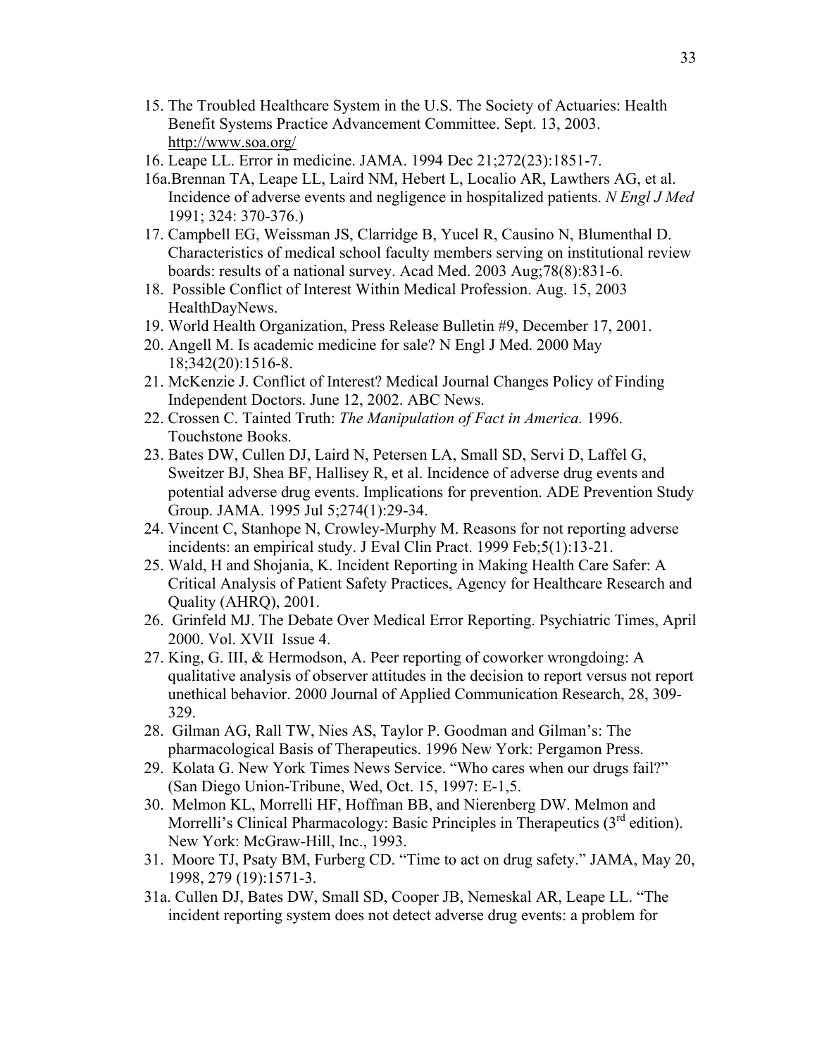- 15. The Troubled Healthcare System in the U.S. The Society of Actuaries: Health Benefit Systems Practice Advancement Committee. Sept. 13, 2003. <http://www.soa.org/>
- 16. Leape LL. Error in medicine. JAMA. 1994 Dec 21;272(23):1851-7.
- 16a.Brennan TA, Leape LL, Laird NM, Hebert L, Localio AR, Lawthers AG, et al. Incidence of adverse events and negligence in hospitalized patients. *N Engl J Med* 1991; 324: 370-376.)
- 17. Campbell EG, Weissman JS, Clarridge B, Yucel R, Causino N, Blumenthal D. Characteristics of medical school faculty members serving on institutional review boards: results of a national survey. Acad Med. 2003 Aug;78(8):831-6.
- 18. Possible Conflict of Interest Within Medical Profession. Aug. 15, 2003 HealthDayNews.
- 19. World Health Organization, Press Release Bulletin #9, December 17, 2001.
- 20. Angell M. Is academic medicine for sale? N Engl J Med. 2000 May 18;342(20):1516-8.
- 21. McKenzie J. Conflict of Interest? Medical Journal Changes Policy of Finding Independent Doctors. June 12, 2002. ABC News.
- 22. Crossen C. Tainted Truth: *The Manipulation of Fact in America.* 1996. Touchstone Books.
- 23. Bates DW, Cullen DJ, Laird N, Petersen LA, Small SD, Servi D, Laffel G, Sweitzer BJ, Shea BF, Hallisey R, et al. Incidence of adverse drug events and potential adverse drug events. Implications for prevention. ADE Prevention Study Group. JAMA. 1995 Jul 5;274(1):29-34.
- 24. Vincent C, Stanhope N, Crowley-Murphy M. Reasons for not reporting adverse incidents: an empirical study. J Eval Clin Pract. 1999 Feb;5(1):13-21.
- 25. Wald, H and Shojania, K. Incident Reporting in Making Health Care Safer: A Critical Analysis of Patient Safety Practices, Agency for Healthcare Research and Quality (AHRQ), 2001.
- 26. Grinfeld MJ. The Debate Over Medical Error Reporting. Psychiatric Times, April 2000. Vol. XVII Issue 4.
- 27. King, G. III, & Hermodson, A. Peer reporting of coworker wrongdoing: A qualitative analysis of observer attitudes in the decision to report versus not report unethical behavior. 2000 Journal of Applied Communication Research, 28, 309- 329.
- 28. Gilman AG, Rall TW, Nies AS, Taylor P. Goodman and Gilman's: The pharmacological Basis of Therapeutics. 1996 New York: Pergamon Press.
- 29. Kolata G. New York Times News Service. "Who cares when our drugs fail?" (San Diego Union-Tribune, Wed, Oct. 15, 1997: E-1,5.
- 30. Melmon KL, Morrelli HF, Hoffman BB, and Nierenberg DW. Melmon and Morrelli's Clinical Pharmacology: Basic Principles in Therapeutics  $(3<sup>rd</sup>$  edition). New York: McGraw-Hill, Inc., 1993.
- 31. Moore TJ, Psaty BM, Furberg CD. "Time to act on drug safety." JAMA, May 20, 1998, 279 (19):1571-3.
- 31a. Cullen DJ, Bates DW, Small SD, Cooper JB, Nemeskal AR, Leape LL. "The incident reporting system does not detect adverse drug events: a problem for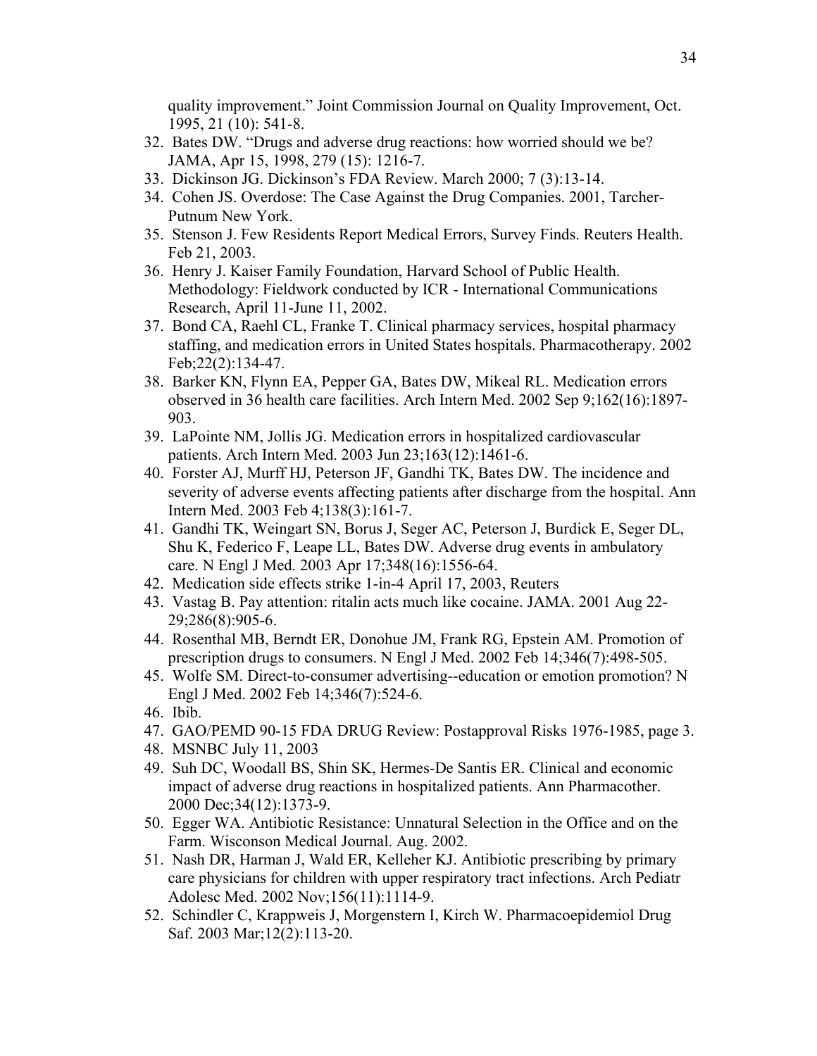quality improvement." Joint Commission Journal on Quality Improvement, Oct. 1995, 21 (10): 541-8.

- 32. Bates DW. "Drugs and adverse drug reactions: how worried should we be? JAMA, Apr 15, 1998, 279 (15): 1216-7.
- 33. Dickinson JG. Dickinson's FDA Review. March 2000; 7 (3):13-14.
- 34. Cohen JS. Overdose: The Case Against the Drug Companies. 2001, Tarcher-Putnum New York.
- 35. Stenson J. Few Residents Report Medical Errors, Survey Finds. Reuters Health. Feb 21, 2003.
- 36. Henry J. Kaiser Family Foundation, Harvard School of Public Health. Methodology: Fieldwork conducted by ICR - International Communications Research, April 11-June 11, 2002.
- 37. Bond CA, Raehl CL, Franke T. Clinical pharmacy services, hospital pharmacy staffing, and medication errors in United States hospitals. Pharmacotherapy. 2002 Feb;22(2):134-47.
- 38. Barker KN, Flynn EA, Pepper GA, Bates DW, Mikeal RL. Medication errors observed in 36 health care facilities. Arch Intern Med. 2002 Sep 9;162(16):1897- 903.
- 39. LaPointe NM, Jollis JG. Medication errors in hospitalized cardiovascular patients. Arch Intern Med. 2003 Jun 23;163(12):1461-6.
- 40. Forster AJ, Murff HJ, Peterson JF, Gandhi TK, Bates DW. The incidence and severity of adverse events affecting patients after discharge from the hospital. Ann Intern Med. 2003 Feb 4;138(3):161-7.
- 41. Gandhi TK, Weingart SN, Borus J, Seger AC, Peterson J, Burdick E, Seger DL, Shu K, Federico F, Leape LL, Bates DW. Adverse drug events in ambulatory care. N Engl J Med. 2003 Apr 17;348(16):1556-64.
- 42. Medication side effects strike 1-in-4 April 17, 2003, Reuters
- 43. Vastag B. Pay attention: ritalin acts much like cocaine. JAMA. 2001 Aug 22- 29;286(8):905-6.
- 44. Rosenthal MB, Berndt ER, Donohue JM, Frank RG, Epstein AM. Promotion of prescription drugs to consumers. N Engl J Med. 2002 Feb 14;346(7):498-505.
- 45. Wolfe SM. Direct-to-consumer advertising--education or emotion promotion? N Engl J Med. 2002 Feb 14;346(7):524-6.
- 46. Ibib.
- 47. GAO/PEMD 90-15 FDA DRUG Review: Postapproval Risks 1976-1985, page 3.
- 48. MSNBC July 11, 2003
- 49. Suh DC, Woodall BS, Shin SK, Hermes-De Santis ER. Clinical and economic impact of adverse drug reactions in hospitalized patients. Ann Pharmacother. 2000 Dec;34(12):1373-9.
- 50. Egger WA. Antibiotic Resistance: Unnatural Selection in the Office and on the Farm. Wisconson Medical Journal. Aug. 2002.
- 51. Nash DR, Harman J, Wald ER, Kelleher KJ. Antibiotic prescribing by primary care physicians for children with upper respiratory tract infections. Arch Pediatr Adolesc Med. 2002 Nov;156(11):1114-9.
- 52. Schindler C, Krappweis J, Morgenstern I, Kirch W. Pharmacoepidemiol Drug Saf. 2003 Mar;12(2):113-20.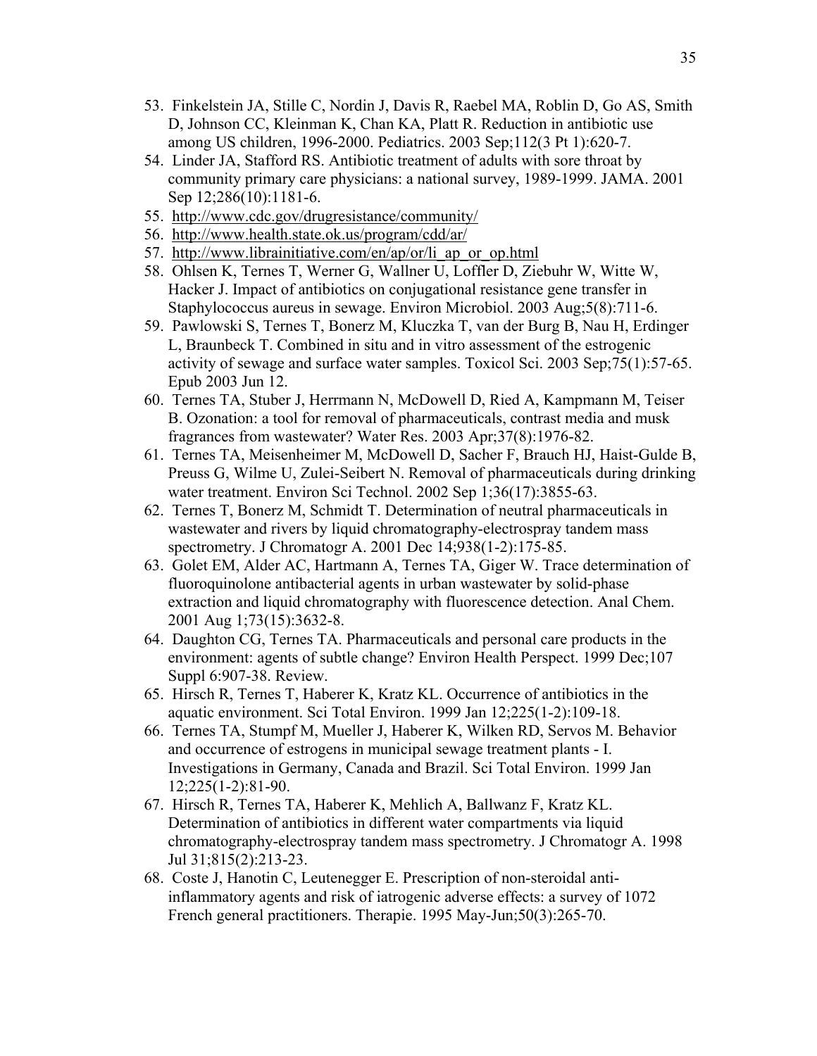- 53. Finkelstein JA, Stille C, Nordin J, Davis R, Raebel MA, Roblin D, Go AS, Smith D, Johnson CC, Kleinman K, Chan KA, Platt R. Reduction in antibiotic use among US children, 1996-2000. Pediatrics. 2003 Sep;112(3 Pt 1):620-7.
- 54. Linder JA, Stafford RS. Antibiotic treatment of adults with sore throat by community primary care physicians: a national survey, 1989-1999. JAMA. 2001 Sep 12;286(10):1181-6.
- 55. <http://www.cdc.gov/drugresistance/community/>
- 56. <http://www.health.state.ok.us/program/cdd/ar/>
- 57. [http://www.librainitiative.com/en/ap/or/li\\_ap\\_or\\_op.html](http://www.librainitiative.com/en/ap/or/li_ap_or_op.html)
- 58. Ohlsen K, Ternes T, Werner G, Wallner U, Loffler D, Ziebuhr W, Witte W, Hacker J. Impact of antibiotics on conjugational resistance gene transfer in Staphylococcus aureus in sewage. Environ Microbiol. 2003 Aug;5(8):711-6.
- 59. Pawlowski S, Ternes T, Bonerz M, Kluczka T, van der Burg B, Nau H, Erdinger L, Braunbeck T. Combined in situ and in vitro assessment of the estrogenic activity of sewage and surface water samples. Toxicol Sci. 2003 Sep;75(1):57-65. Epub 2003 Jun 12.
- 60. Ternes TA, Stuber J, Herrmann N, McDowell D, Ried A, Kampmann M, Teiser B. Ozonation: a tool for removal of pharmaceuticals, contrast media and musk fragrances from wastewater? Water Res. 2003 Apr;37(8):1976-82.
- 61. Ternes TA, Meisenheimer M, McDowell D, Sacher F, Brauch HJ, Haist-Gulde B, Preuss G, Wilme U, Zulei-Seibert N. Removal of pharmaceuticals during drinking water treatment. Environ Sci Technol. 2002 Sep 1;36(17):3855-63.
- 62. Ternes T, Bonerz M, Schmidt T. Determination of neutral pharmaceuticals in wastewater and rivers by liquid chromatography-electrospray tandem mass spectrometry. J Chromatogr A. 2001 Dec 14;938(1-2):175-85.
- 63. Golet EM, Alder AC, Hartmann A, Ternes TA, Giger W. Trace determination of fluoroquinolone antibacterial agents in urban wastewater by solid-phase extraction and liquid chromatography with fluorescence detection. Anal Chem. 2001 Aug 1;73(15):3632-8.
- 64. Daughton CG, Ternes TA. Pharmaceuticals and personal care products in the environment: agents of subtle change? Environ Health Perspect. 1999 Dec;107 Suppl 6:907-38. Review.
- 65. Hirsch R, Ternes T, Haberer K, Kratz KL. Occurrence of antibiotics in the aquatic environment. Sci Total Environ. 1999 Jan 12;225(1-2):109-18.
- 66. Ternes TA, Stumpf M, Mueller J, Haberer K, Wilken RD, Servos M. Behavior and occurrence of estrogens in municipal sewage treatment plants - I. Investigations in Germany, Canada and Brazil. Sci Total Environ. 1999 Jan 12;225(1-2):81-90.
- 67. Hirsch R, Ternes TA, Haberer K, Mehlich A, Ballwanz F, Kratz KL. Determination of antibiotics in different water compartments via liquid chromatography-electrospray tandem mass spectrometry. J Chromatogr A. 1998 Jul 31;815(2):213-23.
- 68. Coste J, Hanotin C, Leutenegger E. Prescription of non-steroidal antiinflammatory agents and risk of iatrogenic adverse effects: a survey of 1072 French general practitioners. Therapie. 1995 May-Jun;50(3):265-70.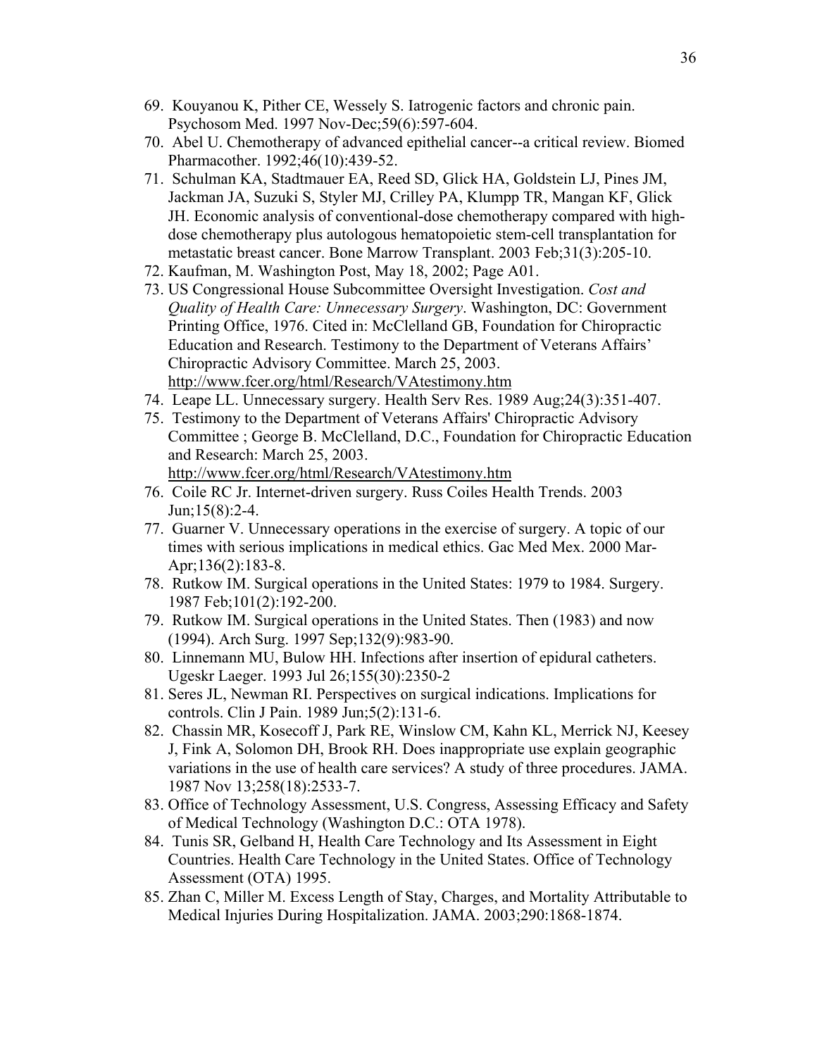- 69. Kouyanou K, Pither CE, Wessely S. Iatrogenic factors and chronic pain. Psychosom Med. 1997 Nov-Dec;59(6):597-604.
- 70. Abel U. Chemotherapy of advanced epithelial cancer--a critical review. Biomed Pharmacother. 1992;46(10):439-52.
- 71. Schulman KA, Stadtmauer EA, Reed SD, Glick HA, Goldstein LJ, Pines JM, Jackman JA, Suzuki S, Styler MJ, Crilley PA, Klumpp TR, Mangan KF, Glick JH. Economic analysis of conventional-dose chemotherapy compared with highdose chemotherapy plus autologous hematopoietic stem-cell transplantation for metastatic breast cancer. Bone Marrow Transplant. 2003 Feb;31(3):205-10.
- 72. Kaufman, M. Washington Post, May 18, 2002; Page A01.
- 73. US Congressional House Subcommittee Oversight Investigation. *Cost and Quality of Health Care: Unnecessary Surgery*. Washington, DC: Government Printing Office, 1976. Cited in: McClelland GB, Foundation for Chiropractic Education and Research. Testimony to the Department of Veterans Affairs' Chiropractic Advisory Committee. March 25, 2003. http://www.fcer.org/html/Research/VAtestimony.htm
- 74. Leape LL. Unnecessary surgery. Health Serv Res. 1989 Aug;24(3):351-407.
- 75. Testimony to the Department of Veterans Affairs' Chiropractic Advisory Committee ; George B. McClelland, D.C., Foundation for Chiropractic Education and Research: March 25, 2003. http://www.fcer.org/html/Research/VAtestimony.htm
- 76. Coile RC Jr. Internet-driven surgery. Russ Coiles Health Trends. 2003 Jun;15(8):2-4.
- 77. Guarner V. Unnecessary operations in the exercise of surgery. A topic of our times with serious implications in medical ethics. Gac Med Mex. 2000 Mar-Apr;136(2):183-8.
- 78. Rutkow IM. Surgical operations in the United States: 1979 to 1984. Surgery. 1987 Feb;101(2):192-200.
- 79. Rutkow IM. Surgical operations in the United States. Then (1983) and now (1994). Arch Surg. 1997 Sep;132(9):983-90.
- 80. Linnemann MU, Bulow HH. Infections after insertion of epidural catheters. Ugeskr Laeger. 1993 Jul 26;155(30):2350-2
- 81. Seres JL, Newman RI. Perspectives on surgical indications. Implications for controls. Clin J Pain. 1989 Jun;5(2):131-6.
- 82. Chassin MR, Kosecoff J, Park RE, Winslow CM, Kahn KL, Merrick NJ, Keesey J, Fink A, Solomon DH, Brook RH. Does inappropriate use explain geographic variations in the use of health care services? A study of three procedures. JAMA. 1987 Nov 13;258(18):2533-7.
- 83. Office of Technology Assessment, U.S. Congress, Assessing Efficacy and Safety of Medical Technology (Washington D.C.: OTA 1978).
- 84. Tunis SR, Gelband H, Health Care Technology and Its Assessment in Eight Countries. Health Care Technology in the United States. Office of Technology Assessment (OTA) 1995.
- 85. Zhan C, Miller M. Excess Length of Stay, Charges, and Mortality Attributable to Medical Injuries During Hospitalization. JAMA. 2003;290:1868-1874.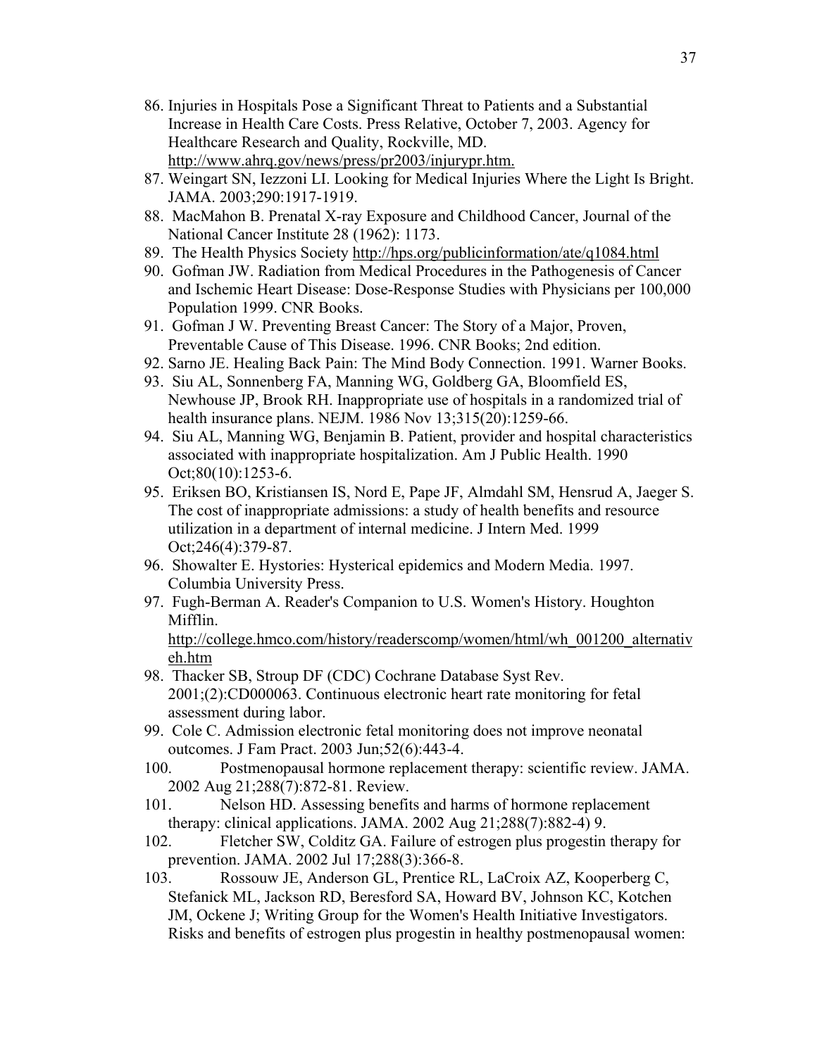- 86. Injuries in Hospitals Pose a Significant Threat to Patients and a Substantial Increase in Health Care Costs. Press Relative, October 7, 2003. Agency for Healthcare Research and Quality, Rockville, MD. http://www.ahrq.gov/news/press/pr2003/injurypr.htm.
- 87. Weingart SN, Iezzoni LI. Looking for Medical Injuries Where the Light Is Bright. JAMA. 2003;290:1917-1919.
- 88. MacMahon B. Prenatal X-ray Exposure and Childhood Cancer, Journal of the National Cancer Institute 28 (1962): 1173.
- 89. The Health Physics Society<http://hps.org/publicinformation/ate/q1084.html>
- 90. Gofman JW. Radiation from Medical Procedures in the Pathogenesis of Cancer and Ischemic Heart Disease: Dose-Response Studies with Physicians per 100,000 Population 1999. CNR Books.
- 91. Gofman J W. Preventing Breast Cancer: The Story of a Major, Proven, Preventable Cause of This Disease. 1996. CNR Books; 2nd edition.
- 92. Sarno JE. Healing Back Pain: The Mind Body Connection. 1991. Warner Books.
- 93. Siu AL, Sonnenberg FA, Manning WG, Goldberg GA, Bloomfield ES, Newhouse JP, Brook RH. Inappropriate use of hospitals in a randomized trial of health insurance plans. NEJM. 1986 Nov 13;315(20):1259-66.
- 94. Siu AL, Manning WG, Benjamin B. Patient, provider and hospital characteristics associated with inappropriate hospitalization. Am J Public Health. 1990 Oct;80(10):1253-6.
- 95. Eriksen BO, Kristiansen IS, Nord E, Pape JF, Almdahl SM, Hensrud A, Jaeger S. The cost of inappropriate admissions: a study of health benefits and resource utilization in a department of internal medicine. J Intern Med. 1999 Oct;246(4):379-87.
- 96. Showalter E. Hystories: Hysterical epidemics and Modern Media. 1997. Columbia University Press.
- 97. Fugh-Berman A. Reader's Companion to U.S. Women's History. Houghton Mifflin.

[http://college.hmco.com/history/readerscomp/women/html/wh\\_001200\\_alternativ](http://college.hmco.com/history/readerscomp/women/html/wh_001200_alternativeh.htm) [eh.htm](http://college.hmco.com/history/readerscomp/women/html/wh_001200_alternativeh.htm) 

- 98. Thacker SB, Stroup DF (CDC) Cochrane Database Syst Rev. 2001;(2):CD000063. Continuous electronic heart rate monitoring for fetal assessment during labor.
- 99. Cole C. Admission electronic fetal monitoring does not improve neonatal outcomes. J Fam Pract. 2003 Jun;52(6):443-4.
- 100. Postmenopausal hormone replacement therapy: scientific review. JAMA. 2002 Aug 21;288(7):872-81. Review.
- 101. Nelson HD. Assessing benefits and harms of hormone replacement therapy: clinical applications. JAMA. 2002 Aug 21;288(7):882-4) 9.
- 102. Fletcher SW, Colditz GA. Failure of estrogen plus progestin therapy for prevention. JAMA. 2002 Jul 17;288(3):366-8.
- 103. Rossouw JE, Anderson GL, Prentice RL, LaCroix AZ, Kooperberg C, Stefanick ML, Jackson RD, Beresford SA, Howard BV, Johnson KC, Kotchen JM, Ockene J; Writing Group for the Women's Health Initiative Investigators. Risks and benefits of estrogen plus progestin in healthy postmenopausal women: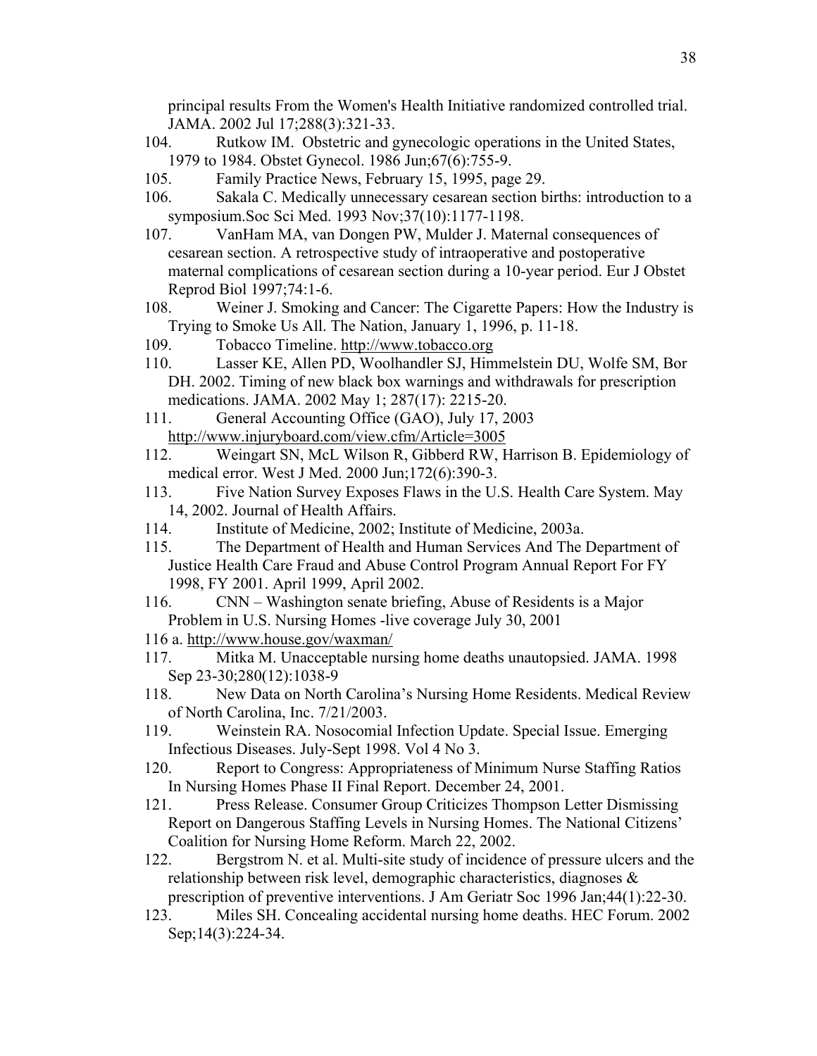principal results From the Women's Health Initiative randomized controlled trial. JAMA. 2002 Jul 17;288(3):321-33.

- 104. Rutkow IM. Obstetric and gynecologic operations in the United States, 1979 to 1984. Obstet Gynecol. 1986 Jun;67(6):755-9.
- 105. Family Practice News, February 15, 1995, page 29.
- 106. Sakala C. Medically unnecessary cesarean section births: introduction to a symposium.Soc Sci Med. 1993 Nov;37(10):1177-1198.
- 107. VanHam MA, van Dongen PW, Mulder J. Maternal consequences of cesarean section. A retrospective study of intraoperative and postoperative maternal complications of cesarean section during a 10-year period. Eur J Obstet Reprod Biol 1997;74:1-6.
- 108. Weiner J. Smoking and Cancer: The Cigarette Papers: How the Industry is Trying to Smoke Us All. The Nation, January 1, 1996, p. 11-18.
- 109. Tobacco Timeline. http:/[/www.tobacco.org](http://www.tobacco.org/)
- 110. Lasser KE, Allen PD, Woolhandler SJ, Himmelstein DU, Wolfe SM, Bor DH. 2002. Timing of new black box warnings and withdrawals for prescription medications. JAMA. 2002 May 1; 287(17): 2215-20.
- 111. General Accounting Office (GAO), July 17, 2003 <http://www.injuryboard.com/view.cfm/Article=3005>
- 112. Weingart SN, McL Wilson R, Gibberd RW, Harrison B. Epidemiology of medical error. West J Med. 2000 Jun;172(6):390-3.
- 113. Five Nation Survey Exposes Flaws in the U.S. Health Care System. May 14, 2002. Journal of Health Affairs.
- 114. Institute of Medicine, 2002; Institute of Medicine, 2003a.
- 115. The Department of Health and Human Services And The Department of Justice Health Care Fraud and Abuse Control Program Annual Report For FY 1998, FY 2001. April 1999, April 2002.
- 116. CNN Washington senate briefing, Abuse of Residents is a Major Problem in U.S. Nursing Homes -live coverage July 30, 2001
- 116 a.<http://www.house.gov/waxman/>
- 117. Mitka M. Unacceptable nursing home deaths unautopsied. JAMA. 1998 Sep 23-30;280(12):1038-9
- 118. New Data on North Carolina's Nursing Home Residents. Medical Review of North Carolina, Inc. 7/21/2003.
- 119. Weinstein RA. Nosocomial Infection Update. Special Issue. Emerging Infectious Diseases. July-Sept 1998. Vol 4 No 3.
- 120. Report to Congress: Appropriateness of Minimum Nurse Staffing Ratios In Nursing Homes Phase II Final Report. December 24, 2001.
- 121. Press Release. Consumer Group Criticizes Thompson Letter Dismissing Report on Dangerous Staffing Levels in Nursing Homes. The National Citizens' Coalition for Nursing Home Reform. March 22, 2002.
- 122. Bergstrom N. et al. Multi-site study of incidence of pressure ulcers and the relationship between risk level, demographic characteristics, diagnoses & prescription of preventive interventions. J Am Geriatr Soc 1996 Jan;44(1):22-30.
- 123. Miles SH. Concealing accidental nursing home deaths. HEC Forum. 2002 Sep;14(3):224-34.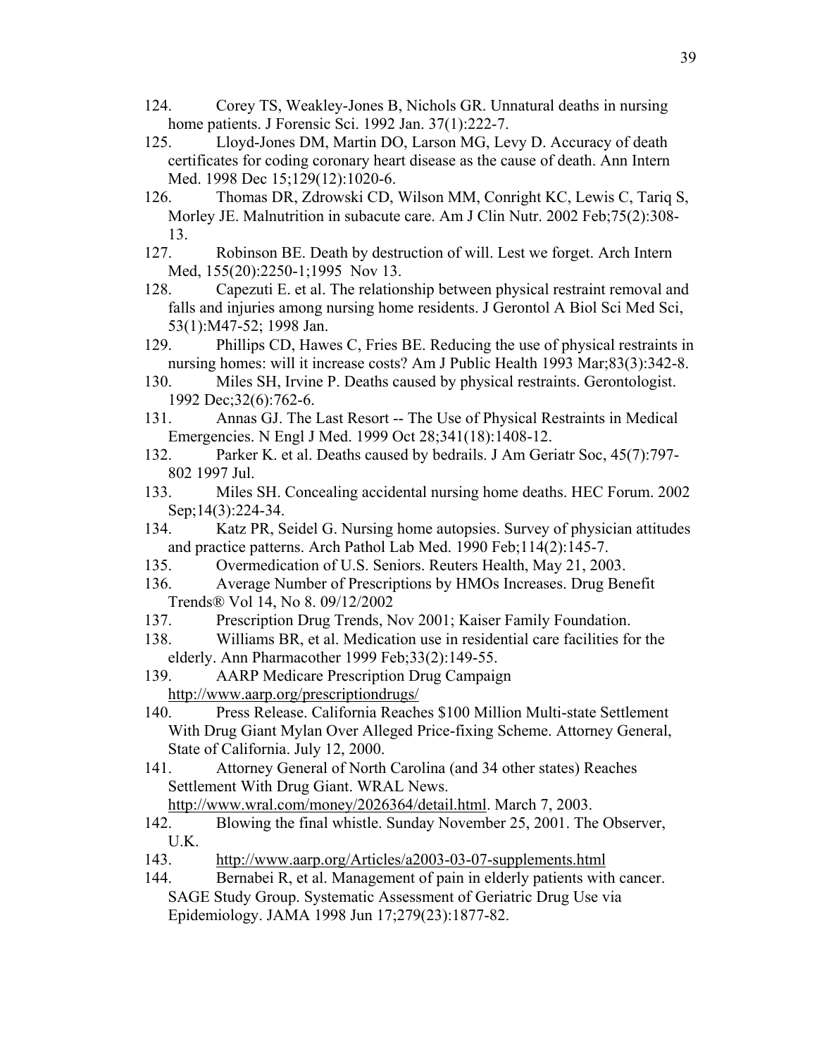- 124. Corey TS, Weakley-Jones B, Nichols GR. Unnatural deaths in nursing home patients. J Forensic Sci. 1992 Jan. 37(1):222-7.
- 125. Lloyd-Jones DM, Martin DO, Larson MG, Levy D. Accuracy of death certificates for coding coronary heart disease as the cause of death. Ann Intern Med. 1998 Dec 15;129(12):1020-6.
- 126. Thomas DR, Zdrowski CD, Wilson MM, Conright KC, Lewis C, Tariq S, Morley JE. Malnutrition in subacute care. Am J Clin Nutr. 2002 Feb;75(2):308- 13.
- 127. Robinson BE. Death by destruction of will. Lest we forget. Arch Intern Med, 155(20):2250-1;1995 Nov 13.
- 128. Capezuti E. et al. The relationship between physical restraint removal and falls and injuries among nursing home residents. J Gerontol A Biol Sci Med Sci, 53(1):M47-52; 1998 Jan.
- 129. Phillips CD, Hawes C, Fries BE. Reducing the use of physical restraints in nursing homes: will it increase costs? Am J Public Health 1993 Mar;83(3):342-8.
- 130. Miles SH, Irvine P. Deaths caused by physical restraints. Gerontologist. 1992 Dec;32(6):762-6.
- 131. Annas GJ. The Last Resort -- The Use of Physical Restraints in Medical Emergencies. N Engl J Med. 1999 Oct 28;341(18):1408-12.
- 132. Parker K. et al. Deaths caused by bedrails. J Am Geriatr Soc, 45(7):797- 802 1997 Jul.
- 133. Miles SH. Concealing accidental nursing home deaths. HEC Forum. 2002 Sep;14(3):224-34.
- 134. Katz PR, Seidel G. Nursing home autopsies. Survey of physician attitudes and practice patterns. Arch Pathol Lab Med. 1990 Feb;114(2):145-7.
- 135. Overmedication of U.S. Seniors. Reuters Health, May 21, 2003.
- 136. Average Number of Prescriptions by HMOs Increases. Drug Benefit Trends® Vol 14, No 8. 09/12/2002
- 137. Prescription Drug Trends, Nov 2001; Kaiser Family Foundation.
- 138. Williams BR, et al. Medication use in residential care facilities for the elderly. Ann Pharmacother 1999 Feb;33(2):149-55.
- 139. AARP Medicare Prescription Drug Campaign <http://www.aarp.org/prescriptiondrugs/>
- 140. Press Release. California Reaches \$100 Million Multi-state Settlement With Drug Giant Mylan Over Alleged Price-fixing Scheme. Attorney General, State of California. July 12, 2000.
- 141. Attorney General of North Carolina (and 34 other states) Reaches Settlement With Drug Giant. WRAL News.
	- [http://www.wral.com/money/2026364/detail.html.](http://www.wral.com/money/2026364/detail.html) March 7, 2003.
- 142. Blowing the final whistle. Sunday November 25, 2001. The Observer, U.K.
- 143. <http://www.aarp.org/Articles/a2003-03-07-supplements.html>
- 144. Bernabei R, et al. Management of pain in elderly patients with cancer. SAGE Study Group. Systematic Assessment of Geriatric Drug Use via Epidemiology. JAMA 1998 Jun 17;279(23):1877-82.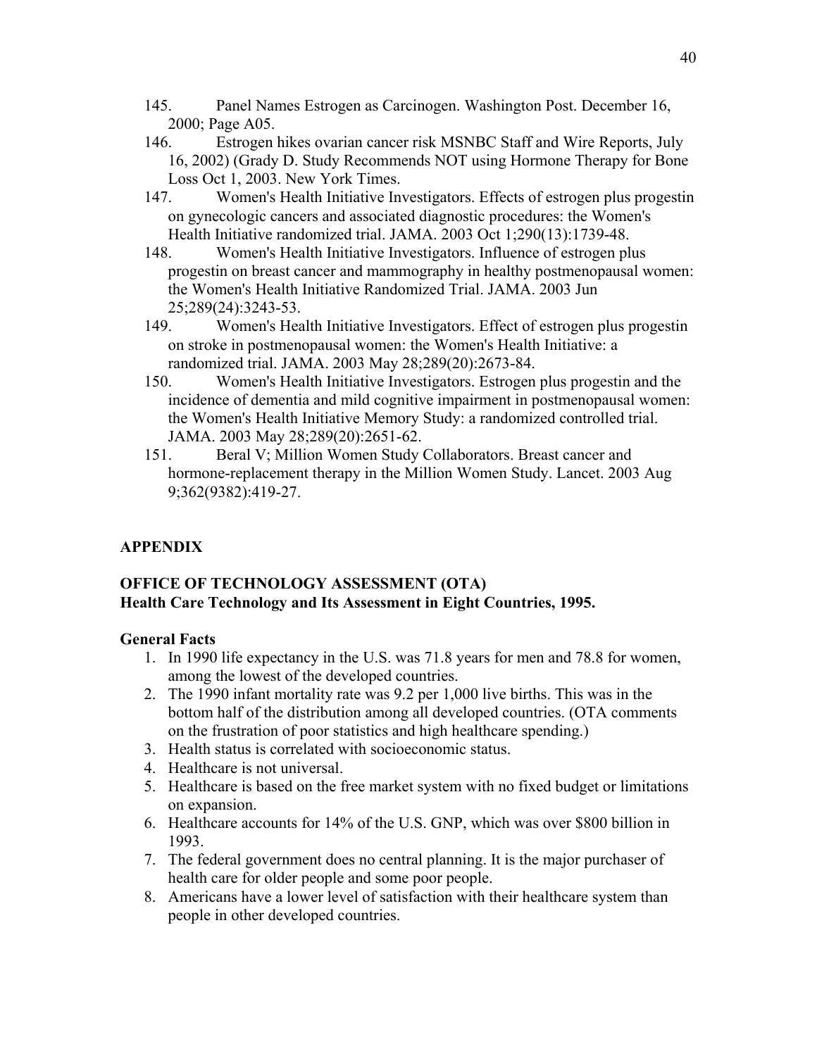- 145. Panel Names Estrogen as Carcinogen. Washington Post. December 16, 2000; Page A05.
- 146. Estrogen hikes ovarian cancer risk MSNBC Staff and Wire Reports, July 16, 2002) (Grady D. Study Recommends NOT using Hormone Therapy for Bone Loss Oct 1, 2003. New York Times.
- 147. Women's Health Initiative Investigators. Effects of estrogen plus progestin on gynecologic cancers and associated diagnostic procedures: the Women's Health Initiative randomized trial. JAMA. 2003 Oct 1;290(13):1739-48.
- 148. Women's Health Initiative Investigators. Influence of estrogen plus progestin on breast cancer and mammography in healthy postmenopausal women: the Women's Health Initiative Randomized Trial. JAMA. 2003 Jun 25;289(24):3243-53.
- 149. Women's Health Initiative Investigators. Effect of estrogen plus progestin on stroke in postmenopausal women: the Women's Health Initiative: a randomized trial. JAMA. 2003 May 28;289(20):2673-84.
- 150. Women's Health Initiative Investigators. Estrogen plus progestin and the incidence of dementia and mild cognitive impairment in postmenopausal women: the Women's Health Initiative Memory Study: a randomized controlled trial. JAMA. 2003 May 28;289(20):2651-62.
- 151. Beral V; Million Women Study Collaborators. Breast cancer and hormone-replacement therapy in the Million Women Study. Lancet. 2003 Aug 9;362(9382):419-27.

# **APPENDIX**

## **OFFICE OF TECHNOLOGY ASSESSMENT (OTA) Health Care Technology and Its Assessment in Eight Countries, 1995.**

## **General Facts**

- 1. In 1990 life expectancy in the U.S. was 71.8 years for men and 78.8 for women, among the lowest of the developed countries.
- 2. The 1990 infant mortality rate was 9.2 per 1,000 live births. This was in the bottom half of the distribution among all developed countries. (OTA comments on the frustration of poor statistics and high healthcare spending.)
- 3. Health status is correlated with socioeconomic status.
- 4. Healthcare is not universal.
- 5. Healthcare is based on the free market system with no fixed budget or limitations on expansion.
- 6. Healthcare accounts for 14% of the U.S. GNP, which was over \$800 billion in 1993.
- 7. The federal government does no central planning. It is the major purchaser of health care for older people and some poor people.
- 8. Americans have a lower level of satisfaction with their healthcare system than people in other developed countries.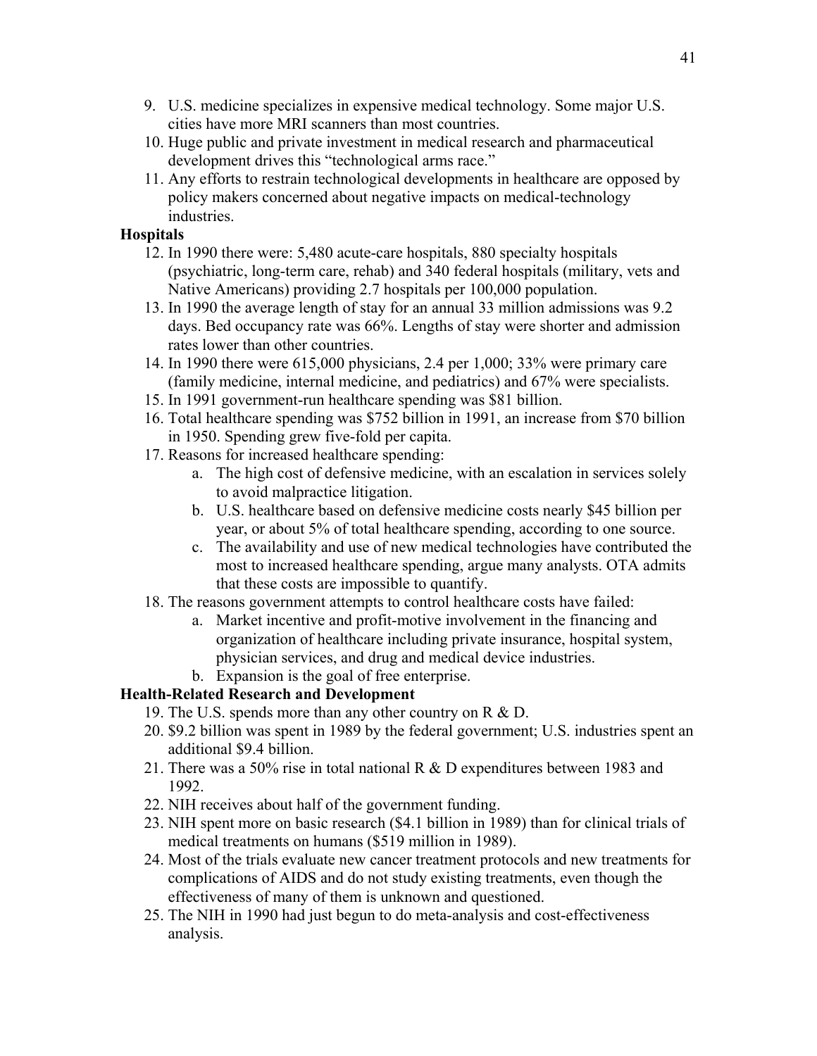- 9. U.S. medicine specializes in expensive medical technology. Some major U.S. cities have more MRI scanners than most countries.
- 10. Huge public and private investment in medical research and pharmaceutical development drives this "technological arms race."
- 11. Any efforts to restrain technological developments in healthcare are opposed by policy makers concerned about negative impacts on medical-technology industries.

## **Hospitals**

- 12. In 1990 there were: 5,480 acute-care hospitals, 880 specialty hospitals (psychiatric, long-term care, rehab) and 340 federal hospitals (military, vets and Native Americans) providing 2.7 hospitals per 100,000 population.
- 13. In 1990 the average length of stay for an annual 33 million admissions was 9.2 days. Bed occupancy rate was 66%. Lengths of stay were shorter and admission rates lower than other countries.
- 14. In 1990 there were 615,000 physicians, 2.4 per 1,000; 33% were primary care (family medicine, internal medicine, and pediatrics) and 67% were specialists.
- 15. In 1991 government-run healthcare spending was \$81 billion.
- 16. Total healthcare spending was \$752 billion in 1991, an increase from \$70 billion in 1950. Spending grew five-fold per capita.
- 17. Reasons for increased healthcare spending:
	- a. The high cost of defensive medicine, with an escalation in services solely to avoid malpractice litigation.
	- b. U.S. healthcare based on defensive medicine costs nearly \$45 billion per year, or about 5% of total healthcare spending, according to one source.
	- c. The availability and use of new medical technologies have contributed the most to increased healthcare spending, argue many analysts. OTA admits that these costs are impossible to quantify.
- 18. The reasons government attempts to control healthcare costs have failed:
	- a. Market incentive and profit-motive involvement in the financing and organization of healthcare including private insurance, hospital system, physician services, and drug and medical device industries.
	- b. Expansion is the goal of free enterprise.

## **Health-Related Research and Development**

- 19. The U.S. spends more than any other country on R & D.
- 20. \$9.2 billion was spent in 1989 by the federal government; U.S. industries spent an additional \$9.4 billion.
- 21. There was a 50% rise in total national R & D expenditures between 1983 and 1992.
- 22. NIH receives about half of the government funding.
- 23. NIH spent more on basic research (\$4.1 billion in 1989) than for clinical trials of medical treatments on humans (\$519 million in 1989).
- 24. Most of the trials evaluate new cancer treatment protocols and new treatments for complications of AIDS and do not study existing treatments, even though the effectiveness of many of them is unknown and questioned.
- 25. The NIH in 1990 had just begun to do meta-analysis and cost-effectiveness analysis.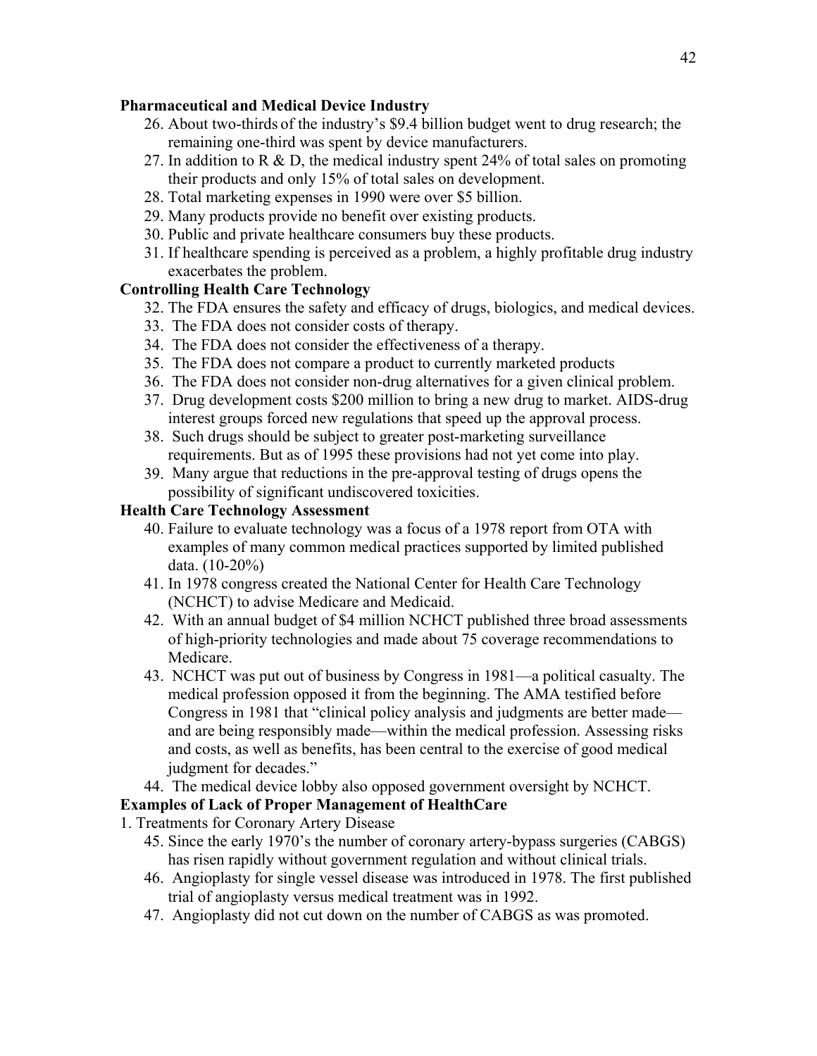## **Pharmaceutical and Medical Device Industry**

- 26. About two-thirds of the industry's \$9.4 billion budget went to drug research; the remaining one-third was spent by device manufacturers.
- 27. In addition to R & D, the medical industry spent 24% of total sales on promoting their products and only 15% of total sales on development.
- 28. Total marketing expenses in 1990 were over \$5 billion.
- 29. Many products provide no benefit over existing products.
- 30. Public and private healthcare consumers buy these products.
- 31. If healthcare spending is perceived as a problem, a highly profitable drug industry exacerbates the problem.

## **Controlling Health Care Technology**

- 32. The FDA ensures the safety and efficacy of drugs, biologics, and medical devices.
- 33. The FDA does not consider costs of therapy.
- 34. The FDA does not consider the effectiveness of a therapy.
- 35. The FDA does not compare a product to currently marketed products
- 36. The FDA does not consider non-drug alternatives for a given clinical problem.
- 37. Drug development costs \$200 million to bring a new drug to market. AIDS-drug interest groups forced new regulations that speed up the approval process.
- 38. Such drugs should be subject to greater post-marketing surveillance requirements. But as of 1995 these provisions had not yet come into play.
- 39. Many argue that reductions in the pre-approval testing of drugs opens the possibility of significant undiscovered toxicities.

## **Health Care Technology Assessment**

- 40. Failure to evaluate technology was a focus of a 1978 report from OTA with examples of many common medical practices supported by limited published data. (10-20%)
- 41. In 1978 congress created the National Center for Health Care Technology (NCHCT) to advise Medicare and Medicaid.
- 42. With an annual budget of \$4 million NCHCT published three broad assessments of high-priority technologies and made about 75 coverage recommendations to Medicare.
- 43. NCHCT was put out of business by Congress in 1981—a political casualty. The medical profession opposed it from the beginning. The AMA testified before Congress in 1981 that "clinical policy analysis and judgments are better made and are being responsibly made—within the medical profession. Assessing risks and costs, as well as benefits, has been central to the exercise of good medical judgment for decades."
- 44. The medical device lobby also opposed government oversight by NCHCT.

## **Examples of Lack of Proper Management of HealthCare**

- 1. Treatments for Coronary Artery Disease
	- 45. Since the early 1970's the number of coronary artery-bypass surgeries (CABGS) has risen rapidly without government regulation and without clinical trials.
	- 46. Angioplasty for single vessel disease was introduced in 1978. The first published trial of angioplasty versus medical treatment was in 1992.
	- 47. Angioplasty did not cut down on the number of CABGS as was promoted.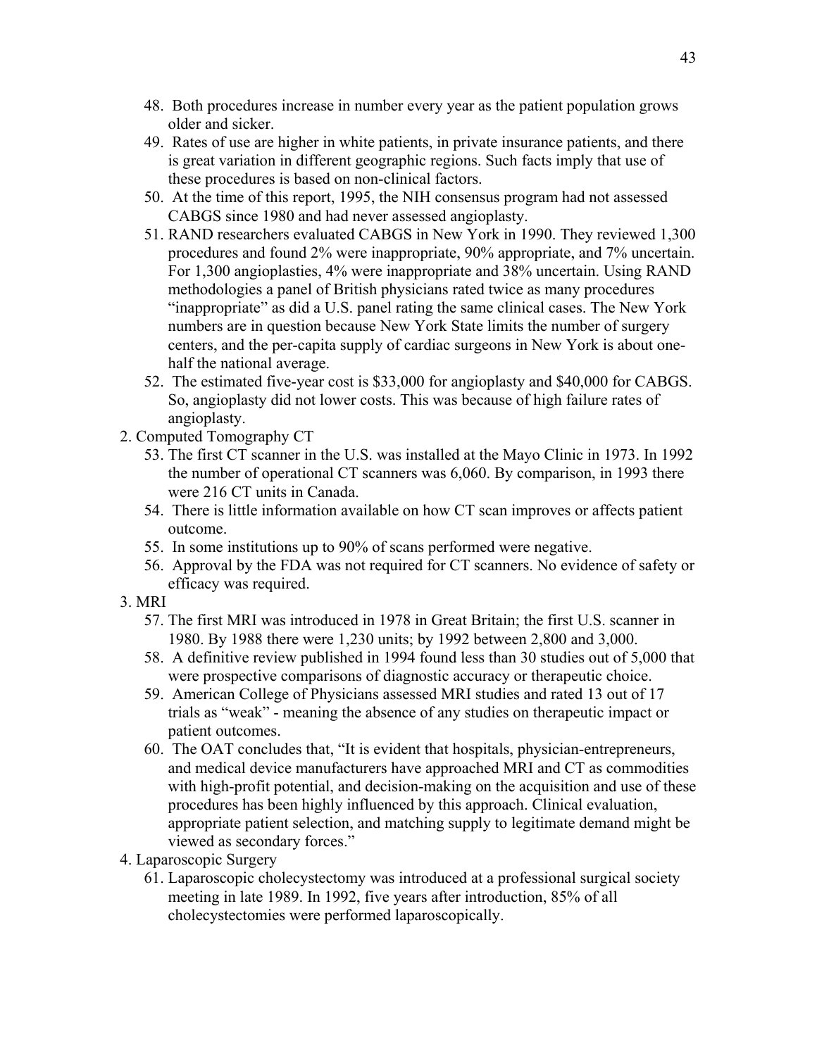- 48. Both procedures increase in number every year as the patient population grows older and sicker.
- 49. Rates of use are higher in white patients, in private insurance patients, and there is great variation in different geographic regions. Such facts imply that use of these procedures is based on non-clinical factors.
- 50. At the time of this report, 1995, the NIH consensus program had not assessed CABGS since 1980 and had never assessed angioplasty.
- 51. RAND researchers evaluated CABGS in New York in 1990. They reviewed 1,300 procedures and found 2% were inappropriate, 90% appropriate, and 7% uncertain. For 1,300 angioplasties, 4% were inappropriate and 38% uncertain. Using RAND methodologies a panel of British physicians rated twice as many procedures "inappropriate" as did a U.S. panel rating the same clinical cases. The New York numbers are in question because New York State limits the number of surgery centers, and the per-capita supply of cardiac surgeons in New York is about onehalf the national average.
- 52. The estimated five-year cost is \$33,000 for angioplasty and \$40,000 for CABGS. So, angioplasty did not lower costs. This was because of high failure rates of angioplasty.
- 2. Computed Tomography CT
	- 53. The first CT scanner in the U.S. was installed at the Mayo Clinic in 1973. In 1992 the number of operational CT scanners was 6,060. By comparison, in 1993 there were 216 CT units in Canada.
	- 54. There is little information available on how CT scan improves or affects patient outcome.
	- 55. In some institutions up to 90% of scans performed were negative.
	- 56. Approval by the FDA was not required for CT scanners. No evidence of safety or efficacy was required.
- 3. MRI
	- 57. The first MRI was introduced in 1978 in Great Britain; the first U.S. scanner in 1980. By 1988 there were 1,230 units; by 1992 between 2,800 and 3,000.
	- 58. A definitive review published in 1994 found less than 30 studies out of 5,000 that were prospective comparisons of diagnostic accuracy or therapeutic choice.
	- 59. American College of Physicians assessed MRI studies and rated 13 out of 17 trials as "weak" - meaning the absence of any studies on therapeutic impact or patient outcomes.
	- 60. The OAT concludes that, "It is evident that hospitals, physician-entrepreneurs, and medical device manufacturers have approached MRI and CT as commodities with high-profit potential, and decision-making on the acquisition and use of these procedures has been highly influenced by this approach. Clinical evaluation, appropriate patient selection, and matching supply to legitimate demand might be viewed as secondary forces."
- 4. Laparoscopic Surgery
	- 61. Laparoscopic cholecystectomy was introduced at a professional surgical society meeting in late 1989. In 1992, five years after introduction, 85% of all cholecystectomies were performed laparoscopically.